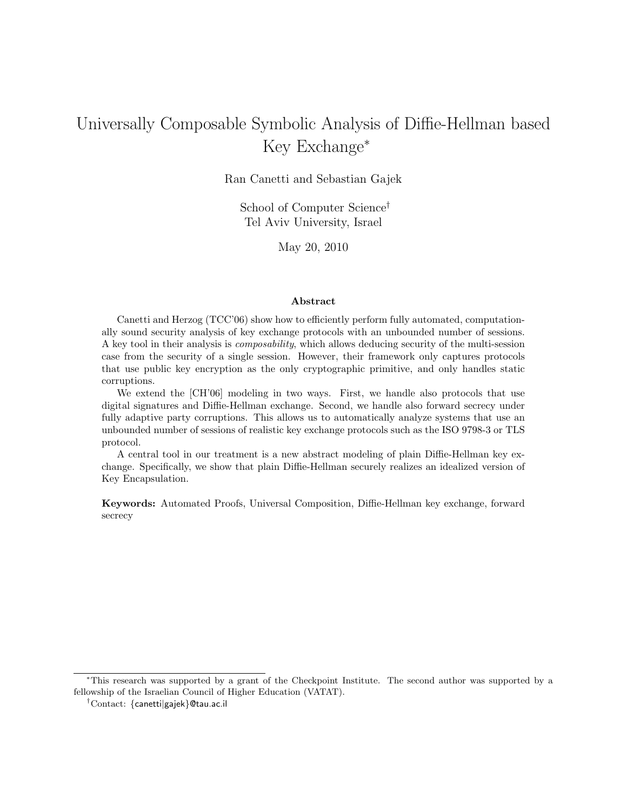# Universally Composable Symbolic Analysis of Diffie-Hellman based Key Exchange<sup>∗</sup>

Ran Canetti and Sebastian Gajek

School of Computer Science† Tel Aviv University, Israel

May 20, 2010

### Abstract

Canetti and Herzog (TCC'06) show how to efficiently perform fully automated, computationally sound security analysis of key exchange protocols with an unbounded number of sessions. A key tool in their analysis is composability, which allows deducing security of the multi-session case from the security of a single session. However, their framework only captures protocols that use public key encryption as the only cryptographic primitive, and only handles static corruptions.

We extend the [CH'06] modeling in two ways. First, we handle also protocols that use digital signatures and Diffie-Hellman exchange. Second, we handle also forward secrecy under fully adaptive party corruptions. This allows us to automatically analyze systems that use an unbounded number of sessions of realistic key exchange protocols such as the ISO 9798-3 or TLS protocol.

A central tool in our treatment is a new abstract modeling of plain Diffie-Hellman key exchange. Specifically, we show that plain Diffie-Hellman securely realizes an idealized version of Key Encapsulation.

Keywords: Automated Proofs, Universal Composition, Diffie-Hellman key exchange, forward secrecy

<sup>∗</sup>This research was supported by a grant of the Checkpoint Institute. The second author was supported by a fellowship of the Israelian Council of Higher Education (VATAT).

<sup>†</sup>Contact: {canetti|gajek}@tau.ac.il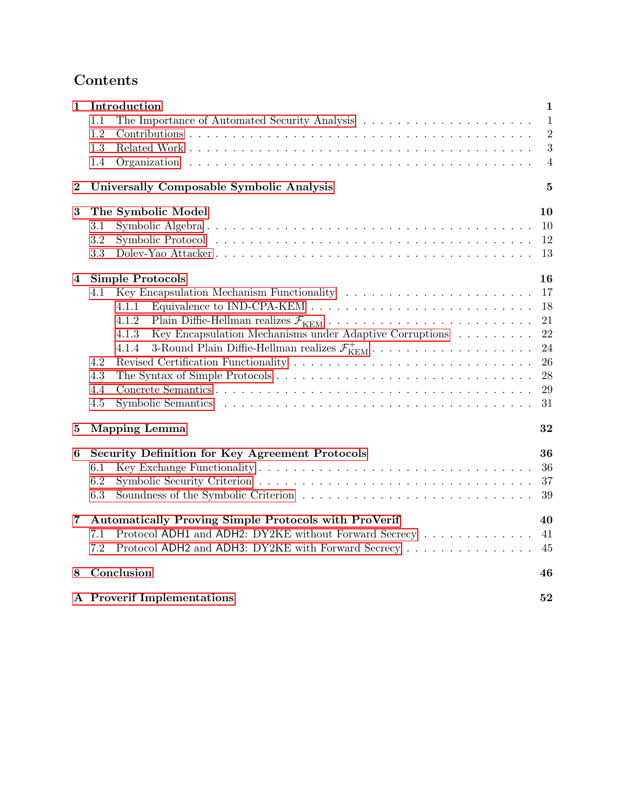# Contents

| 1        | Introduction                                                                                                                                                                                                                          | $\mathbf{1}$   |
|----------|---------------------------------------------------------------------------------------------------------------------------------------------------------------------------------------------------------------------------------------|----------------|
|          | $1.1\,$                                                                                                                                                                                                                               | $\mathbf{1}$   |
|          | 1.2                                                                                                                                                                                                                                   | $\overline{2}$ |
|          | 1.3                                                                                                                                                                                                                                   | 3              |
|          | 1.4                                                                                                                                                                                                                                   | $\overline{4}$ |
| $\bf{2}$ | Universally Composable Symbolic Analysis                                                                                                                                                                                              | $\bf{5}$       |
| 3        | The Symbolic Model                                                                                                                                                                                                                    | 10             |
|          | 3.1                                                                                                                                                                                                                                   | 10             |
|          | Symbolic Protocol (a) respectively and the set of the set of the set of the set of the set of the set of the set of the set of the set of the set of the set of the set of the set of the set of the set of the set of the set<br>3.2 | 12             |
|          | 3.3                                                                                                                                                                                                                                   | 13             |
| 4        | <b>Simple Protocols</b>                                                                                                                                                                                                               | 16             |
|          | 4.1                                                                                                                                                                                                                                   | 17             |
|          | Equivalence to IND-CPA-KEM $\ldots \ldots \ldots \ldots \ldots \ldots \ldots \ldots \ldots \ldots$<br>4.1.1                                                                                                                           | 18             |
|          | 4.1.2                                                                                                                                                                                                                                 | 21             |
|          | Key Encapsulation Mechanisms under Adaptive Corruptions<br>4.1.3                                                                                                                                                                      | 22             |
|          | 4.1.4                                                                                                                                                                                                                                 | 24             |
|          | 4.2                                                                                                                                                                                                                                   | 26             |
|          | 4.3                                                                                                                                                                                                                                   | 28             |
|          | 4.4                                                                                                                                                                                                                                   | 29             |
|          | 4.5                                                                                                                                                                                                                                   | 31             |
| 5        | <b>Mapping Lemma</b>                                                                                                                                                                                                                  | 32             |
| 6        | Security Definition for Key Agreement Protocols                                                                                                                                                                                       | 36             |
|          | 6.1                                                                                                                                                                                                                                   | 36             |
|          | 6.2                                                                                                                                                                                                                                   | 37             |
|          | 6.3<br>Soundness of the Symbolic Criterion                                                                                                                                                                                            | 39             |
| 7        | <b>Automatically Proving Simple Protocols with ProVerif</b>                                                                                                                                                                           | 40             |
|          | Protocol ADH1 and ADH2: DY2KE without Forward Secrecy<br>7.1                                                                                                                                                                          | 41             |
|          | Protocol ADH2 and ADH3: DY2KE with Forward Secrecy<br>7.2                                                                                                                                                                             | 45             |
| 8        | Conclusion                                                                                                                                                                                                                            | 46             |
|          | A Proverif Implementations<br>52                                                                                                                                                                                                      |                |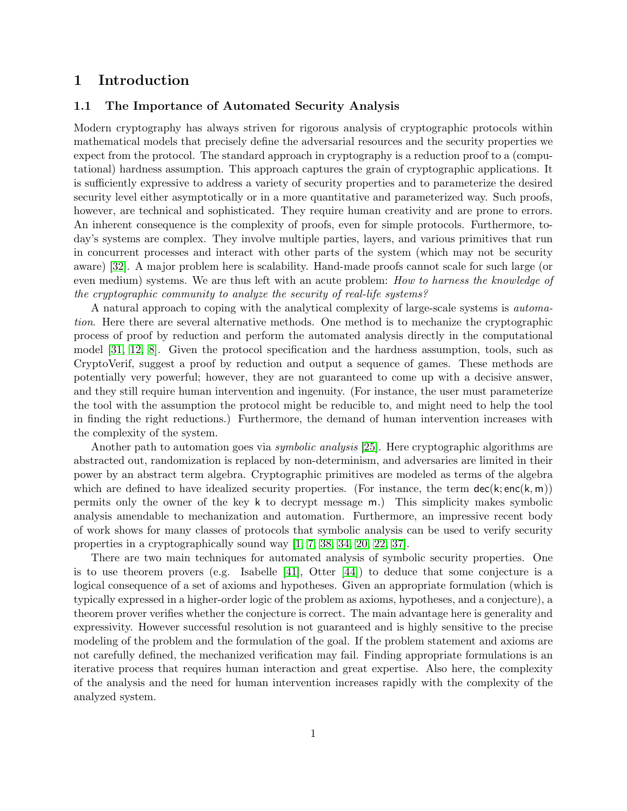## <span id="page-2-0"></span>1 Introduction

## <span id="page-2-1"></span>1.1 The Importance of Automated Security Analysis

Modern cryptography has always striven for rigorous analysis of cryptographic protocols within mathematical models that precisely define the adversarial resources and the security properties we expect from the protocol. The standard approach in cryptography is a reduction proof to a (computational) hardness assumption. This approach captures the grain of cryptographic applications. It is sufficiently expressive to address a variety of security properties and to parameterize the desired security level either asymptotically or in a more quantitative and parameterized way. Such proofs, however, are technical and sophisticated. They require human creativity and are prone to errors. An inherent consequence is the complexity of proofs, even for simple protocols. Furthermore, today's systems are complex. They involve multiple parties, layers, and various primitives that run in concurrent processes and interact with other parts of the system (which may not be security aware) [\[32\]](#page-51-0). A major problem here is scalability. Hand-made proofs cannot scale for such large (or even medium) systems. We are thus left with an acute problem: *How to harness the knowledge of* the cryptographic community to analyze the security of real-life systems?

A natural approach to coping with the analytical complexity of large-scale systems is automation. Here there are several alternative methods. One method is to mechanize the cryptographic process of proof by reduction and perform the automated analysis directly in the computational model [\[31,](#page-51-1) [12,](#page-49-0) [8\]](#page-49-1). Given the protocol specification and the hardness assumption, tools, such as CryptoVerif, suggest a proof by reduction and output a sequence of games. These methods are potentially very powerful; however, they are not guaranteed to come up with a decisive answer, and they still require human intervention and ingenuity. (For instance, the user must parameterize the tool with the assumption the protocol might be reducible to, and might need to help the tool in finding the right reductions.) Furthermore, the demand of human intervention increases with the complexity of the system.

Another path to automation goes via *symbolic analysis* [\[25\]](#page-50-0). Here cryptographic algorithms are abstracted out, randomization is replaced by non-determinism, and adversaries are limited in their power by an abstract term algebra. Cryptographic primitives are modeled as terms of the algebra which are defined to have idealized security properties. (For instance, the term  $\text{dec}(k; \text{enc}(k, m))$ permits only the owner of the key k to decrypt message m.) This simplicity makes symbolic analysis amendable to mechanization and automation. Furthermore, an impressive recent body of work shows for many classes of protocols that symbolic analysis can be used to verify security properties in a cryptographically sound way [\[1,](#page-48-0) [7,](#page-49-2) [38,](#page-51-2) [34,](#page-51-3) [20,](#page-50-1) [22,](#page-50-2) [37\]](#page-51-4).

There are two main techniques for automated analysis of symbolic security properties. One is to use theorem provers (e.g. Isabelle [\[41\]](#page-51-5), Otter [\[44\]](#page-52-0)) to deduce that some conjecture is a logical consequence of a set of axioms and hypotheses. Given an appropriate formulation (which is typically expressed in a higher-order logic of the problem as axioms, hypotheses, and a conjecture), a theorem prover verifies whether the conjecture is correct. The main advantage here is generality and expressivity. However successful resolution is not guaranteed and is highly sensitive to the precise modeling of the problem and the formulation of the goal. If the problem statement and axioms are not carefully defined, the mechanized verification may fail. Finding appropriate formulations is an iterative process that requires human interaction and great expertise. Also here, the complexity of the analysis and the need for human intervention increases rapidly with the complexity of the analyzed system.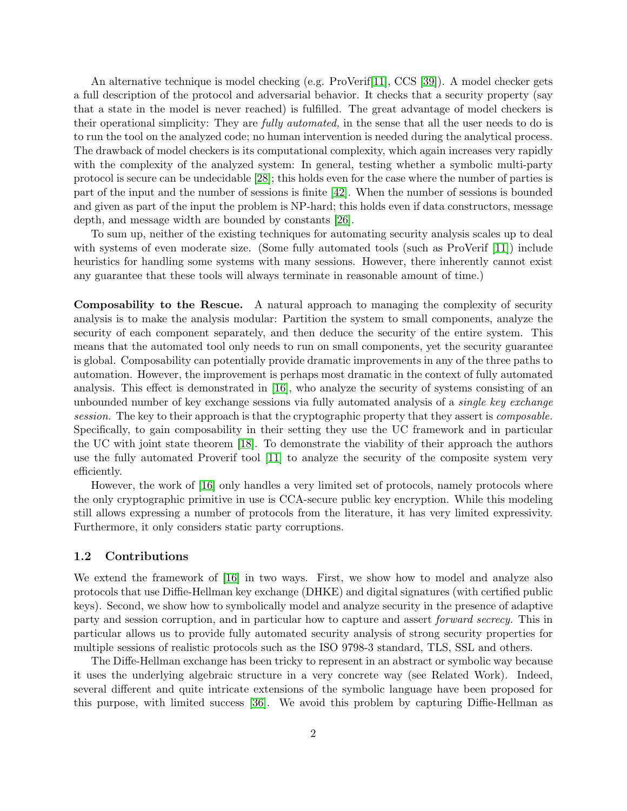An alternative technique is model checking (e.g. ProVerif[\[11\]](#page-49-3), CCS [\[39\]](#page-51-6)). A model checker gets a full description of the protocol and adversarial behavior. It checks that a security property (say that a state in the model is never reached) is fulfilled. The great advantage of model checkers is their operational simplicity: They are fully automated, in the sense that all the user needs to do is to run the tool on the analyzed code; no human intervention is needed during the analytical process. The drawback of model checkers is its computational complexity, which again increases very rapidly with the complexity of the analyzed system: In general, testing whether a symbolic multi-party protocol is secure can be undecidable [\[28\]](#page-50-3); this holds even for the case where the number of parties is part of the input and the number of sessions is finite [\[42\]](#page-51-7). When the number of sessions is bounded and given as part of the input the problem is NP-hard; this holds even if data constructors, message depth, and message width are bounded by constants [\[26\]](#page-50-4).

To sum up, neither of the existing techniques for automating security analysis scales up to deal with systems of even moderate size. (Some fully automated tools (such as ProVerif [\[11\]](#page-49-3)) include heuristics for handling some systems with many sessions. However, there inherently cannot exist any guarantee that these tools will always terminate in reasonable amount of time.)

Composability to the Rescue. A natural approach to managing the complexity of security analysis is to make the analysis modular: Partition the system to small components, analyze the security of each component separately, and then deduce the security of the entire system. This means that the automated tool only needs to run on small components, yet the security guarantee is global. Composability can potentially provide dramatic improvements in any of the three paths to automation. However, the improvement is perhaps most dramatic in the context of fully automated analysis. This effect is demonstrated in [\[16\]](#page-50-5), who analyze the security of systems consisting of an unbounded number of key exchange sessions via fully automated analysis of a *single key exchange* session. The key to their approach is that the cryptographic property that they assert is *composable*. Specifically, to gain composability in their setting they use the UC framework and in particular the UC with joint state theorem [\[18\]](#page-50-6). To demonstrate the viability of their approach the authors use the fully automated Proverif tool [\[11\]](#page-49-3) to analyze the security of the composite system very efficiently.

However, the work of [\[16\]](#page-50-5) only handles a very limited set of protocols, namely protocols where the only cryptographic primitive in use is CCA-secure public key encryption. While this modeling still allows expressing a number of protocols from the literature, it has very limited expressivity. Furthermore, it only considers static party corruptions.

### <span id="page-3-0"></span>1.2 Contributions

We extend the framework of [\[16\]](#page-50-5) in two ways. First, we show how to model and analyze also protocols that use Diffie-Hellman key exchange (DHKE) and digital signatures (with certified public keys). Second, we show how to symbolically model and analyze security in the presence of adaptive party and session corruption, and in particular how to capture and assert forward secrecy. This in particular allows us to provide fully automated security analysis of strong security properties for multiple sessions of realistic protocols such as the ISO 9798-3 standard, TLS, SSL and others.

The Diffe-Hellman exchange has been tricky to represent in an abstract or symbolic way because it uses the underlying algebraic structure in a very concrete way (see Related Work). Indeed, several different and quite intricate extensions of the symbolic language have been proposed for this purpose, with limited success [\[36\]](#page-51-8). We avoid this problem by capturing Diffie-Hellman as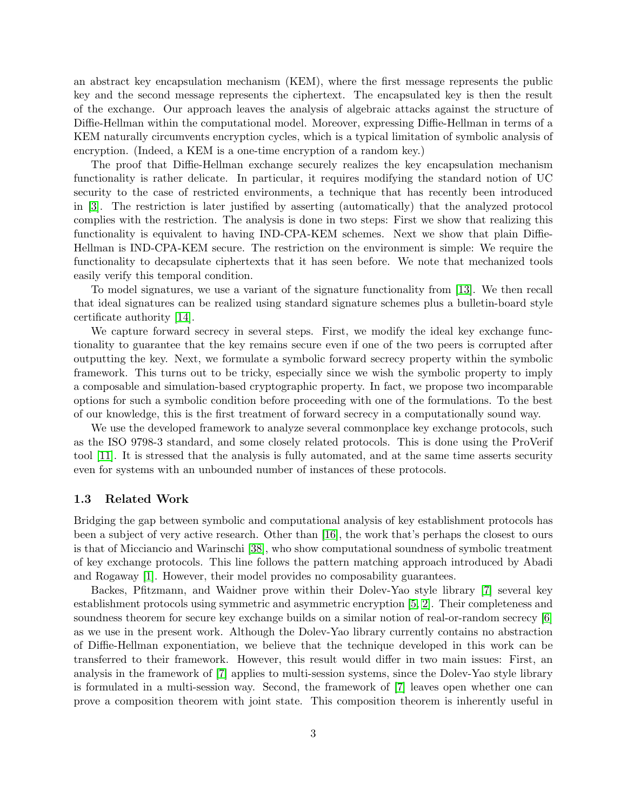an abstract key encapsulation mechanism (KEM), where the first message represents the public key and the second message represents the ciphertext. The encapsulated key is then the result of the exchange. Our approach leaves the analysis of algebraic attacks against the structure of Diffie-Hellman within the computational model. Moreover, expressing Diffie-Hellman in terms of a KEM naturally circumvents encryption cycles, which is a typical limitation of symbolic analysis of encryption. (Indeed, a KEM is a one-time encryption of a random key.)

The proof that Diffie-Hellman exchange securely realizes the key encapsulation mechanism functionality is rather delicate. In particular, it requires modifying the standard notion of UC security to the case of restricted environments, a technique that has recently been introduced in [\[3\]](#page-49-4). The restriction is later justified by asserting (automatically) that the analyzed protocol complies with the restriction. The analysis is done in two steps: First we show that realizing this functionality is equivalent to having IND-CPA-KEM schemes. Next we show that plain Diffie-Hellman is IND-CPA-KEM secure. The restriction on the environment is simple: We require the functionality to decapsulate ciphertexts that it has seen before. We note that mechanized tools easily verify this temporal condition.

To model signatures, we use a variant of the signature functionality from [\[13\]](#page-49-5). We then recall that ideal signatures can be realized using standard signature schemes plus a bulletin-board style certificate authority [\[14\]](#page-49-6).

We capture forward secrecy in several steps. First, we modify the ideal key exchange functionality to guarantee that the key remains secure even if one of the two peers is corrupted after outputting the key. Next, we formulate a symbolic forward secrecy property within the symbolic framework. This turns out to be tricky, especially since we wish the symbolic property to imply a composable and simulation-based cryptographic property. In fact, we propose two incomparable options for such a symbolic condition before proceeding with one of the formulations. To the best of our knowledge, this is the first treatment of forward secrecy in a computationally sound way.

We use the developed framework to analyze several commonplace key exchange protocols, such as the ISO 9798-3 standard, and some closely related protocols. This is done using the ProVerif tool [\[11\]](#page-49-3). It is stressed that the analysis is fully automated, and at the same time asserts security even for systems with an unbounded number of instances of these protocols.

### <span id="page-4-0"></span>1.3 Related Work

Bridging the gap between symbolic and computational analysis of key establishment protocols has been a subject of very active research. Other than [\[16\]](#page-50-5), the work that's perhaps the closest to ours is that of Micciancio and Warinschi [\[38\]](#page-51-2), who show computational soundness of symbolic treatment of key exchange protocols. This line follows the pattern matching approach introduced by Abadi and Rogaway [\[1\]](#page-48-0). However, their model provides no composability guarantees.

Backes, Pfitzmann, and Waidner prove within their Dolev-Yao style library [\[7\]](#page-49-2) several key establishment protocols using symmetric and asymmetric encryption [\[5,](#page-49-7) [2\]](#page-49-8). Their completeness and soundness theorem for secure key exchange builds on a similar notion of real-or-random secrecy [\[6\]](#page-49-9) as we use in the present work. Although the Dolev-Yao library currently contains no abstraction of Diffie-Hellman exponentiation, we believe that the technique developed in this work can be transferred to their framework. However, this result would differ in two main issues: First, an analysis in the framework of [\[7\]](#page-49-2) applies to multi-session systems, since the Dolev-Yao style library is formulated in a multi-session way. Second, the framework of [\[7\]](#page-49-2) leaves open whether one can prove a composition theorem with joint state. This composition theorem is inherently useful in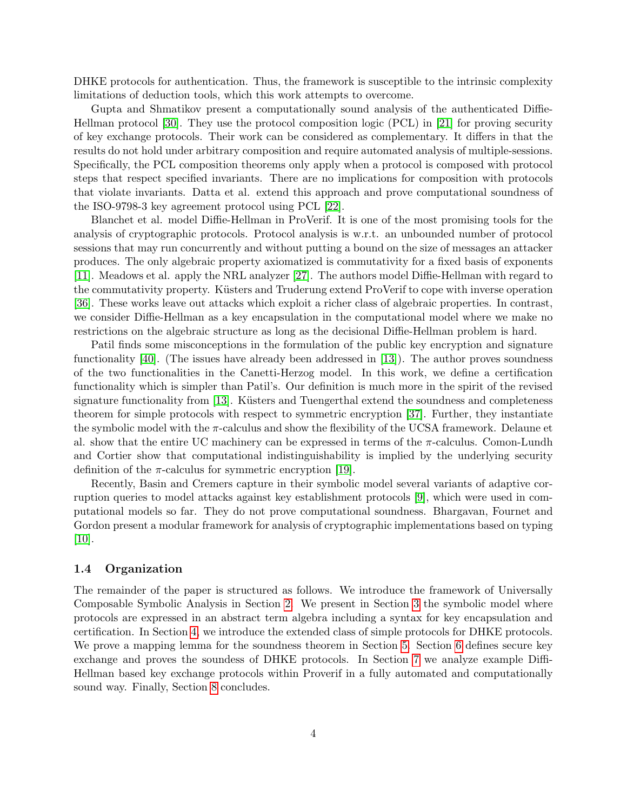DHKE protocols for authentication. Thus, the framework is susceptible to the intrinsic complexity limitations of deduction tools, which this work attempts to overcome.

Gupta and Shmatikov present a computationally sound analysis of the authenticated Diffie-Hellman protocol [\[30\]](#page-51-9). They use the protocol composition logic (PCL) in [\[21\]](#page-50-7) for proving security of key exchange protocols. Their work can be considered as complementary. It differs in that the results do not hold under arbitrary composition and require automated analysis of multiple-sessions. Specifically, the PCL composition theorems only apply when a protocol is composed with protocol steps that respect specified invariants. There are no implications for composition with protocols that violate invariants. Datta et al. extend this approach and prove computational soundness of the ISO-9798-3 key agreement protocol using PCL [\[22\]](#page-50-2).

Blanchet et al. model Diffie-Hellman in ProVerif. It is one of the most promising tools for the analysis of cryptographic protocols. Protocol analysis is w.r.t. an unbounded number of protocol sessions that may run concurrently and without putting a bound on the size of messages an attacker produces. The only algebraic property axiomatized is commutativity for a fixed basis of exponents [\[11\]](#page-49-3). Meadows et al. apply the NRL analyzer [\[27\]](#page-50-8). The authors model Diffie-Hellman with regard to the commutativity property. Küsters and Truderung extend ProVerif to cope with inverse operation [\[36\]](#page-51-8). These works leave out attacks which exploit a richer class of algebraic properties. In contrast, we consider Diffie-Hellman as a key encapsulation in the computational model where we make no restrictions on the algebraic structure as long as the decisional Diffie-Hellman problem is hard.

Patil finds some misconceptions in the formulation of the public key encryption and signature functionality [\[40\]](#page-51-10). (The issues have already been addressed in [\[13\]](#page-49-5)). The author proves soundness of the two functionalities in the Canetti-Herzog model. In this work, we define a certification functionality which is simpler than Patil's. Our definition is much more in the spirit of the revised signature functionality from [\[13\]](#page-49-5). Küsters and Tuengerthal extend the soundness and completeness theorem for simple protocols with respect to symmetric encryption [\[37\]](#page-51-4). Further, they instantiate the symbolic model with the  $\pi$ -calculus and show the flexibility of the UCSA framework. Delaune et al. show that the entire UC machinery can be expressed in terms of the  $\pi$ -calculus. Comon-Lundh and Cortier show that computational indistinguishability is implied by the underlying security definition of the  $\pi$ -calculus for symmetric encryption [\[19\]](#page-50-9).

Recently, Basin and Cremers capture in their symbolic model several variants of adaptive corruption queries to model attacks against key establishment protocols [\[9\]](#page-49-10), which were used in computational models so far. They do not prove computational soundness. Bhargavan, Fournet and Gordon present a modular framework for analysis of cryptographic implementations based on typing [\[10\]](#page-49-11).

## <span id="page-5-0"></span>1.4 Organization

The remainder of the paper is structured as follows. We introduce the framework of Universally Composable Symbolic Analysis in Section [2.](#page-6-0) We present in Section [3](#page-11-0) the symbolic model where protocols are expressed in an abstract term algebra including a syntax for key encapsulation and certification. In Section [4,](#page-17-0) we introduce the extended class of simple protocols for DHKE protocols. We prove a mapping lemma for the soundness theorem in Section [5.](#page-33-0) Section [6](#page-37-0) defines secure key exchange and proves the soundess of DHKE protocols. In Section [7](#page-41-0) we analyze example Diffi-Hellman based key exchange protocols within Proverif in a fully automated and computationally sound way. Finally, Section [8](#page-47-0) concludes.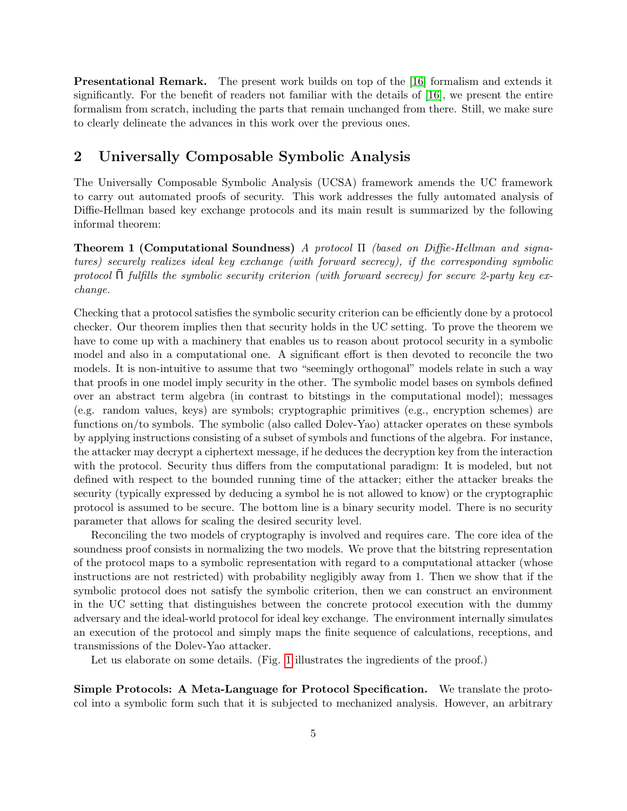Presentational Remark. The present work builds on top of the [\[16\]](#page-50-5) formalism and extends it significantly. For the benefit of readers not familiar with the details of [\[16\]](#page-50-5), we present the entire formalism from scratch, including the parts that remain unchanged from there. Still, we make sure to clearly delineate the advances in this work over the previous ones.

## <span id="page-6-0"></span>2 Universally Composable Symbolic Analysis

The Universally Composable Symbolic Analysis (UCSA) framework amends the UC framework to carry out automated proofs of security. This work addresses the fully automated analysis of Diffie-Hellman based key exchange protocols and its main result is summarized by the following informal theorem:

Theorem 1 (Computational Soundness) A protocol Π (based on Diffie-Hellman and signatures) securely realizes ideal key exchange (with forward secrecy), if the corresponding symbolic protocol  $\Pi$  fulfills the symbolic security criterion (with forward secrecy) for secure 2-party key exchange.

Checking that a protocol satisfies the symbolic security criterion can be efficiently done by a protocol checker. Our theorem implies then that security holds in the UC setting. To prove the theorem we have to come up with a machinery that enables us to reason about protocol security in a symbolic model and also in a computational one. A significant effort is then devoted to reconcile the two models. It is non-intuitive to assume that two "seemingly orthogonal" models relate in such a way that proofs in one model imply security in the other. The symbolic model bases on symbols defined over an abstract term algebra (in contrast to bitstings in the computational model); messages (e.g. random values, keys) are symbols; cryptographic primitives (e.g., encryption schemes) are functions on/to symbols. The symbolic (also called Dolev-Yao) attacker operates on these symbols by applying instructions consisting of a subset of symbols and functions of the algebra. For instance, the attacker may decrypt a ciphertext message, if he deduces the decryption key from the interaction with the protocol. Security thus differs from the computational paradigm: It is modeled, but not defined with respect to the bounded running time of the attacker; either the attacker breaks the security (typically expressed by deducing a symbol he is not allowed to know) or the cryptographic protocol is assumed to be secure. The bottom line is a binary security model. There is no security parameter that allows for scaling the desired security level.

Reconciling the two models of cryptography is involved and requires care. The core idea of the soundness proof consists in normalizing the two models. We prove that the bitstring representation of the protocol maps to a symbolic representation with regard to a computational attacker (whose instructions are not restricted) with probability negligibly away from 1. Then we show that if the symbolic protocol does not satisfy the symbolic criterion, then we can construct an environment in the UC setting that distinguishes between the concrete protocol execution with the dummy adversary and the ideal-world protocol for ideal key exchange. The environment internally simulates an execution of the protocol and simply maps the finite sequence of calculations, receptions, and transmissions of the Dolev-Yao attacker.

Let us elaborate on some details. (Fig. [1](#page-7-0) illustrates the ingredients of the proof.)

Simple Protocols: A Meta-Language for Protocol Specification. We translate the protocol into a symbolic form such that it is subjected to mechanized analysis. However, an arbitrary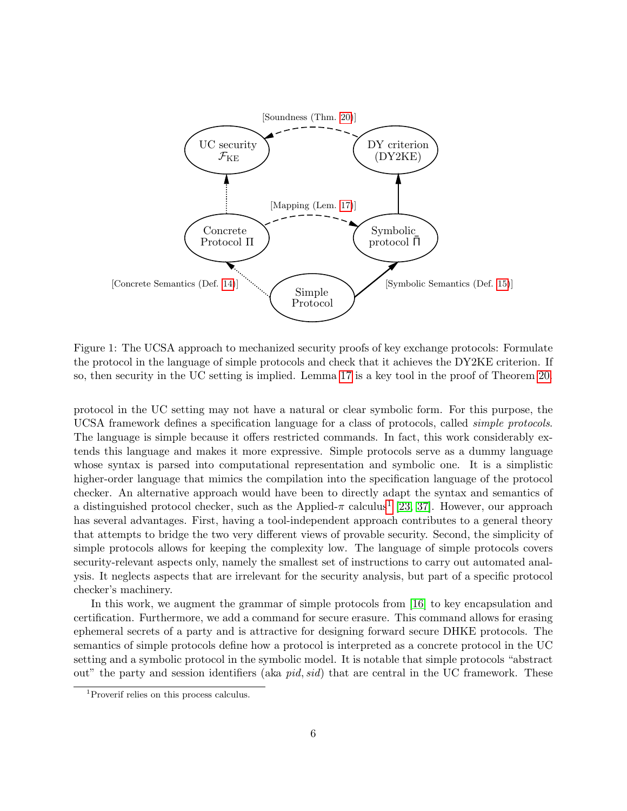

<span id="page-7-0"></span>Figure 1: The UCSA approach to mechanized security proofs of key exchange protocols: Formulate the protocol in the language of simple protocols and check that it achieves the DY2KE criterion. If so, then security in the UC setting is implied. Lemma [17](#page-35-0) is a key tool in the proof of Theorem [20.](#page-40-1)

protocol in the UC setting may not have a natural or clear symbolic form. For this purpose, the UCSA framework defines a specification language for a class of protocols, called simple protocols. The language is simple because it offers restricted commands. In fact, this work considerably extends this language and makes it more expressive. Simple protocols serve as a dummy language whose syntax is parsed into computational representation and symbolic one. It is a simplistic higher-order language that mimics the compilation into the specification language of the protocol checker. An alternative approach would have been to directly adapt the syntax and semantics of a distinguished protocol checker, such as the Applied- $\pi$  calculus<sup>[1](#page-7-1)</sup> [\[23,](#page-50-10) [37\]](#page-51-4). However, our approach has several advantages. First, having a tool-independent approach contributes to a general theory that attempts to bridge the two very different views of provable security. Second, the simplicity of simple protocols allows for keeping the complexity low. The language of simple protocols covers security-relevant aspects only, namely the smallest set of instructions to carry out automated analysis. It neglects aspects that are irrelevant for the security analysis, but part of a specific protocol checker's machinery.

In this work, we augment the grammar of simple protocols from [\[16\]](#page-50-5) to key encapsulation and certification. Furthermore, we add a command for secure erasure. This command allows for erasing ephemeral secrets of a party and is attractive for designing forward secure DHKE protocols. The semantics of simple protocols define how a protocol is interpreted as a concrete protocol in the UC setting and a symbolic protocol in the symbolic model. It is notable that simple protocols "abstract out" the party and session identifiers (aka pid, sid) that are central in the UC framework. These

<span id="page-7-1"></span><sup>1</sup>Proverif relies on this process calculus.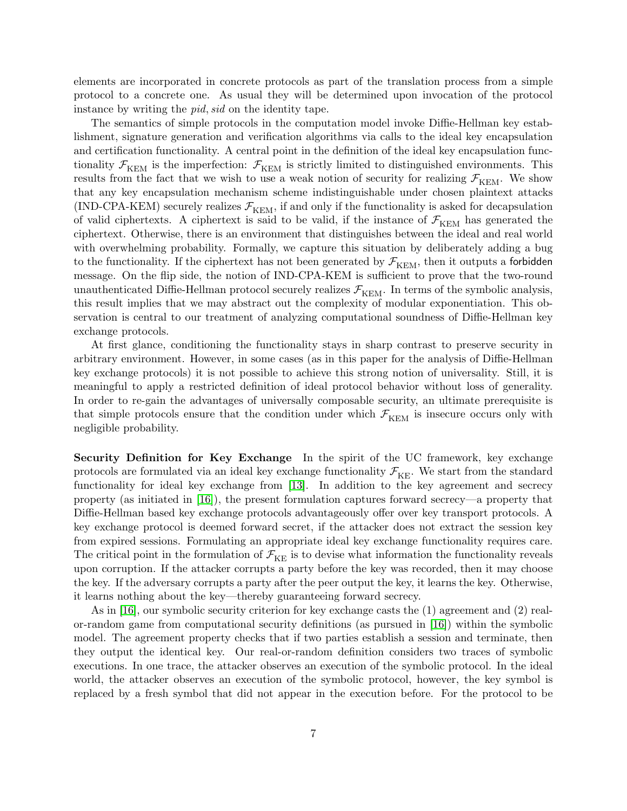elements are incorporated in concrete protocols as part of the translation process from a simple protocol to a concrete one. As usual they will be determined upon invocation of the protocol instance by writing the pid, sid on the identity tape.

The semantics of simple protocols in the computation model invoke Diffie-Hellman key establishment, signature generation and verification algorithms via calls to the ideal key encapsulation and certification functionality. A central point in the definition of the ideal key encapsulation functionality  $\mathcal{F}_{\text{KEM}}$  is the imperfection:  $\mathcal{F}_{\text{KEM}}$  is strictly limited to distinguished environments. This results from the fact that we wish to use a weak notion of security for realizing  $\mathcal{F}_{\text{KEM}}$ . We show that any key encapsulation mechanism scheme indistinguishable under chosen plaintext attacks (IND-CPA-KEM) securely realizes  $\mathcal{F}_{\text{KEM}}$ , if and only if the functionality is asked for decapsulation of valid ciphertexts. A ciphertext is said to be valid, if the instance of  $\mathcal{F}_{\text{KEM}}$  has generated the ciphertext. Otherwise, there is an environment that distinguishes between the ideal and real world with overwhelming probability. Formally, we capture this situation by deliberately adding a bug to the functionality. If the ciphertext has not been generated by  $\mathcal{F}_{\text{KEM}}$ , then it outputs a forbidden message. On the flip side, the notion of IND-CPA-KEM is sufficient to prove that the two-round unauthenticated Diffie-Hellman protocol securely realizes  $\mathcal{F}_{\text{KEM}}$ . In terms of the symbolic analysis, this result implies that we may abstract out the complexity of modular exponentiation. This observation is central to our treatment of analyzing computational soundness of Diffie-Hellman key exchange protocols.

At first glance, conditioning the functionality stays in sharp contrast to preserve security in arbitrary environment. However, in some cases (as in this paper for the analysis of Diffie-Hellman key exchange protocols) it is not possible to achieve this strong notion of universality. Still, it is meaningful to apply a restricted definition of ideal protocol behavior without loss of generality. In order to re-gain the advantages of universally composable security, an ultimate prerequisite is that simple protocols ensure that the condition under which  $\mathcal{F}_{\text{KEM}}$  is insecure occurs only with negligible probability.

Security Definition for Key Exchange In the spirit of the UC framework, key exchange protocols are formulated via an ideal key exchange functionality  $\mathcal{F}_{KE}$ . We start from the standard functionality for ideal key exchange from [\[13\]](#page-49-5). In addition to the key agreement and secrecy property (as initiated in [\[16\]](#page-50-5)), the present formulation captures forward secrecy—a property that Diffie-Hellman based key exchange protocols advantageously offer over key transport protocols. A key exchange protocol is deemed forward secret, if the attacker does not extract the session key from expired sessions. Formulating an appropriate ideal key exchange functionality requires care. The critical point in the formulation of  $\mathcal{F}_{KF}$  is to devise what information the functionality reveals upon corruption. If the attacker corrupts a party before the key was recorded, then it may choose the key. If the adversary corrupts a party after the peer output the key, it learns the key. Otherwise, it learns nothing about the key—thereby guaranteeing forward secrecy.

As in [\[16\]](#page-50-5), our symbolic security criterion for key exchange casts the (1) agreement and (2) realor-random game from computational security definitions (as pursued in [\[16\]](#page-50-5)) within the symbolic model. The agreement property checks that if two parties establish a session and terminate, then they output the identical key. Our real-or-random definition considers two traces of symbolic executions. In one trace, the attacker observes an execution of the symbolic protocol. In the ideal world, the attacker observes an execution of the symbolic protocol, however, the key symbol is replaced by a fresh symbol that did not appear in the execution before. For the protocol to be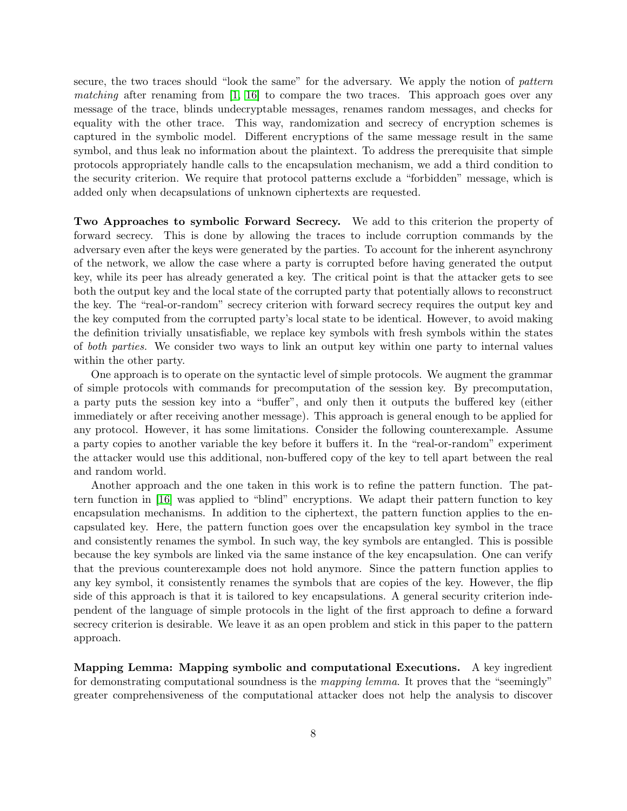secure, the two traces should "look the same" for the adversary. We apply the notion of *pattern* matching after renaming from  $\begin{bmatrix} 1 \\ 1 \end{bmatrix}$  to compare the two traces. This approach goes over any message of the trace, blinds undecryptable messages, renames random messages, and checks for equality with the other trace. This way, randomization and secrecy of encryption schemes is captured in the symbolic model. Different encryptions of the same message result in the same symbol, and thus leak no information about the plaintext. To address the prerequisite that simple protocols appropriately handle calls to the encapsulation mechanism, we add a third condition to the security criterion. We require that protocol patterns exclude a "forbidden" message, which is added only when decapsulations of unknown ciphertexts are requested.

Two Approaches to symbolic Forward Secrecy. We add to this criterion the property of forward secrecy. This is done by allowing the traces to include corruption commands by the adversary even after the keys were generated by the parties. To account for the inherent asynchrony of the network, we allow the case where a party is corrupted before having generated the output key, while its peer has already generated a key. The critical point is that the attacker gets to see both the output key and the local state of the corrupted party that potentially allows to reconstruct the key. The "real-or-random" secrecy criterion with forward secrecy requires the output key and the key computed from the corrupted party's local state to be identical. However, to avoid making the definition trivially unsatisfiable, we replace key symbols with fresh symbols within the states of both parties. We consider two ways to link an output key within one party to internal values within the other party.

One approach is to operate on the syntactic level of simple protocols. We augment the grammar of simple protocols with commands for precomputation of the session key. By precomputation, a party puts the session key into a "buffer", and only then it outputs the buffered key (either immediately or after receiving another message). This approach is general enough to be applied for any protocol. However, it has some limitations. Consider the following counterexample. Assume a party copies to another variable the key before it buffers it. In the "real-or-random" experiment the attacker would use this additional, non-buffered copy of the key to tell apart between the real and random world.

Another approach and the one taken in this work is to refine the pattern function. The pattern function in [\[16\]](#page-50-5) was applied to "blind" encryptions. We adapt their pattern function to key encapsulation mechanisms. In addition to the ciphertext, the pattern function applies to the encapsulated key. Here, the pattern function goes over the encapsulation key symbol in the trace and consistently renames the symbol. In such way, the key symbols are entangled. This is possible because the key symbols are linked via the same instance of the key encapsulation. One can verify that the previous counterexample does not hold anymore. Since the pattern function applies to any key symbol, it consistently renames the symbols that are copies of the key. However, the flip side of this approach is that it is tailored to key encapsulations. A general security criterion independent of the language of simple protocols in the light of the first approach to define a forward secrecy criterion is desirable. We leave it as an open problem and stick in this paper to the pattern approach.

Mapping Lemma: Mapping symbolic and computational Executions. A key ingredient for demonstrating computational soundness is the *mapping lemma*. It proves that the "seemingly" greater comprehensiveness of the computational attacker does not help the analysis to discover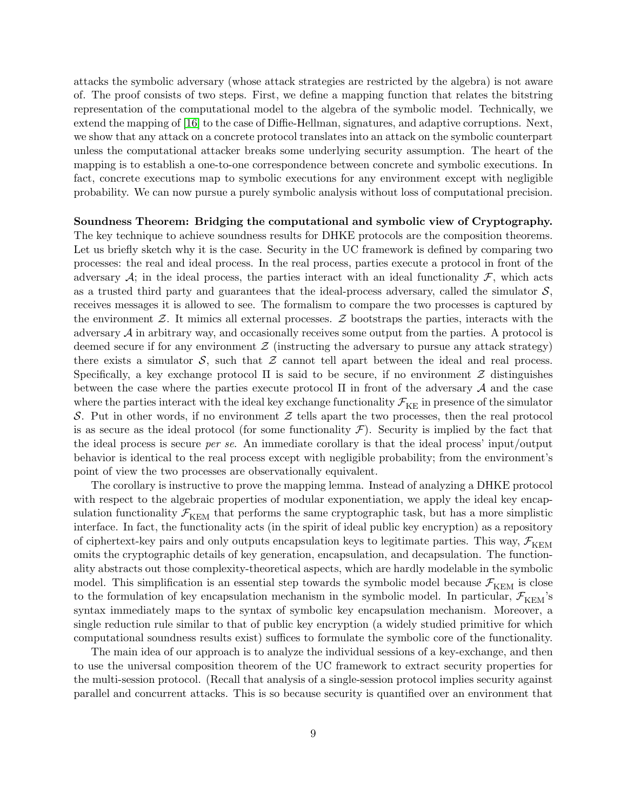attacks the symbolic adversary (whose attack strategies are restricted by the algebra) is not aware of. The proof consists of two steps. First, we define a mapping function that relates the bitstring representation of the computational model to the algebra of the symbolic model. Technically, we extend the mapping of [\[16\]](#page-50-5) to the case of Diffie-Hellman, signatures, and adaptive corruptions. Next, we show that any attack on a concrete protocol translates into an attack on the symbolic counterpart unless the computational attacker breaks some underlying security assumption. The heart of the mapping is to establish a one-to-one correspondence between concrete and symbolic executions. In fact, concrete executions map to symbolic executions for any environment except with negligible probability. We can now pursue a purely symbolic analysis without loss of computational precision.

### Soundness Theorem: Bridging the computational and symbolic view of Cryptography.

The key technique to achieve soundness results for DHKE protocols are the composition theorems. Let us briefly sketch why it is the case. Security in the UC framework is defined by comparing two processes: the real and ideal process. In the real process, parties execute a protocol in front of the adversary  $\mathcal{A}$ ; in the ideal process, the parties interact with an ideal functionality  $\mathcal{F}$ , which acts as a trusted third party and guarantees that the ideal-process adversary, called the simulator  $S$ , receives messages it is allowed to see. The formalism to compare the two processes is captured by the environment  $\mathcal{Z}$ . It mimics all external processes.  $\mathcal{Z}$  bootstraps the parties, interacts with the adversary  $A$  in arbitrary way, and occasionally receives some output from the parties. A protocol is deemed secure if for any environment  $\mathcal Z$  (instructing the adversary to pursue any attack strategy) there exists a simulator  $S$ , such that  $Z$  cannot tell apart between the ideal and real process. Specifically, a key exchange protocol  $\Pi$  is said to be secure, if no environment  $\mathcal Z$  distinguishes between the case where the parties execute protocol  $\Pi$  in front of the adversary  $\mathcal A$  and the case where the parties interact with the ideal key exchange functionality  $\mathcal{F}_{KE}$  in presence of the simulator S. Put in other words, if no environment  $\mathcal Z$  tells apart the two processes, then the real protocol is as secure as the ideal protocol (for some functionality  $\mathcal{F}$ ). Security is implied by the fact that the ideal process is secure per se. An immediate corollary is that the ideal process' input/output behavior is identical to the real process except with negligible probability; from the environment's point of view the two processes are observationally equivalent.

The corollary is instructive to prove the mapping lemma. Instead of analyzing a DHKE protocol with respect to the algebraic properties of modular exponentiation, we apply the ideal key encapsulation functionality  $\mathcal{F}_{\text{KEM}}$  that performs the same cryptographic task, but has a more simplistic interface. In fact, the functionality acts (in the spirit of ideal public key encryption) as a repository of ciphertext-key pairs and only outputs encapsulation keys to legitimate parties. This way,  $\mathcal{F}_{\text{KEM}}$ omits the cryptographic details of key generation, encapsulation, and decapsulation. The functionality abstracts out those complexity-theoretical aspects, which are hardly modelable in the symbolic model. This simplification is an essential step towards the symbolic model because  $\mathcal{F}_{\text{KEM}}$  is close to the formulation of key encapsulation mechanism in the symbolic model. In particular,  $\mathcal{F}_{\text{KEM}}$ 's syntax immediately maps to the syntax of symbolic key encapsulation mechanism. Moreover, a single reduction rule similar to that of public key encryption (a widely studied primitive for which computational soundness results exist) suffices to formulate the symbolic core of the functionality.

The main idea of our approach is to analyze the individual sessions of a key-exchange, and then to use the universal composition theorem of the UC framework to extract security properties for the multi-session protocol. (Recall that analysis of a single-session protocol implies security against parallel and concurrent attacks. This is so because security is quantified over an environment that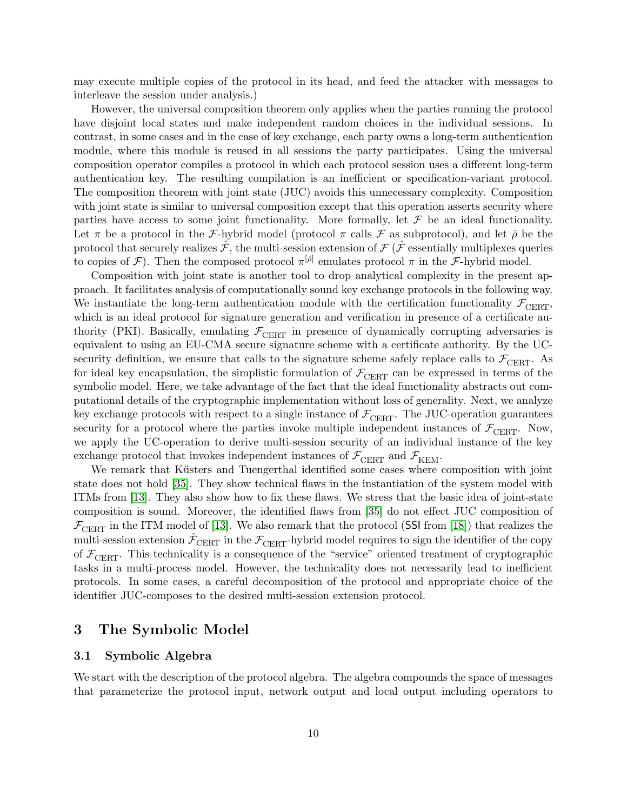may execute multiple copies of the protocol in its head, and feed the attacker with messages to interleave the session under analysis.)

However, the universal composition theorem only applies when the parties running the protocol have disjoint local states and make independent random choices in the individual sessions. In contrast, in some cases and in the case of key exchange, each party owns a long-term authentication module, where this module is reused in all sessions the party participates. Using the universal composition operator compiles a protocol in which each protocol session uses a different long-term authentication key. The resulting compilation is an inefficient or specification-variant protocol. The composition theorem with joint state (JUC) avoids this unnecessary complexity. Composition with joint state is similar to universal composition except that this operation asserts security where parties have access to some joint functionality. More formally, let  $\mathcal F$  be an ideal functionality. Let  $\pi$  be a protocol in the *F*-hybrid model (protocol  $\pi$  calls *F* as subprotocol), and let  $\hat{\rho}$  be the protocol that securely realizes  $\hat{\mathcal{F}}$ , the multi-session extension of  $\mathcal{F}(\hat{\mathcal{F}})$  essentially multiplexes queries to copies of  $\mathcal{F}$ ). Then the composed protocol  $\pi^{[\hat{\rho}]}$  emulates protocol  $\pi$  in the  $\mathcal{F}$ -hybrid model.

Composition with joint state is another tool to drop analytical complexity in the present approach. It facilitates analysis of computationally sound key exchange protocols in the following way. We instantiate the long-term authentication module with the certification functionality  $\mathcal{F}_{\text{CBRT}}$ , which is an ideal protocol for signature generation and verification in presence of a certificate authority (PKI). Basically, emulating  $\mathcal{F}_{\text{CBRT}}$  in presence of dynamically corrupting adversaries is equivalent to using an EU-CMA secure signature scheme with a certificate authority. By the UCsecurity definition, we ensure that calls to the signature scheme safely replace calls to  $\mathcal{F}_{\text{CBRT}}$ . As for ideal key encapsulation, the simplistic formulation of  $\mathcal{F}_{\text{CBRT}}$  can be expressed in terms of the symbolic model. Here, we take advantage of the fact that the ideal functionality abstracts out computational details of the cryptographic implementation without loss of generality. Next, we analyze key exchange protocols with respect to a single instance of  $\mathcal{F}_{\text{CERT}}$ . The JUC-operation guarantees security for a protocol where the parties invoke multiple independent instances of  $\mathcal{F}_{\text{CERT}}$ . Now, we apply the UC-operation to derive multi-session security of an individual instance of the key exchange protocol that invokes independent instances of  $\mathcal{F}_{\text{CERT}}$  and  $\mathcal{F}_{\text{KEM}}$ .

We remark that Küsters and Tuengerthal identified some cases where composition with joint state does not hold [\[35\]](#page-51-11). They show technical flaws in the instantiation of the system model with ITMs from [\[13\]](#page-49-5). They also show how to fix these flaws. We stress that the basic idea of joint-state composition is sound. Moreover, the identified flaws from [\[35\]](#page-51-11) do not effect JUC composition of  $\mathcal{F}_{\text{CBRT}}$  in the ITM model of [\[13\]](#page-49-5). We also remark that the protocol (SSI from [\[18\]](#page-50-6)) that realizes the multi-session extension  $\hat{\mathcal{F}}_{\text{CBRT}}$  in the  $\mathcal{F}_{\text{CBRT}}$ -hybrid model requires to sign the identifier of the copy of  $\mathcal{F}_{\text{CEPT}}$ . This technicality is a consequence of the "service" oriented treatment of cryptographic tasks in a multi-process model. However, the technicality does not necessarily lead to inefficient protocols. In some cases, a careful decomposition of the protocol and appropriate choice of the identifier JUC-composes to the desired multi-session extension protocol.

## <span id="page-11-0"></span>3 The Symbolic Model

## <span id="page-11-1"></span>3.1 Symbolic Algebra

We start with the description of the protocol algebra. The algebra compounds the space of messages that parameterize the protocol input, network output and local output including operators to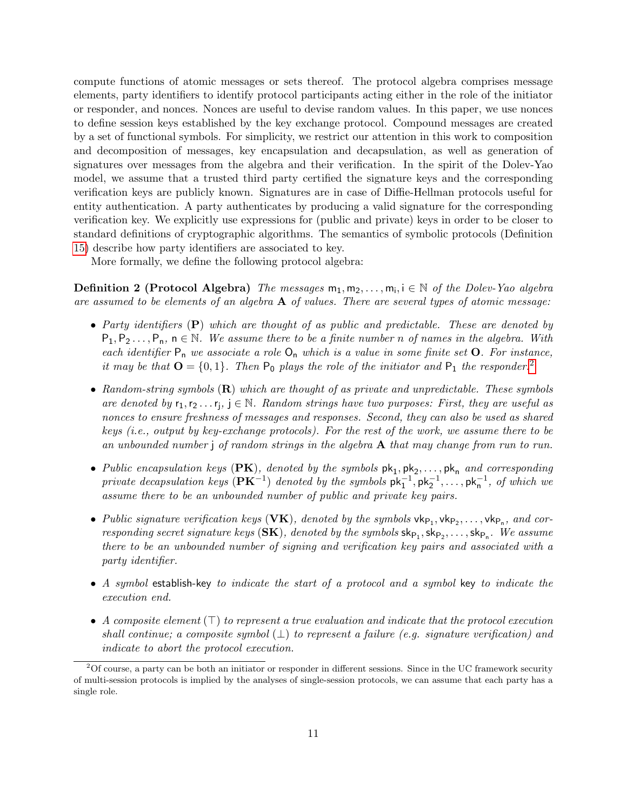compute functions of atomic messages or sets thereof. The protocol algebra comprises message elements, party identifiers to identify protocol participants acting either in the role of the initiator or responder, and nonces. Nonces are useful to devise random values. In this paper, we use nonces to define session keys established by the key exchange protocol. Compound messages are created by a set of functional symbols. For simplicity, we restrict our attention in this work to composition and decomposition of messages, key encapsulation and decapsulation, as well as generation of signatures over messages from the algebra and their verification. In the spirit of the Dolev-Yao model, we assume that a trusted third party certified the signature keys and the corresponding verification keys are publicly known. Signatures are in case of Diffie-Hellman protocols useful for entity authentication. A party authenticates by producing a valid signature for the corresponding verification key. We explicitly use expressions for (public and private) keys in order to be closer to standard definitions of cryptographic algorithms. The semantics of symbolic protocols (Definition [15\)](#page-32-1) describe how party identifiers are associated to key.

More formally, we define the following protocol algebra:

**Definition 2 (Protocol Algebra)** The messages  $m_1, m_2, \ldots, m_i, i \in \mathbb{N}$  of the Dolev-Yao algebra are assumed to be elements of an algebra  $\bf{A}$  of values. There are several types of atomic message:

- Party identifiers (P) which are thought of as public and predictable. These are denoted by  $P_1, P_2, \ldots, P_n, n \in \mathbb{N}$ . We assume there to be a finite number n of names in the algebra. With each identifier  $P_n$  we associate a role  $O_n$  which is a value in some finite set  $O$ . For instance, it may be that  $\mathbf{O} = \{0, 1\}$ . Then  $P_0$  plays the role of the initiator and  $P_1$  the responder.<sup>[2](#page-12-0)</sup>
- Random-string symbols  $(R)$  which are thought of as private and unpredictable. These symbols are denoted by  $r_1, r_2 \ldots r_j$ ,  $j \in \mathbb{N}$ . Random strings have two purposes: First, they are useful as nonces to ensure freshness of messages and responses. Second, they can also be used as shared keys (i.e., output by key-exchange protocols). For the rest of the work, we assume there to be an unbounded number  $\mathfrak j$  of random strings in the algebra  $\mathbf A$  that may change from run to run.
- Public encapsulation keys (PK), denoted by the symbols  $pk_1, pk_2, ..., pk_n$  and corresponding private decapsulation keys  $(\mathbf{P}\mathbf{K}^{-1})$  denoted by the symbols  $\mathsf{pk}_1^{-1}, \mathsf{pk}_2^{-1}, \ldots, \mathsf{pk}_n^{-1}$ , of which we assume there to be an unbounded number of public and private key pairs.
- Public signature verification keys (VK), denoted by the symbols  $\mathsf{vk}_{\mathsf{P}_1}, \mathsf{vk}_{\mathsf{P}_2}, \ldots, \mathsf{vk}_{\mathsf{P}_n}$ , and corresponding secret signature keys  $(SK)$ , denoted by the symbols  $\mathsf{sk}_{P_1}, \mathsf{sk}_{P_2}, \ldots, \mathsf{sk}_{P_n}$ . We assume there to be an unbounded number of signing and verification key pairs and associated with a party identifier.
- A symbol establish-key to indicate the start of a protocol and a symbol key to indicate the execution end.
- A composite element  $(\top)$  to represent a true evaluation and indicate that the protocol execution shall continue; a composite symbol  $(\perp)$  to represent a failure (e.g. signature verification) and indicate to abort the protocol execution.

<span id="page-12-0"></span> $2^2$ Of course, a party can be both an initiator or responder in different sessions. Since in the UC framework security of multi-session protocols is implied by the analyses of single-session protocols, we can assume that each party has a single role.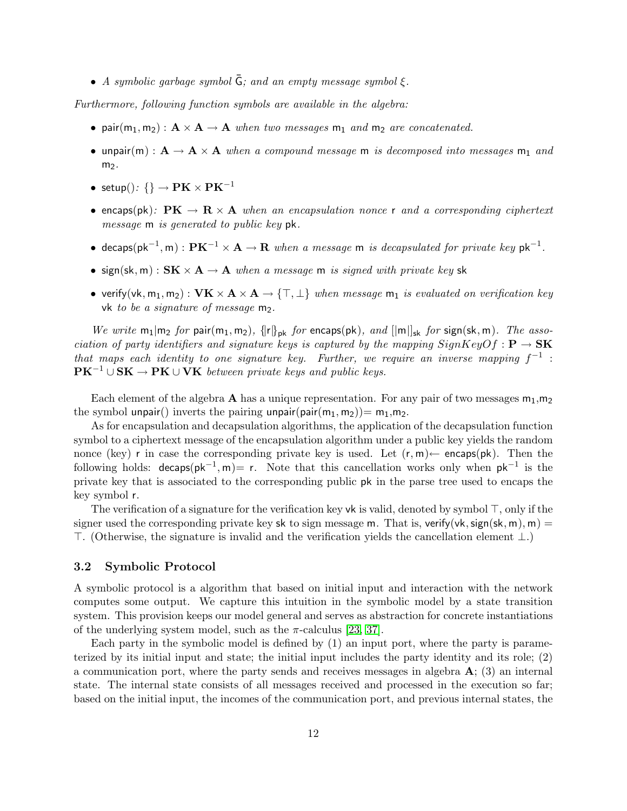• A symbolic garbage symbol  $\bar{G}$ ; and an empty message symbol  $\xi$ .

Furthermore, following function symbols are available in the algebra:

- pair $(m_1, m_2)$ :  $A \times A \rightarrow A$  when two messages  $m_1$  and  $m_2$  are concatenated.
- unpair(m) :  $A \rightarrow A \times A$  when a compound message m is decomposed into messages m<sub>1</sub> and  $m<sub>2</sub>$ .
- setup():  $\{\}\to P\mathbf{K}\times P\mathbf{K}^{-1}$
- encaps(pk):  $PK \rightarrow R \times A$  when an encapsulation nonce r and a corresponding ciphertext message m is generated to public key pk.
- decaps(pk<sup>-1</sup>, m):  $\mathbf{P} \mathbf{K}^{-1} \times \mathbf{A} \to \mathbf{R}$  when a message m is decapsulated for private key pk<sup>-1</sup>.
- sign(sk, m) :  $SK \times A \rightarrow A$  when a message m is signed with private key sk
- verify(vk, m<sub>1</sub>, m<sub>2</sub>) :  $VK \times A \times A \rightarrow \{\top, \bot\}$  when message m<sub>1</sub> is evaluated on verification key vk to be a signature of message  $m_2$ .

We write  $m_1|m_2$  for pair $(m_1, m_2)$ ,  $\{ |r|\}_{pk}$  for encaps(pk), and  $\{ |m|\}_{sk}$  for sign(sk, m). The association of party identifiers and signature keys is captured by the mapping  $SignKeyOf : P \rightarrow SK$ that maps each identity to one signature key. Further, we require an inverse mapping  $f^{-1}$ :  $PK^{-1} \cup SK \rightarrow PK \cup VK$  between private keys and public keys.

Each element of the algebra A has a unique representation. For any pair of two messages  $m_1, m_2$ the symbol unpair() inverts the pairing unpair(pair( $m_1, m_2$ ))=  $m_1, m_2$ .

As for encapsulation and decapsulation algorithms, the application of the decapsulation function symbol to a ciphertext message of the encapsulation algorithm under a public key yields the random nonce (key) r in case the corresponding private key is used. Let  $(r, m) \leftarrow$  encaps(pk). Then the following holds:  $decaps(pk^{-1}, m) = r$ . Note that this cancellation works only when  $pk^{-1}$  is the private key that is associated to the corresponding public pk in the parse tree used to encaps the key symbol r.

The verification of a signature for the verification key vk is valid, denoted by symbol  $\top$ , only if the signer used the corresponding private key sk to sign message m. That is, verify(vk, sign(sk, m), m) =  $\top$ . (Otherwise, the signature is invalid and the verification yields the cancellation element ⊥.)

### <span id="page-13-0"></span>3.2 Symbolic Protocol

A symbolic protocol is a algorithm that based on initial input and interaction with the network computes some output. We capture this intuition in the symbolic model by a state transition system. This provision keeps our model general and serves as abstraction for concrete instantiations of the underlying system model, such as the  $\pi$ -calculus [\[23,](#page-50-10) [37\]](#page-51-4).

Each party in the symbolic model is defined by (1) an input port, where the party is parameterized by its initial input and state; the initial input includes the party identity and its role; (2) a communication port, where the party sends and receives messages in algebra  $\mathbf{A}$ ; (3) an internal state. The internal state consists of all messages received and processed in the execution so far; based on the initial input, the incomes of the communication port, and previous internal states, the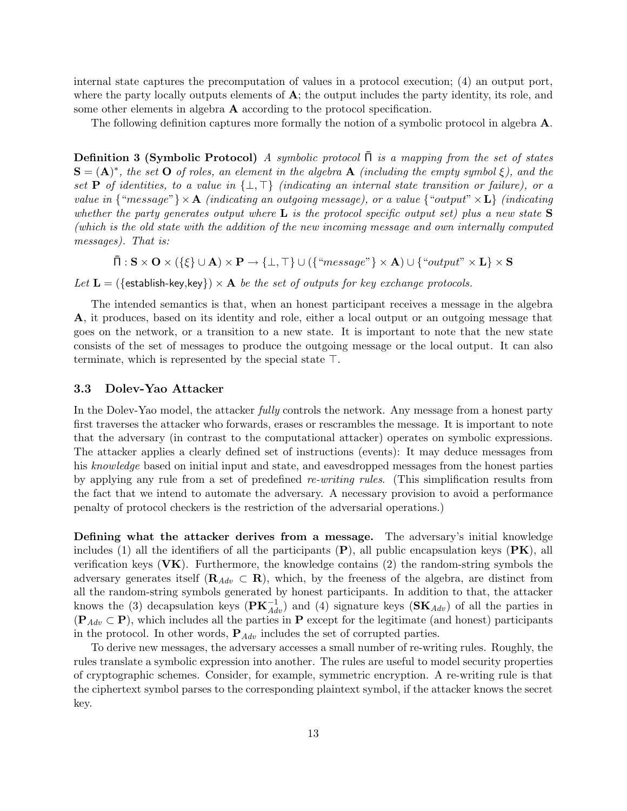internal state captures the precomputation of values in a protocol execution; (4) an output port, where the party locally outputs elements of  $\mathbf{A}$ ; the output includes the party identity, its role, and some other elements in algebra A according to the protocol specification.

<span id="page-14-1"></span>The following definition captures more formally the notion of a symbolic protocol in algebra A.

**Definition 3 (Symbolic Protocol)** A symbolic protocol  $\overline{\Pi}$  is a mapping from the set of states  $S = (A)^*$ , the set O of roles, an element in the algebra A (including the empty symbol  $\xi$ ), and the set **P** of identities, to a value in  $\{\perp, \top\}$  (indicating an internal state transition or failure), or a value in  $\{\text{``message''}\}\times\mathbf{A}$  (indicating an outgoing message), or a value  $\{\text{``output''}\times\mathbf{L}\}$  (indicating whether the party generates output where  $L$  is the protocol specific output set) plus a new state  $S$ (which is the old state with the addition of the new incoming message and own internally computed messages). That is:

 $\bar{\Pi}: \mathbf{S} \times \mathbf{O} \times (\{\xi\} \cup \mathbf{A}) \times \mathbf{P} \rightarrow \{\bot, \top\} \cup (\{\text{``message''}\} \times \mathbf{A}) \cup \{\text{``output''} \times \mathbf{L}\} \times \mathbf{S}$ 

Let  $\mathbf{L} = (\{\text{establish-key}, \text{key}\}) \times \mathbf{A}$  be the set of outputs for key exchange protocols.

The intended semantics is that, when an honest participant receives a message in the algebra A, it produces, based on its identity and role, either a local output or an outgoing message that goes on the network, or a transition to a new state. It is important to note that the new state consists of the set of messages to produce the outgoing message or the local output. It can also terminate, which is represented by the special state  $\top$ .

### <span id="page-14-0"></span>3.3 Dolev-Yao Attacker

In the Dolev-Yao model, the attacker *fully* controls the network. Any message from a honest party first traverses the attacker who forwards, erases or rescrambles the message. It is important to note that the adversary (in contrast to the computational attacker) operates on symbolic expressions. The attacker applies a clearly defined set of instructions (events): It may deduce messages from his knowledge based on initial input and state, and eavesdropped messages from the honest parties by applying any rule from a set of predefined re-writing rules. (This simplification results from the fact that we intend to automate the adversary. A necessary provision to avoid a performance penalty of protocol checkers is the restriction of the adversarial operations.)

Defining what the attacker derives from a message. The adversary's initial knowledge includes (1) all the identifiers of all the participants  $(P)$ , all public encapsulation keys  $(PK)$ , all verification keys  $(VK)$ . Furthermore, the knowledge contains (2) the random-string symbols the adversary generates itself ( $\mathbf{R}_{Adv} \subset \mathbf{R}$ ), which, by the freeness of the algebra, are distinct from all the random-string symbols generated by honest participants. In addition to that, the attacker knows the (3) decapsulation keys ( $\mathbf{PK}_{Adv}^{-1}$ ) and (4) signature keys ( $\mathbf{SK}_{Adv}$ ) of all the parties in  $(\mathbf{P}_{Adv} \subset \mathbf{P})$ , which includes all the parties in P except for the legitimate (and honest) participants in the protocol. In other words,  $P_{Adv}$  includes the set of corrupted parties.

To derive new messages, the adversary accesses a small number of re-writing rules. Roughly, the rules translate a symbolic expression into another. The rules are useful to model security properties of cryptographic schemes. Consider, for example, symmetric encryption. A re-writing rule is that the ciphertext symbol parses to the corresponding plaintext symbol, if the attacker knows the secret key.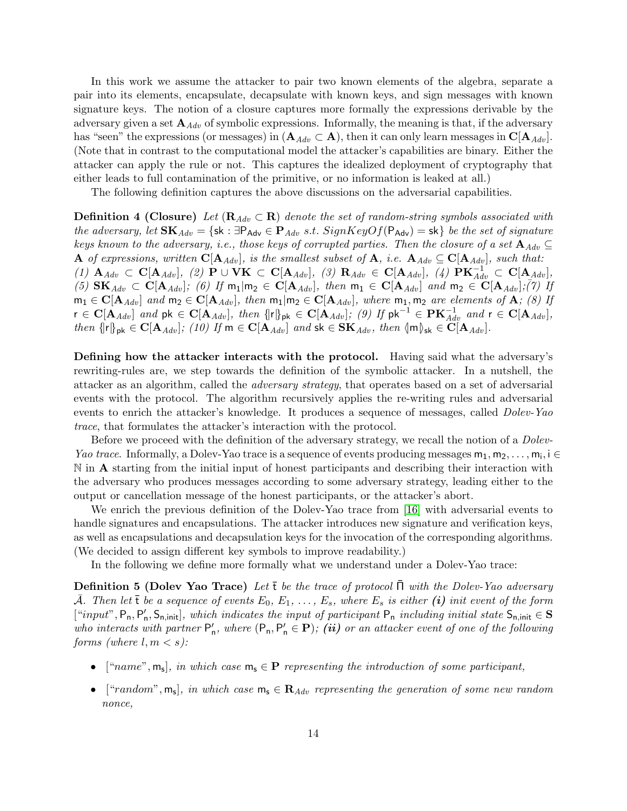In this work we assume the attacker to pair two known elements of the algebra, separate a pair into its elements, encapsulate, decapsulate with known keys, and sign messages with known signature keys. The notion of a closure captures more formally the expressions derivable by the adversary given a set  $\mathbf{A}_{Adv}$  of symbolic expressions. Informally, the meaning is that, if the adversary has "seen" the expressions (or messages) in  $(A_{Adv} \subset A)$ , then it can only learn messages in  $C|A_{Adv}|$ . (Note that in contrast to the computational model the attacker's capabilities are binary. Either the attacker can apply the rule or not. This captures the idealized deployment of cryptography that either leads to full contamination of the primitive, or no information is leaked at all.)

The following definition captures the above discussions on the adversarial capabilities.

**Definition 4 (Closure)** Let  $(R_{Adv} \subset R)$  denote the set of random-string symbols associated with the adversary, let  $\mathbf{SK}_{Adv} = \{\mathbf{sk} : \exists P_{Adv} \in \mathbf{P}_{Adv} \text{ s.t. } SignKeyOf(\mathsf{P}_{Adv}) = \mathbf{sk}\}\text{ be the set of signature}\$ keys known to the adversary, i.e., those keys of corrupted parties. Then the closure of a set  $\mathbf{A}_{Adv} \subseteq$ A of expressions, written  $C[A_{Adv}]$ , is the smallest subset of A, i.e.  $A_{Adv} \subseteq C[A_{Adv}]$ , such that: (1)  ${\bf A}_{Adv} \subset {\bf C}[{\bf A}_{Adv}],$  (2)  ${\bf P} \cup {\bf V}{\bf K} \subset {\bf C}[{\bf A}_{Adv}],$  (3)  ${\bf R}_{Adv} \in {\bf C}[{\bf A}_{Adv}],$  (4)  ${\bf P}{\bf K}_{Adv}^{-1} \subset {\bf C}[{\bf A}_{Adv}],$ (5)  $\mathbf{SK}_{Adv} \subset \mathbf{C}[\mathbf{A}_{Adv}];$  (6) If  $m_1 | m_2 \in \mathbf{C}[\mathbf{A}_{Adv}],$  then  $m_1 \in \mathbf{C}[\mathbf{A}_{Adv}]$  and  $m_2 \in \mathbf{C}[\mathbf{A}_{Adv}];$  (7) If  $m_1 \in \mathbf{C}[\mathbf{A}_{Adv}]$  and  $m_2 \in \mathbf{C}[\mathbf{A}_{Adv}]$ , then  $m_1|m_2 \in \mathbf{C}[\mathbf{A}_{Adv}]$ , where  $m_1, m_2$  are elements of  $\mathbf{A}$ ; (8) If  $r \in \mathbf{C}[\mathbf{A}_{Adv}]$  and  $pk \in \mathbf{C}[\mathbf{A}_{Adv}]$ , then  $\{[r]\}_{pk} \in \mathbf{C}[\mathbf{A}_{Adv}]$ ; (9) If  $pk^{-1} \in \mathbf{PK}_{Adv}^{-1}$  and  $r \in \mathbf{C}[\mathbf{A}_{Adv}]$ , then  $\{ |r|\}_{pk} \in \mathbf{C}[\mathbf{A}_{Adv}]$ ; (10) If  $m \in \mathbf{C}[\mathbf{A}_{Adv}]$  and  $sk \in \mathbf{SK}_{Adv}$ , then  $\{m\}_{sk} \in \mathbf{C}[\mathbf{A}_{Adv}]$ .

Defining how the attacker interacts with the protocol. Having said what the adversary's rewriting-rules are, we step towards the definition of the symbolic attacker. In a nutshell, the attacker as an algorithm, called the adversary strategy, that operates based on a set of adversarial events with the protocol. The algorithm recursively applies the re-writing rules and adversarial events to enrich the attacker's knowledge. It produces a sequence of messages, called *Dolev-Yao* trace, that formulates the attacker's interaction with the protocol.

Before we proceed with the definition of the adversary strategy, we recall the notion of a *Dolev-*Yao trace. Informally, a Dolev-Yao trace is a sequence of events producing messages  $m_1, m_2, \ldots, m_i$ , i  $\in$ N in **A** starting from the initial input of honest participants and describing their interaction with the adversary who produces messages according to some adversary strategy, leading either to the output or cancellation message of the honest participants, or the attacker's abort.

We enrich the previous definition of the Dolev-Yao trace from [\[16\]](#page-50-5) with adversarial events to handle signatures and encapsulations. The attacker introduces new signature and verification keys, as well as encapsulations and decapsulation keys for the invocation of the corresponding algorithms. (We decided to assign different key symbols to improve readability.)

<span id="page-15-0"></span>In the following we define more formally what we understand under a Dolev-Yao trace:

**Definition 5 (Dolev Yao Trace)** Let  $\bar{t}$  be the trace of protocol  $\bar{\Pi}$  with the Dolev-Yao adversary A. Then let  $\bar{\mathbf{t}}$  be a sequence of events  $E_0, E_1, \ldots, E_s$ , where  $E_s$  is either (i) init event of the form  $["input", P_n, P'_n, S_{n,init}],$  which indicates the input of participant  $P_n$  including initial state  $S_{n,init} \in S$ who interacts with partner  $P'_n$ , where  $(P_n, P'_n \in \mathbf{P})$ ; (ii) or an attacker event of one of the following forms (where  $l, m \lt s$ ):

- ["name",  $m_s$ ], in which case  $m_s \in \mathbf{P}$  representing the introduction of some participant,
- ["random",  $m_s$ ], in which case  $m_s \in \mathbf{R}_{Adv}$  representing the generation of some new random nonce,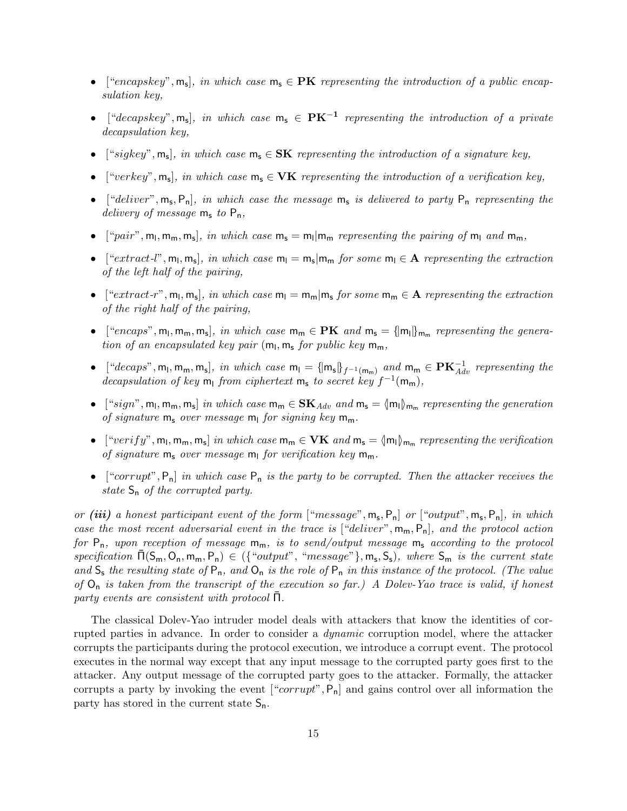- ["encapskey",  $m_s$ ], in which case  $m_s \in PK$  representing the introduction of a public encapsulation key,
- ["decapskey",  $m_s$ ], in which case  $m_s \in PK^{-1}$  representing the introduction of a private decapsulation key,
- ["sigkey",  $m_s$ ], in which case  $m_s \in SK$  representing the introduction of a signature key,
- ["verkey",  $m_s$ ], in which case  $m_s \in \mathbf{VK}$  representing the introduction of a verification key,
- ["deliver",  $m_s$ ,  $P_n$ ], in which case the message  $m_s$  is delivered to party  $P_n$  representing the delivery of message  $m_s$  to  $P_n$ ,
- ["pair",  $m_l$ ,  $m_m$ ,  $m_s$ ], in which case  $m_s = m_l | m_m$  representing the pairing of  $m_l$  and  $m_m$ ,
- ["extract-l",  $m_l$ ,  $m_s$ ], in which case  $m_l = m_s | m_m$  for some  $m_l \in A$  representing the extraction of the left half of the pairing,
- [" $ext{next-r}$ ",  $m_l, m_s$ ], in which case  $m_l = m_m | m_s$  for some  $m_m \in \mathbf{A}$  representing the extraction of the right half of the pairing,
- ["encaps",  $m_1$ ,  $m_m$ ,  $m_s$ ], in which case  $m_m \in PK$  and  $m_s = \{m_l\}_{m_m}$  representing the generation of an encapsulated key pair  $(m_l, m_s$  for public key  $m_m$ ,
- ["decaps",  $m_l$ ,  $m_m$ ,  $m_s$ ], in which case  $m_l = {\{m_s\}}_{f^{-1}(m_m)}$  and  $m_m \in \mathbf{PK}_{Adv}^{-1}$  representing the decapsulation of key  $m_1$  from ciphertext  $m_s$  to secret key  $f^{-1}(m_m)$ ,
- $[$ "sign", m<sub>l</sub>, m<sub>m</sub>, m<sub>s</sub> $]$  in which case m<sub>m</sub> ∈  $SK_{Adv}$  and m<sub>s</sub> =  $\{m_l\}_{m_m}$  representing the generation of signature  $m_s$  over message  $m_l$  for signing key  $m_m$ .
- $[``verify", m_1, m_m, m_s]$  in which case  $m_m \in VK$  and  $m_s = \langle m_1 \rangle_{m_m}$  representing the verification of signature  $m_s$  over message  $m_l$  for verification key  $m_m$ .
- ["corrupt",  $P_n$ ] in which case  $P_n$  is the party to be corrupted. Then the attacker receives the state  $S_n$  of the corrupted party.

or (iii) a honest participant event of the form  $[$ "message",  $m_s$ ,  $P_n]$  or  $[$ "output",  $m_s$ ,  $P_n]$ , in which case the most recent adversarial event in the trace is  $[$ "deliver",  $m_m$ ,  $P_n$ ], and the protocol action for  $P_n$ , upon reception of message  $m_m$ , is to send/output message  $m_s$  according to the protocol  $specification \bar{\Pi}(S_m, O_n, m_m, P_n) \in (\{``output", "message"\}, m_s, S_s), \text{ where } S_m \text{ is the current state }$ and  $S_s$  the resulting state of  $P_n$ , and  $O_n$  is the role of  $P_n$  in this instance of the protocol. (The value of  $O_n$  is taken from the transcript of the execution so far.) A Dolev-Yao trace is valid, if honest party events are consistent with protocol  $\Pi$ .

The classical Dolev-Yao intruder model deals with attackers that know the identities of corrupted parties in advance. In order to consider a dynamic corruption model, where the attacker corrupts the participants during the protocol execution, we introduce a corrupt event. The protocol executes in the normal way except that any input message to the corrupted party goes first to the attacker. Any output message of the corrupted party goes to the attacker. Formally, the attacker corrupts a party by invoking the event  $[``corrupt", P_n]$  and gains control over all information the party has stored in the current state  $S_n$ .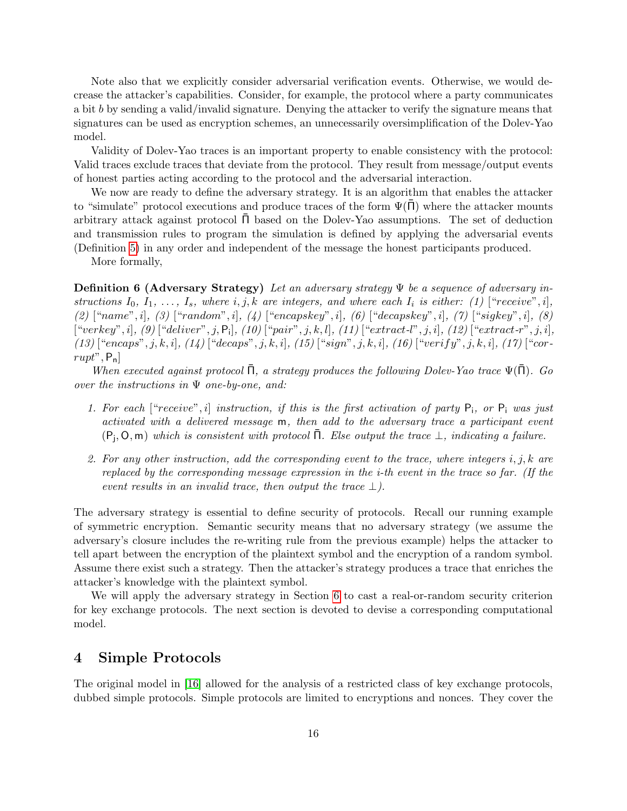Note also that we explicitly consider adversarial verification events. Otherwise, we would decrease the attacker's capabilities. Consider, for example, the protocol where a party communicates a bit b by sending a valid/invalid signature. Denying the attacker to verify the signature means that signatures can be used as encryption schemes, an unnecessarily oversimplification of the Dolev-Yao model.

Validity of Dolev-Yao traces is an important property to enable consistency with the protocol: Valid traces exclude traces that deviate from the protocol. They result from message/output events of honest parties acting according to the protocol and the adversarial interaction.

We now are ready to define the adversary strategy. It is an algorithm that enables the attacker to "simulate" protocol executions and produce traces of the form  $\Psi(\Pi)$  where the attacker mounts arbitrary attack against protocol  $\overline{\Pi}$  based on the Dolev-Yao assumptions. The set of deduction and transmission rules to program the simulation is defined by applying the adversarial events (Definition [5\)](#page-15-0) in any order and independent of the message the honest participants produced.

More formally,

**Definition 6 (Adversary Strategy)** Let an adversary strategy  $\Psi$  be a sequence of adversary instructions  $I_0, I_1, \ldots, I_s$ , where  $i, j, k$  are integers, and where each  $I_i$  is either: (1) ["receive", i], (2)  $["name", i], (3) ['"random", i], (4) ['"encapskey", i], (6) ['"decapskey", i], (7) ['"sigkey", i], (8)$  $[``verkey", i], (9) [``deliver", j, P_i], (10) [``pair", j, k, l], (11) [``extract- l", j, i], (12) [``extract- r", j, i],$  $(13)$  ["encaps", j, k, i],  $(14)$  ["decaps", j, k, i],  $(15)$  ["sign", j, k, i],  $(16)$  ["verify", j, k, i],  $(17)$  ["cor $rupt$ ",  $P_n$ ]

When executed against protocol  $\overline{\Pi}$ , a strategy produces the following Dolev-Yao trace  $\Psi(\overline{\Pi})$ . Go over the instructions in  $\Psi$  one-by-one, and:

- 1. For each ["receive", i] instruction, if this is the first activation of party  $P_i$ , or  $P_i$  was just activated with a delivered message m, then add to the adversary trace a participant event  $(P_j, O, m)$  which is consistent with protocol  $\overline{\Pi}$ . Else output the trace  $\bot$ , indicating a failure.
- 2. For any other instruction, add the corresponding event to the trace, where integers i, j, k are replaced by the corresponding message expression in the i-th event in the trace so far. (If the event results in an invalid trace, then output the trace  $\perp$ ).

The adversary strategy is essential to define security of protocols. Recall our running example of symmetric encryption. Semantic security means that no adversary strategy (we assume the adversary's closure includes the re-writing rule from the previous example) helps the attacker to tell apart between the encryption of the plaintext symbol and the encryption of a random symbol. Assume there exist such a strategy. Then the attacker's strategy produces a trace that enriches the attacker's knowledge with the plaintext symbol.

We will apply the adversary strategy in Section [6](#page-37-0) to cast a real-or-random security criterion for key exchange protocols. The next section is devoted to devise a corresponding computational model.

## <span id="page-17-0"></span>4 Simple Protocols

The original model in [\[16\]](#page-50-5) allowed for the analysis of a restricted class of key exchange protocols, dubbed simple protocols. Simple protocols are limited to encryptions and nonces. They cover the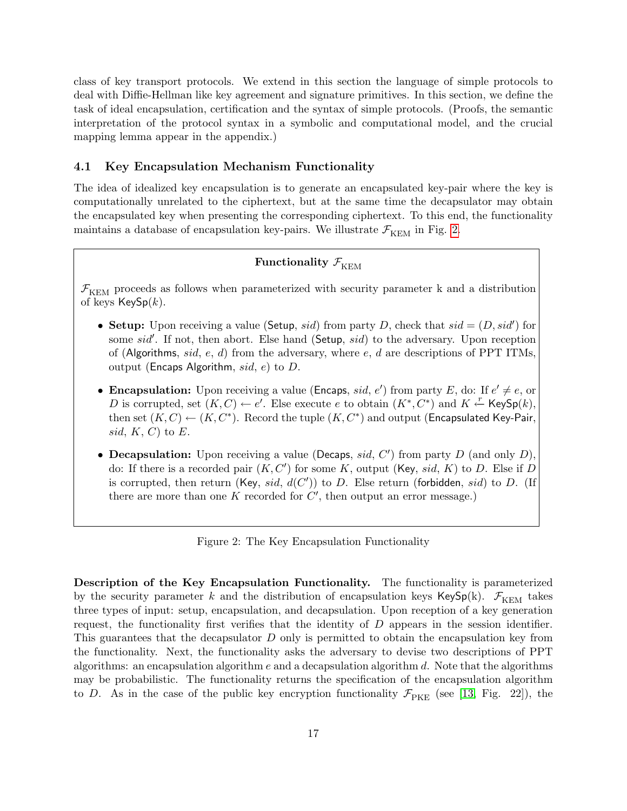class of key transport protocols. We extend in this section the language of simple protocols to deal with Diffie-Hellman like key agreement and signature primitives. In this section, we define the task of ideal encapsulation, certification and the syntax of simple protocols. (Proofs, the semantic interpretation of the protocol syntax in a symbolic and computational model, and the crucial mapping lemma appear in the appendix.)

### <span id="page-18-0"></span>4.1 Key Encapsulation Mechanism Functionality

The idea of idealized key encapsulation is to generate an encapsulated key-pair where the key is computationally unrelated to the ciphertext, but at the same time the decapsulator may obtain the encapsulated key when presenting the corresponding ciphertext. To this end, the functionality maintains a database of encapsulation key-pairs. We illustrate  $\mathcal{F}_{\text{KEM}}$  in Fig. [2.](#page-18-1)

## Functionality  $\mathcal{F}_{\text{KEM}}$

 $\mathcal{F}_{\text{KEM}}$  proceeds as follows when parameterized with security parameter k and a distribution of keys  $KeySp(k)$ .

- Setup: Upon receiving a value (Setup, sid) from party D, check that  $sid = (D, sid')$  for some  $sid'$ . If not, then abort. Else hand (Setup,  $sid$ ) to the adversary. Upon reception of (Algorithms, sid, e, d) from the adversary, where e, d are descriptions of PPT ITMs. output (Encaps Algorithm,  $sid, e$ ) to D.
- Encapsulation: Upon receiving a value (Encaps, sid, e') from party E, do: If  $e' \neq e$ , or D is corrupted, set  $(K, C) \leftarrow e'$ . Else execute e to obtain  $(K^*, C^*)$  and  $K \stackrel{r}{\leftarrow}$  KeySp $(k)$ , then set  $(K, C) \leftarrow (K, C^*)$ . Record the tuple  $(K, C^*)$  and output (Encapsulated Key-Pair, sid,  $K, C$  to  $E$ .
- Decapsulation: Upon receiving a value (Decaps, sid,  $C'$ ) from party D (and only D), do: If there is a recorded pair  $(K, C')$  for some K, output (Key, sid, K) to D. Else if D is corrupted, then return (Key, sid,  $d(C')$ ) to D. Else return (forbidden, sid) to D. (If there are more than one  $K$  recorded for  $C'$ , then output an error message.)

<span id="page-18-1"></span>Figure 2: The Key Encapsulation Functionality

Description of the Key Encapsulation Functionality. The functionality is parameterized by the security parameter k and the distribution of encapsulation keys KeySp(k).  $\mathcal{F}_{\text{KEM}}$  takes three types of input: setup, encapsulation, and decapsulation. Upon reception of a key generation request, the functionality first verifies that the identity of D appears in the session identifier. This guarantees that the decapsulator D only is permitted to obtain the encapsulation key from the functionality. Next, the functionality asks the adversary to devise two descriptions of PPT algorithms: an encapsulation algorithm  $e$  and a decapsulation algorithm  $d$ . Note that the algorithms may be probabilistic. The functionality returns the specification of the encapsulation algorithm to D. As in the case of the public key encryption functionality  $\mathcal{F}_{\text{PKE}}$  (see [\[13,](#page-49-5) Fig. 22]), the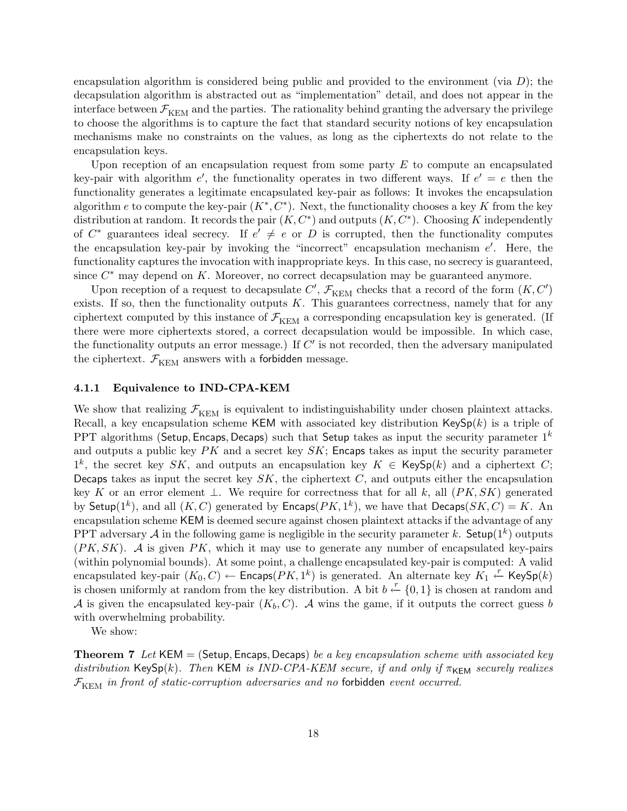encapsulation algorithm is considered being public and provided to the environment (via  $D$ ); the decapsulation algorithm is abstracted out as "implementation" detail, and does not appear in the interface between  $\mathcal{F}_{\text{KEM}}$  and the parties. The rationality behind granting the adversary the privilege to choose the algorithms is to capture the fact that standard security notions of key encapsulation mechanisms make no constraints on the values, as long as the ciphertexts do not relate to the encapsulation keys.

Upon reception of an encapsulation request from some party  $E$  to compute an encapsulated key-pair with algorithm  $e'$ , the functionality operates in two different ways. If  $e' = e$  then the functionality generates a legitimate encapsulated key-pair as follows: It invokes the encapsulation algorithm e to compute the key-pair  $(K^*, C^*)$ . Next, the functionality chooses a key K from the key distribution at random. It records the pair  $(K, C^*)$  and outputs  $(K, C^*)$ . Choosing K independently of  $C^*$  guarantees ideal secrecy. If  $e' \neq e$  or D is corrupted, then the functionality computes the encapsulation key-pair by invoking the "incorrect" encapsulation mechanism  $e'$ . Here, the functionality captures the invocation with inappropriate keys. In this case, no secrecy is guaranteed, since  $C^*$  may depend on  $K$ . Moreover, no correct decapsulation may be guaranteed anymore.

Upon reception of a request to decapsulate  $C', \mathcal{F}_{\rm KEM}$  checks that a record of the form  $(K, C')$ exists. If so, then the functionality outputs  $K$ . This guarantees correctness, namely that for any ciphertext computed by this instance of  $\mathcal{F}_{\text{KEM}}$  a corresponding encapsulation key is generated. (If there were more ciphertexts stored, a correct decapsulation would be impossible. In which case, the functionality outputs an error message.) If  $C'$  is not recorded, then the adversary manipulated the ciphertext.  $\mathcal{F}_{\text{KEM}}$  answers with a forbidden message.

## <span id="page-19-0"></span>4.1.1 Equivalence to IND-CPA-KEM

We show that realizing  $\mathcal{F}_{\text{KEM}}$  is equivalent to indistinguishability under chosen plaintext attacks. Recall, a key encapsulation scheme KEM with associated key distribution  $\text{KeySp}(k)$  is a triple of PPT algorithms (Setup, Encaps, Decaps) such that Setup takes as input the security parameter  $1<sup>k</sup>$ and outputs a public key  $PK$  and a secret key  $SK$ ; Encaps takes as input the security parameter  $1^k$ , the secret key SK, and outputs an encapsulation key  $K \in \mathsf{KeySp}(k)$  and a ciphertext C; Decaps takes as input the secret key  $SK$ , the ciphertext  $C$ , and outputs either the encapsulation key K or an error element  $\perp$ . We require for correctness that for all k, all  $(PK, SK)$  generated by Setup(1<sup>k</sup>), and all  $(K, C)$  generated by Encaps( $PK, 1<sup>k</sup>$ ), we have that Decaps( $SK, C$ ) = K. An encapsulation scheme KEM is deemed secure against chosen plaintext attacks if the advantage of any PPT adversary A in the following game is negligible in the security parameter k. Setup( $1^k$ ) outputs  $(PK, SK)$ . A is given PK, which it may use to generate any number of encapsulated key-pairs (within polynomial bounds). At some point, a challenge encapsulated key-pair is computed: A valid encapsulated key-pair  $(K_0, C) \leftarrow$  Encaps $(PK, 1^k)$  is generated. An alternate key  $K_1 \leftarrow K$ eySp $(k)$ is chosen uniformly at random from the key distribution. A bit  $b \leftarrow \{0, 1\}$  is chosen at random and A is given the encapsulated key-pair  $(K_b, C)$ . A wins the game, if it outputs the correct guess b with overwhelming probability.

<span id="page-19-1"></span>We show:

**Theorem 7** Let KEM = (Setup, Encaps, Decaps) be a key encapsulation scheme with associated key distribution KeySp(k). Then KEM is IND-CPA-KEM secure, if and only if  $\pi_{\text{KEM}}$  securely realizes  $\mathcal{F}_{\text{KFM}}$  in front of static-corruption adversaries and no forbidden event occurred.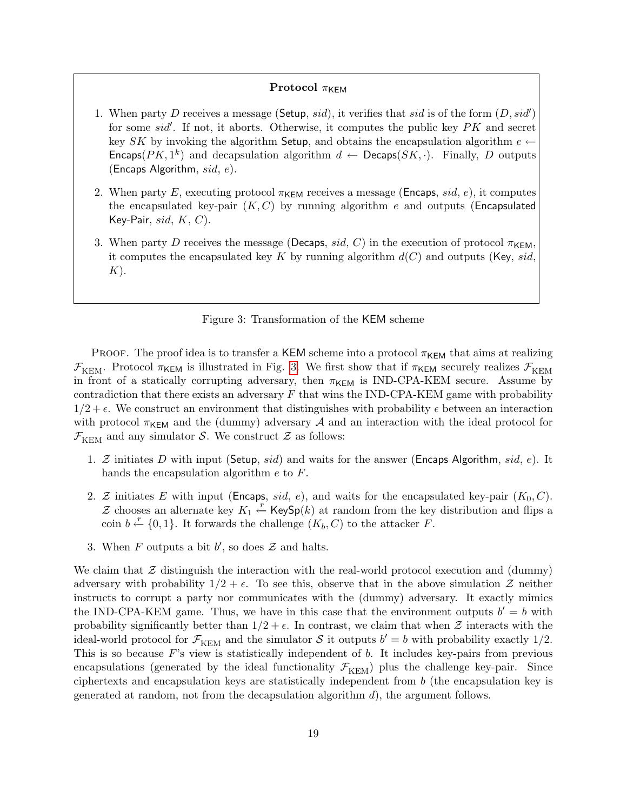### Protocol  $\pi_{\mathsf{KFM}}$

- 1. When party D receives a message (Setup, sid), it verifies that sid is of the form  $(D, sid')$ for some  $sid'$ . If not, it aborts. Otherwise, it computes the public key  $PK$  and secret key SK by invoking the algorithm Setup, and obtains the encapsulation algorithm  $e \leftarrow$ Encaps( $PK, 1^k$ ) and decapsulation algorithm  $d \leftarrow$  Decaps( $SK, \cdot$ ). Finally, D outputs (Encaps Algorithm,  $sid, e$ ).
- 2. When party E, executing protocol  $\pi_{\mathsf{KEM}}$  receives a message (Encaps, sid, e), it computes the encapsulated key-pair  $(K, C)$  by running algorithm e and outputs (Encapsulated Key-Pair,  $sid, K, C$ ).
- 3. When party D receives the message (Decaps, sid, C) in the execution of protocol  $\pi_{\mathsf{KFM}}$ , it computes the encapsulated key K by running algorithm  $d(C)$  and outputs (Key, sid,  $K$ ).

### <span id="page-20-0"></span>Figure 3: Transformation of the KEM scheme

PROOF. The proof idea is to transfer a KEM scheme into a protocol  $\pi_{\text{KEM}}$  that aims at realizing  $\mathcal{F}_{\text{KEM}}$ . Protocol  $\pi_{\text{KEM}}$  is illustrated in Fig. [3.](#page-20-0) We first show that if  $\pi_{\text{KEM}}$  securely realizes  $\mathcal{F}_{\text{KEM}}$ in front of a statically corrupting adversary, then  $\pi_{\mathsf{KEM}}$  is IND-CPA-KEM secure. Assume by contradiction that there exists an adversary  $F$  that wins the IND-CPA-KEM game with probability  $1/2 + \epsilon$ . We construct an environment that distinguishes with probability  $\epsilon$  between an interaction with protocol  $\pi_{\text{KEM}}$  and the (dummy) adversary A and an interaction with the ideal protocol for  $\mathcal{F}_{\text{KEM}}$  and any simulator S. We construct Z as follows:

- 1. Z initiates D with input (Setup, sid) and waits for the answer (Encaps Algorithm, sid, e). It hands the encapsulation algorithm e to F.
- 2. Z initiates E with input (Encaps, sid, e), and waits for the encapsulated key-pair  $(K_0, C)$ . Z chooses an alternate key  $K_1 \stackrel{r}{\leftarrow}$  KeySp(k) at random from the key distribution and flips a coin  $b \stackrel{r}{\leftarrow} \{0,1\}$ . It forwards the challenge  $(K_b, C)$  to the attacker F.
- 3. When  $F$  outputs a bit  $b'$ , so does  $\mathcal Z$  and halts.

We claim that  $\mathcal Z$  distinguish the interaction with the real-world protocol execution and (dummy) adversary with probability  $1/2 + \epsilon$ . To see this, observe that in the above simulation  $\mathcal{Z}$  neither instructs to corrupt a party nor communicates with the (dummy) adversary. It exactly mimics the IND-CPA-KEM game. Thus, we have in this case that the environment outputs  $b' = b$  with probability significantly better than  $1/2 + \epsilon$ . In contrast, we claim that when  $\mathcal Z$  interacts with the ideal-world protocol for  $\mathcal{F}_{\text{KEM}}$  and the simulator S it outputs  $b' = b$  with probability exactly 1/2. This is so because  $F$ 's view is statistically independent of  $b$ . It includes key-pairs from previous encapsulations (generated by the ideal functionality  $\mathcal{F}_{\text{KEM}}$ ) plus the challenge key-pair. Since ciphertexts and encapsulation keys are statistically independent from  $b$  (the encapsulation key is generated at random, not from the decapsulation algorithm  $d$ ), the argument follows.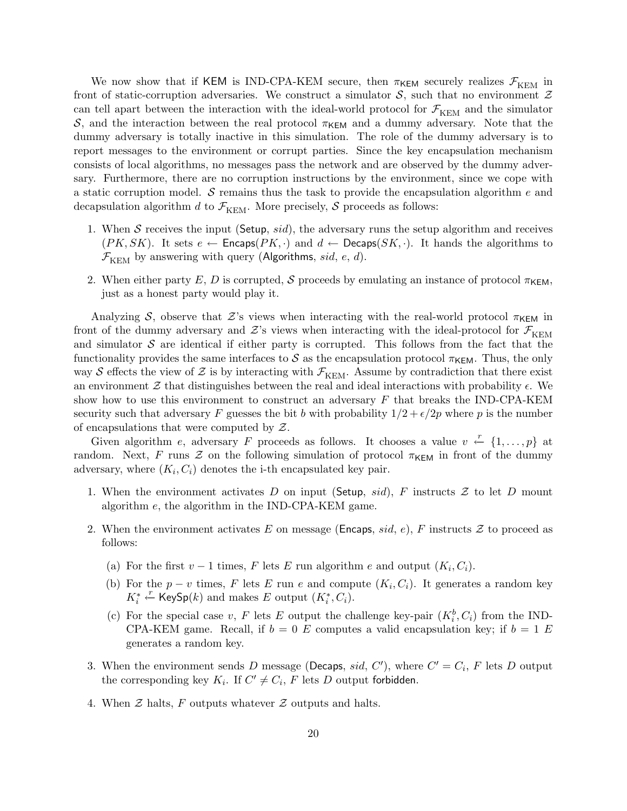We now show that if KEM is IND-CPA-KEM secure, then  $\pi_{\text{KEM}}$  securely realizes  $\mathcal{F}_{\text{KEM}}$  in front of static-corruption adversaries. We construct a simulator  $S$ , such that no environment  $\mathcal Z$ can tell apart between the interaction with the ideal-world protocol for  $\mathcal{F}_{\text{KEM}}$  and the simulator S, and the interaction between the real protocol  $\pi_{\mathsf{KEM}}$  and a dummy adversary. Note that the dummy adversary is totally inactive in this simulation. The role of the dummy adversary is to report messages to the environment or corrupt parties. Since the key encapsulation mechanism consists of local algorithms, no messages pass the network and are observed by the dummy adversary. Furthermore, there are no corruption instructions by the environment, since we cope with a static corruption model.  $S$  remains thus the task to provide the encapsulation algorithm  $e$  and decapsulation algorithm d to  $\mathcal{F}_{\text{KEM}}$ . More precisely, S proceeds as follows:

- 1. When S receives the input (Setup,  $sid$ ), the adversary runs the setup algorithm and receives  $(PK, SK)$ . It sets  $e \leftarrow$  Encaps $(PK, \cdot)$  and  $d \leftarrow$  Decaps $(SK, \cdot)$ . It hands the algorithms to  $\mathcal{F}_{\text{KEM}}$  by answering with query (Algorithms, sid, e, d).
- 2. When either party E, D is corrupted, S proceeds by emulating an instance of protocol  $\pi_{\mathsf{KEM}}$ , just as a honest party would play it.

Analyzing S, observe that Z's views when interacting with the real-world protocol  $\pi_{\text{KEM}}$  in front of the dummy adversary and  $\mathcal{Z}$ 's views when interacting with the ideal-protocol for  $\mathcal{F}_{\text{KEM}}$ and simulator  $S$  are identical if either party is corrupted. This follows from the fact that the functionality provides the same interfaces to S as the encapsulation protocol  $\pi_{\mathsf{KEM}}$ . Thus, the only way S effects the view of Z is by interacting with  $\mathcal{F}_{\text{KEM}}$ . Assume by contradiction that there exist an environment  $\mathcal Z$  that distinguishes between the real and ideal interactions with probability  $\epsilon$ . We show how to use this environment to construct an adversary  $F$  that breaks the IND-CPA-KEM security such that adversary F guesses the bit b with probability  $1/2 + \epsilon/2p$  where p is the number of encapsulations that were computed by  $\mathcal{Z}$ .

Given algorithm e, adversary F proceeds as follows. It chooses a value  $v \leftarrow \{1, \ldots, p\}$  at random. Next, F runs  $\mathcal Z$  on the following simulation of protocol  $\pi_{\text{KEM}}$  in front of the dummy adversary, where  $(K_i, C_i)$  denotes the i-th encapsulated key pair.

- 1. When the environment activates D on input (Setup, sid), F instructs  $\mathcal Z$  to let D mount algorithm e, the algorithm in the IND-CPA-KEM game.
- 2. When the environment activates E on message (Encaps, sid, e), F instructs  $\mathcal Z$  to proceed as follows:
	- (a) For the first  $v-1$  times, F lets E run algorithm e and output  $(K_i, C_i)$ .
	- (b) For the  $p v$  times, F lets E run e and compute  $(K_i, C_i)$ . It generates a random key  $K_i^* \stackrel{r}{\leftarrow} \text{KeySp}(k)$  and makes E output  $(K_i^*, C_i)$ .
	- (c) For the special case v, F lets E output the challenge key-pair  $(K_i^b, C_i)$  from the IND-CPA-KEM game. Recall, if  $b = 0$  E computes a valid encapsulation key; if  $b = 1$  E generates a random key.
- 3. When the environment sends D message (Decaps, sid, C'), where  $C' = C_i$ , F lets D output the corresponding key  $K_i$ . If  $C' \neq C_i$ , F lets D output forbidden.
- 4. When  $\mathcal Z$  halts,  $F$  outputs whatever  $\mathcal Z$  outputs and halts.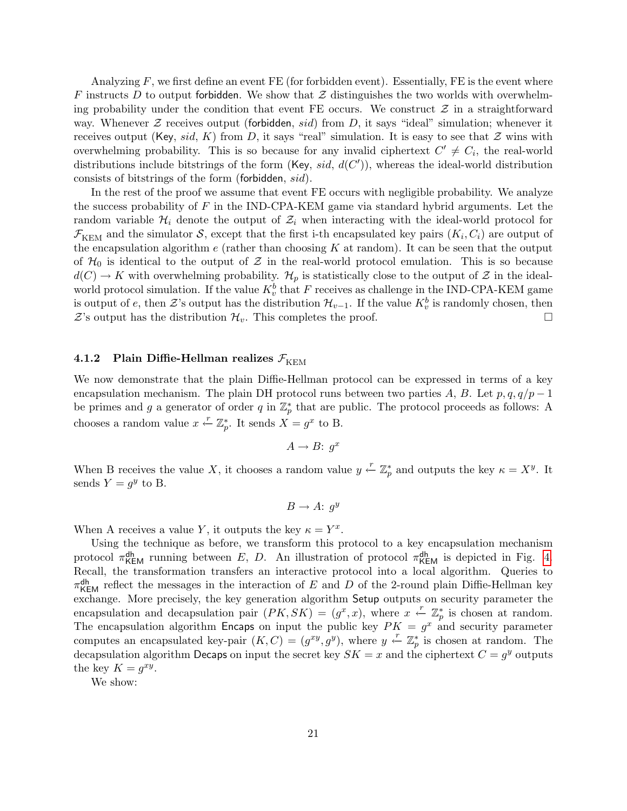Analyzing  $F$ , we first define an event FE (for forbidden event). Essentially, FE is the event where F instructs D to output forbidden. We show that  $\mathcal Z$  distinguishes the two worlds with overwhelming probability under the condition that event FE occurs. We construct  $\mathcal Z$  in a straightforward way. Whenever  $\mathcal Z$  receives output (forbidden, sid) from D, it says "ideal" simulation; whenever it receives output (Key, sid, K) from D, it says "real" simulation. It is easy to see that  $\mathcal Z$  wins with overwhelming probability. This is so because for any invalid ciphertext  $C' \neq C_i$ , the real-world distributions include bitstrings of the form (Key, sid,  $d(C')$ ), whereas the ideal-world distribution consists of bitstrings of the form (forbidden, sid).

In the rest of the proof we assume that event FE occurs with negligible probability. We analyze the success probability of  $F$  in the IND-CPA-KEM game via standard hybrid arguments. Let the random variable  $\mathcal{H}_i$  denote the output of  $\mathcal{Z}_i$  when interacting with the ideal-world protocol for  $\mathcal{F}_{\text{KEM}}$  and the simulator S, except that the first i-th encapsulated key pairs  $(K_i, C_i)$  are output of the encapsulation algorithm  $e$  (rather than choosing  $K$  at random). It can be seen that the output of  $\mathcal{H}_0$  is identical to the output of  $\mathcal Z$  in the real-world protocol emulation. This is so because  $d(C) \to K$  with overwhelming probability.  $\mathcal{H}_p$  is statistically close to the output of  $\mathcal Z$  in the idealworld protocol simulation. If the value  $K_v^b$  that F receives as challenge in the IND-CPA-KEM game is output of e, then  $\mathcal{Z}$ 's output has the distribution  $\mathcal{H}_{v-1}$ . If the value  $K_v^b$  is randomly chosen, then  $\mathcal{Z}$ 's output has the distribution  $\mathcal{H}_v$ . This completes the proof.

## <span id="page-22-0"></span>4.1.2 Plain Diffie-Hellman realizes  $\mathcal{F}_{\text{KEM}}$

We now demonstrate that the plain Diffie-Hellman protocol can be expressed in terms of a key encapsulation mechanism. The plain DH protocol runs between two parties A, B. Let  $p, q, q/p-1$ be primes and g a generator of order q in  $\mathbb{Z}_p^*$  that are public. The protocol proceeds as follows: A chooses a random value  $x \stackrel{r}{\leftarrow} \mathbb{Z}_p^*$ . It sends  $X = g^x$  to B.

$$
A \to B: g^x
$$

When B receives the value X, it chooses a random value  $y \leftarrow \mathbb{Z}_p^*$  and outputs the key  $\kappa = X^y$ . It sends  $Y = g^y$  to B.

$$
B \to A: g^y
$$

When A receives a value Y, it outputs the key  $\kappa = Y^x$ .

Using the technique as before, we transform this protocol to a key encapsulation mechanism protocol  $\pi_{\text{KEM}}^{\text{dh}}$  running between E, D. An illustration of protocol  $\pi_{\text{KEM}}^{\text{dh}}$  is depicted in Fig. [4.](#page-23-1) Recall, the transformation transfers an interactive protocol into a local algorithm. Queries to  $\pi_{\text{KEM}}^{\text{dh}}$  reflect the messages in the interaction of E and D of the 2-round plain Diffie-Hellman key exchange. More precisely, the key generation algorithm Setup outputs on security parameter the encapsulation and decapsulation pair  $(PK, SK) = (g^x, x)$ , where  $x \stackrel{r}{\leftarrow} \mathbb{Z}_p^*$  is chosen at random. The encapsulation algorithm Encaps on input the public key  $PK = g^x$  and security parameter computes an encapsulated key-pair  $(K, C) = (g^{xy}, g^{y})$ , where  $y \leftarrow \mathbb{Z}_p^*$  is chosen at random. The decapsulation algorithm Decaps on input the secret key  $SK = x$  and the ciphertext  $C = g^y$  outputs the key  $K = g^{xy}$ .

We show: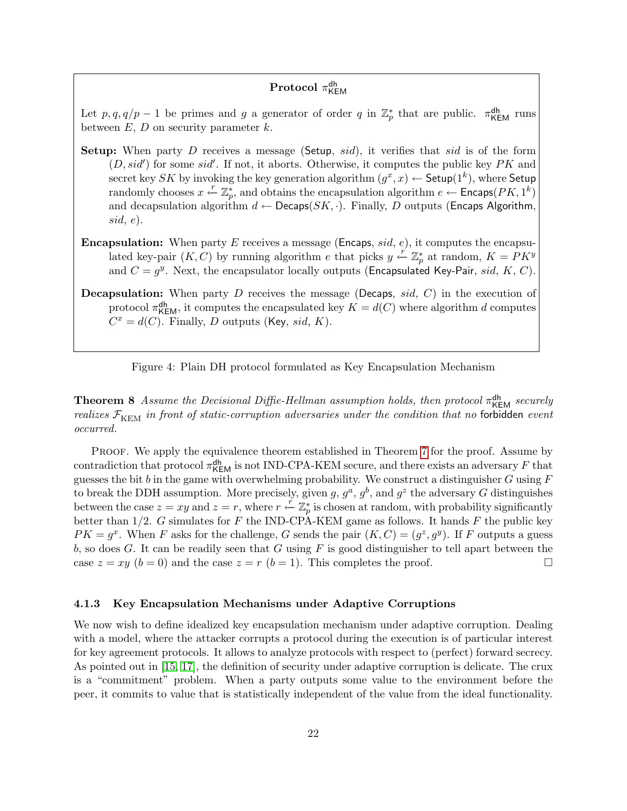## $\mathbf{Protocol} \; \pi_{\mathsf{KEM}}^{\mathsf{dh}}$

Let  $p, q, q/p-1$  be primes and g a generator of order q in  $\mathbb{Z}_p^*$  that are public.  $\pi_{\text{KEM}}^{\text{dh}}$  runs between  $E, D$  on security parameter  $k$ .

- **Setup:** When party D receives a message (Setup, sid), it verifies that sid is of the form  $(D, sid')$  for some sid'. If not, it aborts. Otherwise, it computes the public key  $PK$  and secret key SK by invoking the key generation algorithm  $(g^x, x) \leftarrow$  Setup $(1^k)$ , where Setup randomly chooses  $x \stackrel{r}{\leftarrow} \mathbb{Z}_p^*$ , and obtains the encapsulation algorithm  $e \leftarrow$  Encaps( $PK, 1^k$ ) and decapsulation algorithm  $d \leftarrow \mathsf{Decaps}(SK, \cdot)$ . Finally, D outputs (Encaps Algorithm,  $sid, e).$
- **Encapsulation:** When party E receives a message (Encaps, sid, e), it computes the encapsulated key-pair  $(K, C)$  by running algorithm e that picks  $y \stackrel{r}{\leftarrow} \mathbb{Z}_p^*$  at random,  $K = \overline{P}K^y$ and  $C = g^y$ . Next, the encapsulator locally outputs (Encapsulated Key-Pair, sid, K, C).
- **Decapsulation:** When party  $D$  receives the message (Decaps, sid,  $C$ ) in the execution of protocol  $\pi_{\text{KEM}}^{\text{dh}}$ , it computes the encapsulated key  $K = d(C)$  where algorithm d computes  $C^x = d(C)$ . Finally, D outputs (Key, sid, K).

<span id="page-23-1"></span>Figure 4: Plain DH protocol formulated as Key Encapsulation Mechanism

**Theorem 8** Assume the Decisional Diffie-Hellman assumption holds, then protocol  $\pi_{\text{KEM}}^{\text{dh}}$  securely realizes  $\mathcal{F}_{\text{KEM}}$  in front of static-corruption adversaries under the condition that no forbidden event occurred.

PROOF. We apply the equivalence theorem established in Theorem [7](#page-19-1) for the proof. Assume by contradiction that protocol  $\pi_{\mathsf{KEM}}^{\mathsf{dh}}$  is not IND-CPA-KEM secure, and there exists an adversary F that guesses the bit  $b$  in the game with overwhelming probability. We construct a distinguisher  $G$  using  $F$ to break the DDH assumption. More precisely, given g,  $g^a$ ,  $g^b$ , and  $g^z$  the adversary G distinguishes between the case  $z = xy$  and  $z = r$ , where  $r \stackrel{r}{\leftarrow} \mathbb{Z}_p^*$  is chosen at random, with probability significantly better than  $1/2$ . G simulates for F the IND-CPA-KEM game as follows. It hands F the public key  $PK = g^x$ . When F asks for the challenge, G sends the pair  $(K, C) = (g^z, g^y)$ . If F outputs a guess b, so does G. It can be readily seen that G using F is good distinguisher to tell apart between the case  $z = xy$   $(b = 0)$  and the case  $z = r$   $(b = 1)$ . This completes the proof.

### <span id="page-23-0"></span>4.1.3 Key Encapsulation Mechanisms under Adaptive Corruptions

We now wish to define idealized key encapsulation mechanism under adaptive corruption. Dealing with a model, where the attacker corrupts a protocol during the execution is of particular interest for key agreement protocols. It allows to analyze protocols with respect to (perfect) forward secrecy. As pointed out in [\[15,](#page-50-11) [17\]](#page-50-12), the definition of security under adaptive corruption is delicate. The crux is a "commitment" problem. When a party outputs some value to the environment before the peer, it commits to value that is statistically independent of the value from the ideal functionality.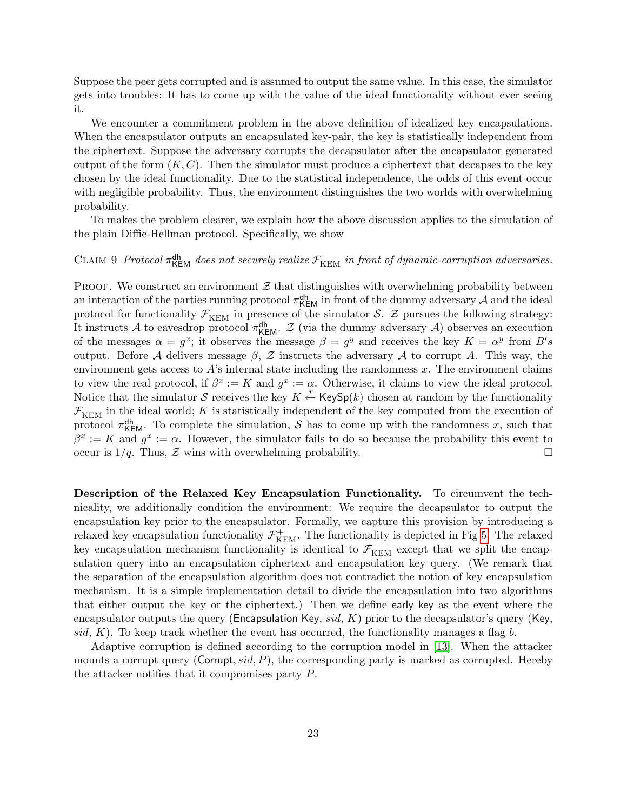Suppose the peer gets corrupted and is assumed to output the same value. In this case, the simulator gets into troubles: It has to come up with the value of the ideal functionality without ever seeing it.

We encounter a commitment problem in the above definition of idealized key encapsulations. When the encapsulator outputs an encapsulated key-pair, the key is statistically independent from the ciphertext. Suppose the adversary corrupts the decapsulator after the encapsulator generated output of the form  $(K, C)$ . Then the simulator must produce a ciphertext that decapses to the key chosen by the ideal functionality. Due to the statistical independence, the odds of this event occur with negligible probability. Thus, the environment distinguishes the two worlds with overwhelming probability.

To makes the problem clearer, we explain how the above discussion applies to the simulation of the plain Diffie-Hellman protocol. Specifically, we show

## CLAIM 9 Protocol  $\pi_{\text{KEM}}^{\text{dh}}$  does not securely realize  $\mathcal{F}_{\text{KEM}}$  in front of dynamic-corruption adversaries.

PROOF. We construct an environment  $\mathcal Z$  that distinguishes with overwhelming probability between an interaction of the parties running protocol  $\pi_{\mathsf{KEM}}^{\mathsf{dh}}$  in front of the dummy adversary  $\mathcal A$  and the ideal protocol for functionality  $\mathcal{F}_{\text{KEM}}$  in presence of the simulator S. Z pursues the following strategy: It instructs A to eavesdrop protocol  $\pi_{\mathsf{KEM}}^{\mathsf{dh}}$ . Z (via the dummy adversary A) observes an execution of the messages  $\alpha = g^x$ ; it observes the message  $\beta = g^y$  and receives the key  $K = \alpha^y$  from  $B's$ output. Before A delivers message  $\beta$ , Z instructs the adversary A to corrupt A. This way, the environment gets access to  $A$ 's internal state including the randomness  $x$ . The environment claims to view the real protocol, if  $\beta^x := K$  and  $g^x := \alpha$ . Otherwise, it claims to view the ideal protocol. Notice that the simulator S receives the key  $K \stackrel{r}{\leftarrow}$  KeySp(k) chosen at random by the functionality  $\mathcal{F}_{\text{KEM}}$  in the ideal world; K is statistically independent of the key computed from the execution of protocol  $\pi_{\text{KEM}}^{\text{dh}}$ . To complete the simulation, S has to come up with the randomness x, such that  $\beta^x := K$  and  $g^x := \alpha$ . However, the simulator fails to do so because the probability this event to occur is  $1/q$ . Thus,  $\mathcal Z$  wins with overwhelming probability.

Description of the Relaxed Key Encapsulation Functionality. To circumvent the technicality, we additionally condition the environment: We require the decapsulator to output the encapsulation key prior to the encapsulator. Formally, we capture this provision by introducing a relaxed key encapsulation functionality  $\mathcal{F}_{\rm KEM}^+$ . The functionality is depicted in Fig [5.](#page-25-1) The relaxed key encapsulation mechanism functionality is identical to  $\mathcal{F}_{\text{KEM}}$  except that we split the encapsulation query into an encapsulation ciphertext and encapsulation key query. (We remark that the separation of the encapsulation algorithm does not contradict the notion of key encapsulation mechanism. It is a simple implementation detail to divide the encapsulation into two algorithms that either output the key or the ciphertext.) Then we define early key as the event where the encapsulator outputs the query (Encapsulation Key, sid, K) prior to the decapsulator's query (Key, sid,  $K$ ). To keep track whether the event has occurred, the functionality manages a flag b.

Adaptive corruption is defined according to the corruption model in [\[13\]](#page-49-5). When the attacker mounts a corrupt query (Corrupt,  $sid$ , P), the corresponding party is marked as corrupted. Hereby the attacker notifies that it compromises party P.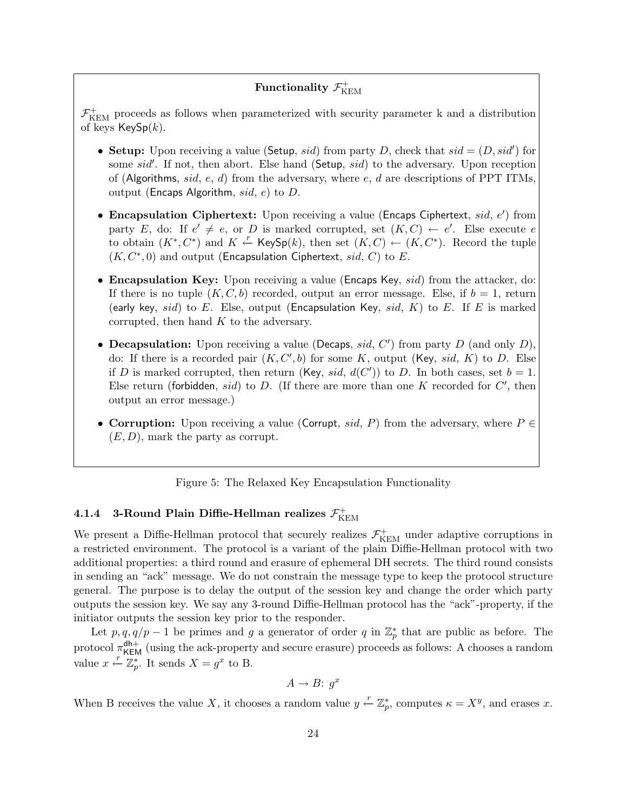#### Functionality  $\mathcal{F}_{K}^{+}$ KEM

 $\mathcal{F}_\mathrm{KEM}^+$  proceeds as follows when parameterized with security parameter k and a distribution of keys  $KeySp(k)$ .

- Setup: Upon receiving a value (Setup, sid) from party D, check that  $sid = (D, sid')$  for some sid'. If not, then abort. Else hand (Setup, sid) to the adversary. Upon reception of (Algorithms, sid, e, d) from the adversary, where e, d are descriptions of PPT ITMs, output (Encaps Algorithm,  $sid, e$ ) to D.
- Encapsulation Ciphertext: Upon receiving a value (Encaps Ciphertext,  $sid, e'$ ) from party E, do: If  $e' \neq e$ , or D is marked corrupted, set  $(K, C) \leftarrow e'$ . Else execute e to obtain  $(K^*, C^*)$  and  $K \stackrel{r}{\leftarrow}$  KeySp(k), then set  $(K, C) \leftarrow (K, C^*)$ . Record the tuple  $(K, C^*, 0)$  and output (Encapsulation Ciphertext, sid, C) to E.
- Encapsulation Key: Upon receiving a value (Encaps Key, *sid*) from the attacker, do: If there is no tuple  $(K, C, b)$  recorded, output an error message. Else, if  $b = 1$ , return (early key, sid) to E. Else, output (Encapsulation Key, sid, K) to E. If E is marked corrupted, then hand  $K$  to the adversary.
- Decapsulation: Upon receiving a value (Decaps, sid,  $C'$ ) from party D (and only D), do: If there is a recorded pair  $(K, C', b)$  for some K, output (Key, sid, K) to D. Else if D is marked corrupted, then return (Key, sid,  $d(C')$ ) to D. In both cases, set  $b = 1$ . Else return (forbidden, sid) to D. (If there are more than one K recorded for  $C'$ , then output an error message.)
- Corruption: Upon receiving a value (Corrupt, sid, P) from the adversary, where  $P \in$  $(E, D)$ , mark the party as corrupt.

<span id="page-25-1"></span>Figure 5: The Relaxed Key Encapsulation Functionality

#### <span id="page-25-0"></span>4.1.4 3-Round Plain Diffie-Hellman realizes  $\mathcal{F}_{\rm K}^+$ KEM

We present a Diffie-Hellman protocol that securely realizes  $\mathcal{F}^+_{\rm KEM}$  under adaptive corruptions in a restricted environment. The protocol is a variant of the plain Diffie-Hellman protocol with two additional properties: a third round and erasure of ephemeral DH secrets. The third round consists in sending an "ack" message. We do not constrain the message type to keep the protocol structure general. The purpose is to delay the output of the session key and change the order which party outputs the session key. We say any 3-round Diffie-Hellman protocol has the "ack"-property, if the initiator outputs the session key prior to the responder.

Let  $p, q, q/p-1$  be primes and g a generator of order q in  $\mathbb{Z}_p^*$  that are public as before. The protocol  $\pi_{\text{KEM}}^{\text{dh+}}$  (using the ack-property and secure erasure) proceeds as follows: A chooses a random value  $x \stackrel{r}{\leftarrow} \mathbb{Z}_p^*$ . It sends  $X = g^x$  to B.

$$
A \to B: g^x
$$

When B receives the value X, it chooses a random value  $y \stackrel{r}{\leftarrow} \mathbb{Z}_p^*$ , computes  $\kappa = X^y$ , and erases x.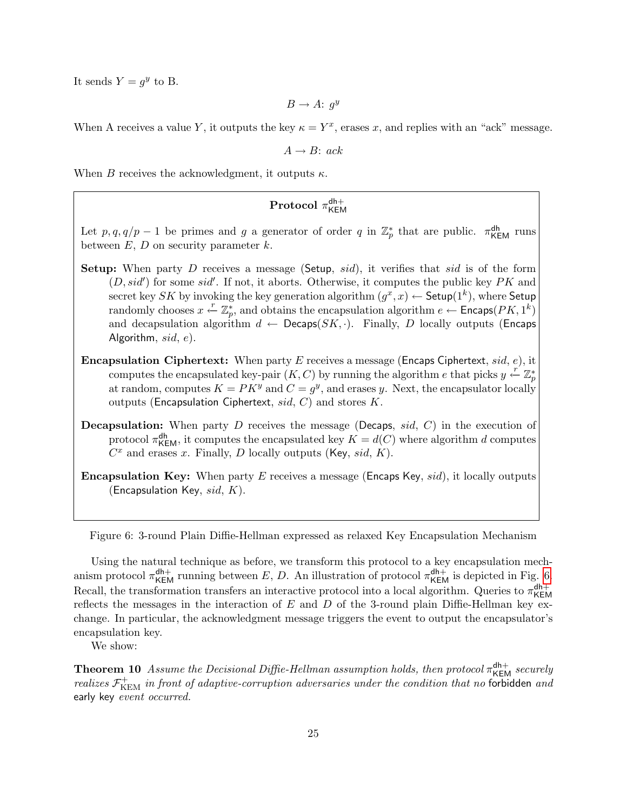It sends  $Y = g^y$  to B.

 $B \to A: g^y$ 

When A receives a value Y, it outputs the key  $\kappa = Y^x$ , erases x, and replies with an "ack" message.

 $A \rightarrow B$ : ack

When B receives the acknowledgment, it outputs  $\kappa$ .

#### $\text{Protocol } \pi_{\mathsf{KFL}}^{\mathsf{dh}+}$ KEM

Let  $p, q, q/p-1$  be primes and g a generator of order q in  $\mathbb{Z}_p^*$  that are public.  $\pi_{\text{KEM}}^{\text{dh}}$  runs between  $E, D$  on security parameter  $k$ .

- **Setup:** When party D receives a message (Setup, sid), it verifies that sid is of the form  $(D, sid')$  for some sid'. If not, it aborts. Otherwise, it computes the public key  $PK$  and secret key SK by invoking the key generation algorithm  $(g^x, x) \leftarrow$  Setup $(1^k)$ , where Setup randomly chooses  $x \stackrel{r}{\leftarrow} \mathbb{Z}_p^*$ , and obtains the encapsulation algorithm  $e \leftarrow$  Encaps( $PK, 1^k$ ) and decapsulation algorithm  $d \leftarrow$  Decaps( $SK, \cdot$ ). Finally, D locally outputs (Encaps Algorithm,  $sid, e$ ).
- **Encapsulation Ciphertext:** When party E receives a message (Encaps Ciphertext, sid, e), it computes the encapsulated key-pair  $(K, C)$  by running the algorithm e that picks  $y \stackrel{r}{\leftarrow} \mathbb{Z}_p^*$ at random, computes  $K = PK^y$  and  $C = g^y$ , and erases y. Next, the encapsulator locally outputs (Encapsulation Ciphertext,  $sid, C$ ) and stores K.
- **Decapsulation:** When party D receives the message (Decaps,  $sid$ ,  $C$ ) in the execution of protocol  $\pi_{\mathsf{KEM}}^{\mathsf{dh}}$ , it computes the encapsulated key  $K = d(C)$  where algorithm d computes  $C<sup>x</sup>$  and erases x. Finally, D locally outputs (Key, sid, K).
- **Encapsulation Key:** When party  $E$  receives a message (Encaps Key,  $sid$ ), it locally outputs (Encapsulation Key,  $sid, K$ ).

<span id="page-26-0"></span>Figure 6: 3-round Plain Diffie-Hellman expressed as relaxed Key Encapsulation Mechanism

Using the natural technique as before, we transform this protocol to a key encapsulation mechanism protocol  $\pi_{\text{KEM}}^{\text{dh+}}$  running between E, D. An illustration of protocol  $\pi_{\text{KEM}}^{\text{dh+}}$  is depicted in Fig. [6.](#page-26-0) Recall, the transformation transfers an interactive protocol into a local algorithm. Queries to  $\pi_{\text{KFR}}^{\text{dh}+}$ KEM reflects the messages in the interaction of  $E$  and  $D$  of the 3-round plain Diffie-Hellman key exchange. In particular, the acknowledgment message triggers the event to output the encapsulator's encapsulation key.

We show:

**Theorem 10** Assume the Decisional Diffie-Hellman assumption holds, then protocol  $\pi_{\text{KEM}}^{\text{dh+}}$  securely realizes  $\mathcal{F}_{\text{KEM}}^+$  in front of adaptive-corruption adversaries under the condition that no forbidden and early key event occurred.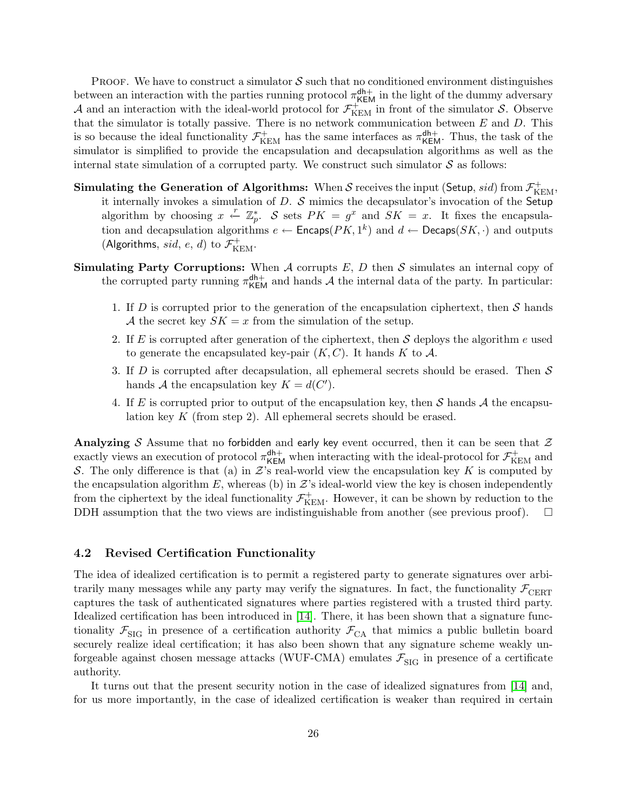**PROOF.** We have to construct a simulator  $S$  such that no conditioned environment distinguishes between an interaction with the parties running protocol  $\pi_{\text{KEM}}^{\text{dh+}}$  in the light of the dummy adversary A and an interaction with the ideal-world protocol for  $\mathcal{F}_{\text{KEM}}^{+}$  in front of the simulator S. Observe that the simulator is totally passive. There is no network communication between  $E$  and  $D$ . This is so because the ideal functionality  $\mathcal{F}_{\text{KEM}}^+$  has the same interfaces as  $\pi_{\text{KEM}}^{\text{dh+}}$ . Thus, the task of the simulator is simplified to provide the encapsulation and decapsulation algorithms as well as the internal state simulation of a corrupted party. We construct such simulator  $S$  as follows:

- Simulating the Generation of Algorithms: When S receives the input (Setup, sid) from  $\mathcal{F}^+_{\rm KEM}$ , it internally invokes a simulation of  $D$ .  $S$  mimics the decapsulator's invocation of the Setup algorithm by choosing  $x \stackrel{r}{\leftarrow} \mathbb{Z}_p^*$ . S sets  $PK = g^x$  and  $SK = x$ . It fixes the encapsulation and decapsulation algorithms  $e \leftarrow$  Encaps( $PK, 1^k$ ) and  $d \leftarrow$  Decaps( $SK, \cdot$ ) and outputs (Algorithms, sid, e, d) to  $\mathcal{F}^+_{\mathrm{KEM}}$ .
- **Simulating Party Corruptions:** When  $A$  corrupts  $E$ ,  $D$  then  $S$  simulates an internal copy of the corrupted party running  $\pi_{\text{KEM}}^{\text{dh}+}$  and hands A the internal data of the party. In particular:
	- 1. If D is corrupted prior to the generation of the encapsulation ciphertext, then  $S$  hands A the secret key  $SK = x$  from the simulation of the setup.
	- 2. If E is corrupted after generation of the ciphertext, then S deploys the algorithm e used to generate the encapsulated key-pair  $(K, C)$ . It hands K to A.
	- 3. If D is corrupted after decapsulation, all ephemeral secrets should be erased. Then  $S$ hands A the encapsulation key  $K = d(C')$ .
	- 4. If E is corrupted prior to output of the encapsulation key, then S hands A the encapsulation key K (from step 2). All ephemeral secrets should be erased.

Analyzing S Assume that no forbidden and early key event occurred, then it can be seen that  $\mathcal Z$ exactly views an execution of protocol  $\pi_{\text{KEM}}^{\text{dh}+}$  when interacting with the ideal-protocol for  $\mathcal{F}_{\text{KEM}}^+$  and S. The only difference is that (a) in  $\mathcal{Z}$ 's real-world view the encapsulation key K is computed by the encapsulation algorithm  $E$ , whereas (b) in  $\mathcal{Z}$ 's ideal-world view the key is chosen independently from the ciphertext by the ideal functionality  $\mathcal{F}_{\rm KEM}^+$ . However, it can be shown by reduction to the DDH assumption that the two views are indistinguishable from another (see previous proof).  $\Box$ 

### <span id="page-27-0"></span>4.2 Revised Certification Functionality

The idea of idealized certification is to permit a registered party to generate signatures over arbitrarily many messages while any party may verify the signatures. In fact, the functionality  $\mathcal{F}_{\text{CBRT}}$ captures the task of authenticated signatures where parties registered with a trusted third party. Idealized certification has been introduced in [\[14\]](#page-49-6). There, it has been shown that a signature functionality  $\mathcal{F}_{\text{SIG}}$  in presence of a certification authority  $\mathcal{F}_{\text{CA}}$  that mimics a public bulletin board securely realize ideal certification; it has also been shown that any signature scheme weakly unforgeable against chosen message attacks (WUF-CMA) emulates  $\mathcal{F}_{\text{SIG}}$  in presence of a certificate authority.

It turns out that the present security notion in the case of idealized signatures from [\[14\]](#page-49-6) and, for us more importantly, in the case of idealized certification is weaker than required in certain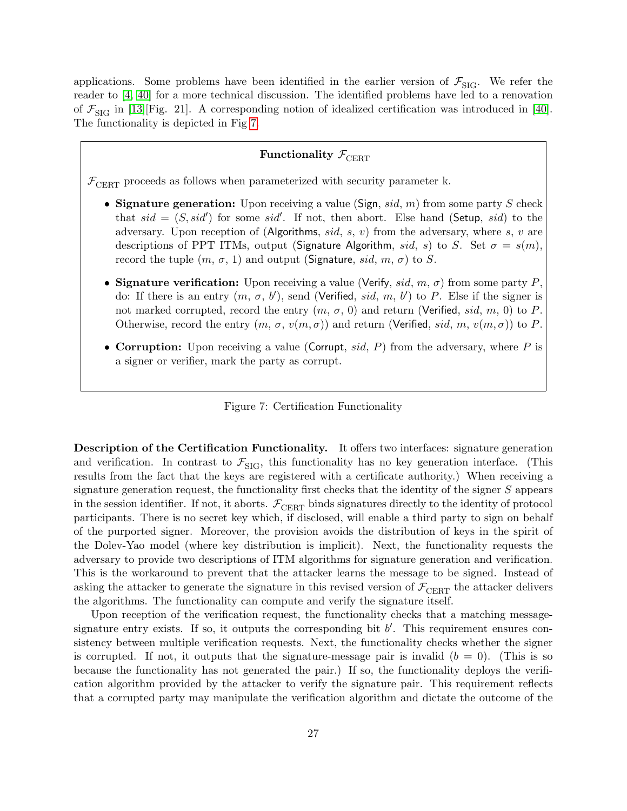applications. Some problems have been identified in the earlier version of  $\mathcal{F}_{\text{SIG}}$ . We refer the reader to [\[4,](#page-49-12) [40\]](#page-51-10) for a more technical discussion. The identified problems have led to a renovation of  $\mathcal{F}_{\text{SIG}}$  in [\[13\]](#page-49-5)[Fig. 21]. A corresponding notion of idealized certification was introduced in [\[40\]](#page-51-10). The functionality is depicted in Fig [7.](#page-28-0)

## Functionality  $\mathcal{F}_{\text{CBRT}}$

 $\mathcal{F}_{\text{CBRT}}$  proceeds as follows when parameterized with security parameter k.

- Signature generation: Upon receiving a value (Sign, sid,  $m$ ) from some party S check that  $sid = (S, sid')$  for some sid'. If not, then abort. Else hand (Setup, sid) to the adversary. Upon reception of (Algorithms, sid, s, v) from the adversary, where s, v are descriptions of PPT ITMs, output (Signature Algorithm, sid, s) to S. Set  $\sigma = s(m)$ , record the tuple  $(m, \sigma, 1)$  and output (Signature, sid, m,  $\sigma$ ) to S.
- Signature verification: Upon receiving a value (Verify, sid, m,  $\sigma$ ) from some party P. do: If there is an entry  $(m, \sigma, b')$ , send (Verified, sid, m, b') to P. Else if the signer is not marked corrupted, record the entry  $(m, \sigma, 0)$  and return (Verified, sid, m, 0) to P. Otherwise, record the entry  $(m, \sigma, v(m, \sigma))$  and return (Verified, sid, m,  $v(m, \sigma)$ ) to P.
- Corruption: Upon receiving a value (Corrupt, sid, P) from the adversary, where P is a signer or verifier, mark the party as corrupt.

<span id="page-28-0"></span>

Description of the Certification Functionality. It offers two interfaces: signature generation and verification. In contrast to  $\mathcal{F}_{\text{SIG}}$ , this functionality has no key generation interface. (This results from the fact that the keys are registered with a certificate authority.) When receiving a signature generation request, the functionality first checks that the identity of the signer S appears in the session identifier. If not, it aborts.  $\mathcal{F}_{\text{CEPT}}$  binds signatures directly to the identity of protocol participants. There is no secret key which, if disclosed, will enable a third party to sign on behalf of the purported signer. Moreover, the provision avoids the distribution of keys in the spirit of the Dolev-Yao model (where key distribution is implicit). Next, the functionality requests the adversary to provide two descriptions of ITM algorithms for signature generation and verification. This is the workaround to prevent that the attacker learns the message to be signed. Instead of asking the attacker to generate the signature in this revised version of  $\mathcal{F}_{\text{CBRT}}$  the attacker delivers the algorithms. The functionality can compute and verify the signature itself.

Upon reception of the verification request, the functionality checks that a matching messagesignature entry exists. If so, it outputs the corresponding bit  $b'$ . This requirement ensures consistency between multiple verification requests. Next, the functionality checks whether the signer is corrupted. If not, it outputs that the signature-message pair is invalid  $(b = 0)$ . (This is so because the functionality has not generated the pair.) If so, the functionality deploys the verification algorithm provided by the attacker to verify the signature pair. This requirement reflects that a corrupted party may manipulate the verification algorithm and dictate the outcome of the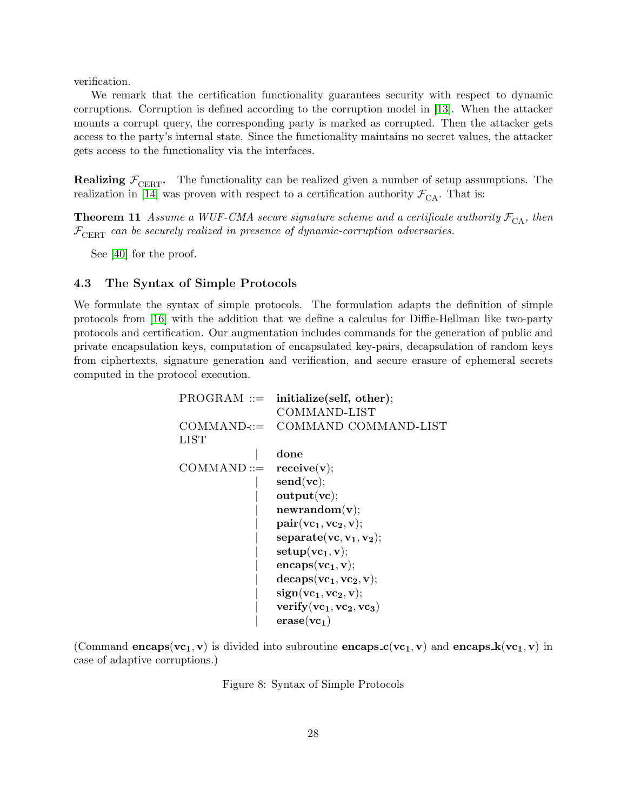verification.

We remark that the certification functionality guarantees security with respect to dynamic corruptions. Corruption is defined according to the corruption model in [\[13\]](#page-49-5). When the attacker mounts a corrupt query, the corresponding party is marked as corrupted. Then the attacker gets access to the party's internal state. Since the functionality maintains no secret values, the attacker gets access to the functionality via the interfaces.

**Realizing**  $\mathcal{F}_{\text{CBRT}}$ **.** The functionality can be realized given a number of setup assumptions. The realization in [\[14\]](#page-49-6) was proven with respect to a certification authority  $\mathcal{F}_{CA}$ . That is:

**Theorem 11** Assume a WUF-CMA secure signature scheme and a certificate authority  $\mathcal{F}_{CA}$ , then  $\mathcal{F}_{\text{CBRT}}$  can be securely realized in presence of dynamic-corruption adversaries.

See [\[40\]](#page-51-10) for the proof.

### <span id="page-29-0"></span>4.3 The Syntax of Simple Protocols

We formulate the syntax of simple protocols. The formulation adapts the definition of simple protocols from [\[16\]](#page-50-5) with the addition that we define a calculus for Diffie-Hellman like two-party protocols and certification. Our augmentation includes commands for the generation of public and private encapsulation keys, computation of encapsulated key-pairs, decapsulation of random keys from ciphertexts, signature generation and verification, and secure erasure of ephemeral secrets computed in the protocol execution.

|               | $PROGRAM ::=$ initialize(self, other); |
|---------------|----------------------------------------|
|               | COMMAND-LIST                           |
| $COMMAND ::=$ | COMMAND COMMAND-LIST                   |
| LIST          |                                        |
|               | done                                   |
| $COMMAND ::=$ | $\text{receive}(v);$                   |
|               | $\text{send}(\text{vc})$               |
|               | output(vc);                            |
|               | newrandom(v);                          |
|               | $pair(vc_1, vc_2, v);$                 |
|               | $separate(vc, v1, v2);$                |
|               | $setup(vc_1, v);$                      |
|               | $encaps(vc_1, v);$                     |
|               | $decaps(vc_1, vc_2, v);$               |
|               | $sign(vc_1, vc_2, v);$                 |
|               | verify $(vc_1, vc_2, vc_3)$            |
|               | $\text{erase}(vc_1)$                   |

(Command encaps( $vc_1, v$ ) is divided into subroutine encaps  $c(vc_1, v)$  and encaps  $k(vc_1, v)$  in case of adaptive corruptions.)

<span id="page-29-1"></span>Figure 8: Syntax of Simple Protocols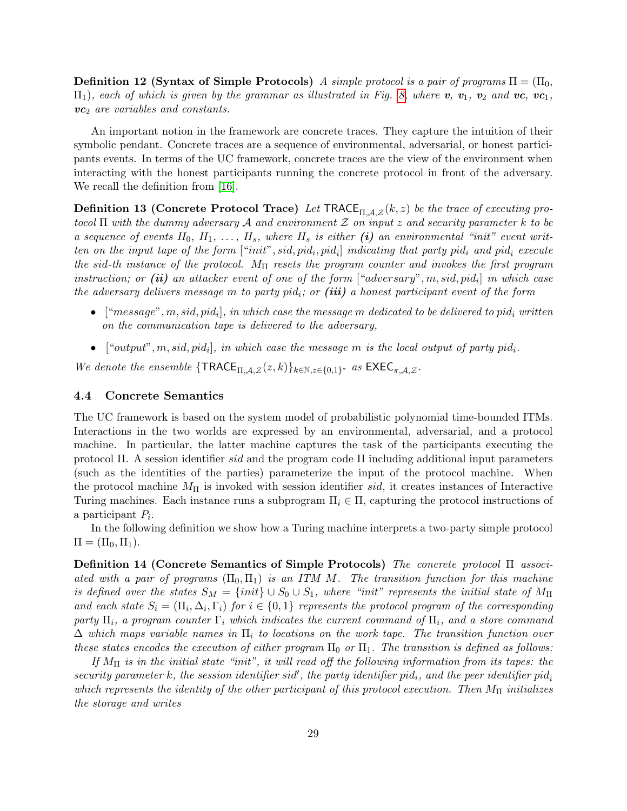**Definition 12 (Syntax of Simple Protocols)** A simple protocol is a pair of programs  $\Pi = (\Pi_0, \Pi_1)$  $\Pi_1$ , each of which is given by the grammar as illustrated in Fig. [8,](#page-29-1) where **v**,  $v_1$ ,  $v_2$  and **vc**,  $vc_1$ ,  $vc_2$  are variables and constants.

An important notion in the framework are concrete traces. They capture the intuition of their symbolic pendant. Concrete traces are a sequence of environmental, adversarial, or honest participants events. In terms of the UC framework, concrete traces are the view of the environment when interacting with the honest participants running the concrete protocol in front of the adversary. We recall the definition from [\[16\]](#page-50-5).

**Definition 13 (Concrete Protocol Trace)** Let  $\text{TRACE}_{\text{II},\mathcal{A},\mathcal{Z}}(k,z)$  be the trace of executing protocol  $\Pi$  with the dummy adversary A and environment Z on input z and security parameter k to be a sequence of events  $H_0, H_1, \ldots, H_s$ , where  $H_s$  is either (i) an environmental "init" event written on the input tape of the form  $["init", sid, pid<sub>i</sub>, pid<sub>i</sub>]$  indicating that party pid<sub>i</sub> and pid<sub> $\overline{i}$ </sub> execute the sid-th instance of the protocol.  $M_{\Pi}$  resets the program counter and invokes the first program instruction; or (ii) an attacker event of one of the form  $["adversary", m, sid, pid<sub>i</sub>]$  in which case the adversary delivers message m to party pid<sub>i</sub>; or (iii) a honest participant event of the form

- $\bullet~~[``message", m, sid, pid_i],~in~which~case~the~message~m~dedicated~to~be~delivered~to~pid_i~written$ on the communication tape is delivered to the adversary,
- ["output", m, sid, pid<sub>i</sub>], in which case the message m is the local output of party pid<sub>i</sub>.

We denote the ensemble  $\{\textsf{TRACE}_{\Pi,\mathcal{A},\mathcal{Z}}(z,k)\}_{k\in\mathbb{N},z\in\{0,1\}^*}$  as  $\textsf{EXEC}_{\pi,\mathcal{A},\mathcal{Z}}$ .

## <span id="page-30-0"></span>4.4 Concrete Semantics

The UC framework is based on the system model of probabilistic polynomial time-bounded ITMs. Interactions in the two worlds are expressed by an environmental, adversarial, and a protocol machine. In particular, the latter machine captures the task of the participants executing the protocol Π. A session identifier sid and the program code  $\Pi$  including additional input parameters (such as the identities of the parties) parameterize the input of the protocol machine. When the protocol machine  $M_{\Pi}$  is invoked with session identifier sid, it creates instances of Interactive Turing machines. Each instance runs a subprogram  $\Pi_i \in \Pi$ , capturing the protocol instructions of a participant  $P_i$ .

In the following definition we show how a Turing machine interprets a two-party simple protocol  $\Pi = (\Pi_0, \Pi_1).$ 

<span id="page-30-1"></span>Definition 14 (Concrete Semantics of Simple Protocols) The concrete protocol Π associated with a pair of programs  $(\Pi_0, \Pi_1)$  is an ITM M. The transition function for this machine is defined over the states  $S_M = \{init\} \cup S_0 \cup S_1$ , where "init" represents the initial state of  $M_{\Pi}$ and each state  $S_i = (\Pi_i, \Delta_i, \Gamma_i)$  for  $i \in \{0, 1\}$  represents the protocol program of the corresponding party  $\Pi_i$ , a program counter  $\Gamma_i$  which indicates the current command of  $\Pi_i$ , and a store command  $\Delta$  which maps variable names in  $\Pi_i$  to locations on the work tape. The transition function over these states encodes the execution of either program  $\Pi_0$  or  $\Pi_1$ . The transition is defined as follows:

If  $M_{\Pi}$  is in the initial state "init", it will read off the following information from its tapes: the security parameter k, the session identifier sid', the party identifier pid<sub>i</sub>, and the peer identifier pid<sub>i</sub> which represents the identity of the other participant of this protocol execution. Then  $M_{\Pi}$  initializes the storage and writes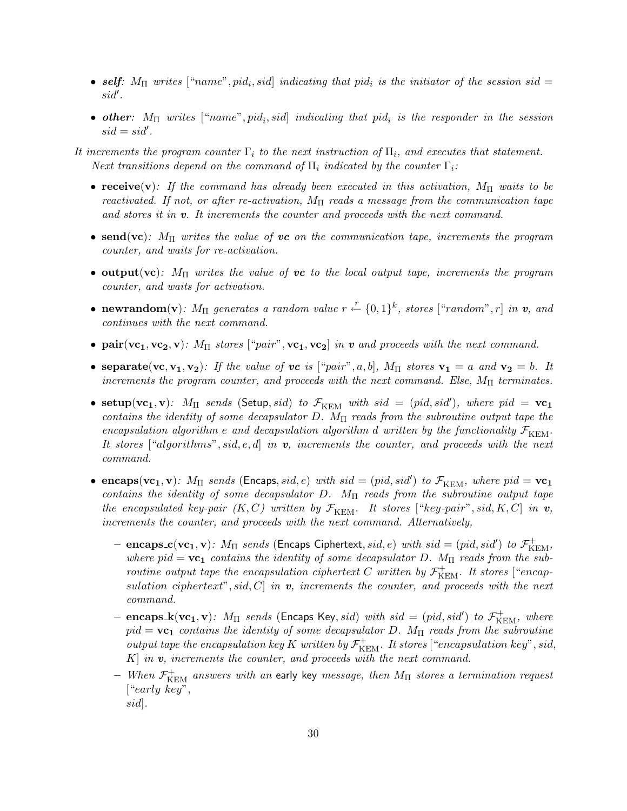- self:  $M_{\Pi}$  writes ["name", pid<sub>i</sub>, sid] indicating that pid<sub>i</sub> is the initiator of the session sid =  $sid'.$
- other:  $M_{\Pi}$  writes ["name", pid<sub> $\bar{i}$ </sub>, sid] indicating that pid $_{\bar{i}}$  is the responder in the session  $sid = sid'.$

It increments the program counter  $\Gamma_i$  to the next instruction of  $\Pi_i$ , and executes that statement. Next transitions depend on the command of  $\Pi_i$  indicated by the counter  $\Gamma_i$ :

- receive(v): If the command has already been executed in this activation,  $M_{\Pi}$  waits to be reactivated. If not, or after re-activation,  $M_{\Pi}$  reads a message from the communication tape and stores it in  $v$ . It increments the counter and proceeds with the next command.
- send(vc):  $M_{\Pi}$  writes the value of vc on the communication tape, increments the program counter, and waits for re-activation.
- output(vc):  $M_{\Pi}$  writes the value of vc to the local output tape, increments the program counter, and waits for activation.
- newrandom(v):  $M_{\Pi}$  generates a random value  $r \stackrel{r}{\leftarrow} \{0,1\}^k$ , stores ["random", r] in v, and continues with the next command.
- pair(vc<sub>1</sub>, vc<sub>2</sub>, v):  $M_{\Pi}$  stores ["pair", vc<sub>1</sub>, vc<sub>2</sub>] in v and proceeds with the next command.
- separate(vc,  $v_1, v_2$ ): If the value of vc is ["pair", a, b],  $M_{\Pi}$  stores  $v_1 = a$  and  $v_2 = b$ . It increments the program counter, and proceeds with the next command. Else,  $M_{\Pi}$  terminates.
- setup( $vc_1, v$ ):  $M_{\Pi}$  sends (Setup, sid) to  $\mathcal{F}_{\text{KEM}}$  with sid = (pid, sid'), where pid =  $vc_1$ contains the identity of some decapsulator D.  $M_{\Pi}$  reads from the subroutine output tape the encapsulation algorithm e and decapsulation algorithm d written by the functionality  $\mathcal{F}_{\text{KEM}}$ . It stores ["algorithms", sid, e, d] in  $v$ , increments the counter, and proceeds with the next command.
- encaps( $vc_1, v$ ):  $M_{\Pi}$  sends (Encaps, sid, e) with sid = (pid, sid') to  $\mathcal{F}_{\text{KEM}}$ , where pid =  $vc_1$ contains the identity of some decapsulator D.  $M_{\Pi}$  reads from the subroutine output tape the encapsulated key-pair  $(K, C)$  written by  $\mathcal{F}_{\text{KEM}}$ . It stores ["key-pair", sid, K, C] in v, increments the counter, and proceeds with the next command. Alternatively,
	- encaps\_c(vc<sub>1</sub>, v):  $M_{\Pi}$  sends (Encaps Ciphertext, sid, e) with sid = (pid, sid') to  $\mathcal{F}^+_{\mathrm{KEM}}$ , where pid =  $vc_1$  contains the identity of some decapsulator D.  $M_{\Pi}$  reads from the subroutine output tape the encapsulation ciphertext C written by  $\mathcal{F}^+_{\mathrm{KEM}}$ . It stores ["encapsulation ciphertext", sid, C in  $v$ , increments the counter, and proceeds with the next command.
	- encaps  $\mathbf{k}(\mathbf{vc_1}, \mathbf{v})$ :  $M_{\Pi}$  sends (Encaps Key, sid) with sid = (pid, sid') to  $\mathcal{F}_{\text{KEM}}^+$ , where  $pid = \mathbf{vc_1}$  contains the identity of some decapsulator D.  $M_{\Pi}$  reads from the subroutine output tape the encapsulation key K written by  $\mathcal{F}^+_{\mathrm{KEM}}$ . It stores ["encapsulation key", sid,  $K$  in  $v$ , increments the counter, and proceeds with the next command.
	- $-$  When  $\mathcal{F}^+_{\rm KEM}$  answers with an early key message, then  $M_{\Pi}$  stores a termination request ["early key", sid].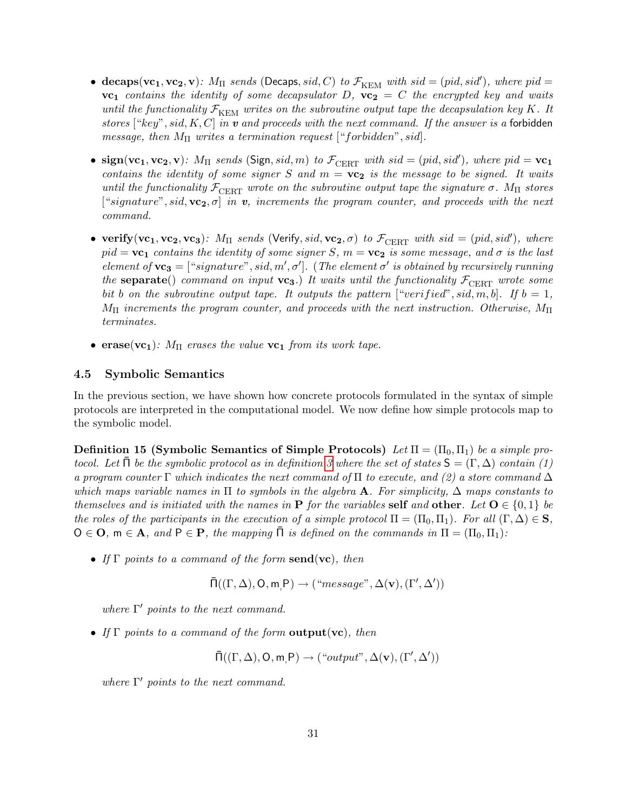- decaps( $vc_1, vc_2, v$ ):  $M_{\Pi}$  sends (Decaps, sid, C) to  $\mathcal{F}_{\text{KEM}}$  with sid = (pid, sid'), where pid =  $vc_1$  contains the identity of some decapsulator D,  $vc_2 = C$  the encrypted key and waits until the functionality  $\mathcal{F}_{\text{KEM}}$  writes on the subroutine output tape the decapsulation key K. It stores ["key", sid, K, C] in  $v$  and proceeds with the next command. If the answer is a forbidden message, then  $M_{\Pi}$  writes a termination request ["forbidden", sid].
- $sign(vc_1, vc_2, v)$ :  $M_{\Pi}$  sends (Sign, sid, m) to  $\mathcal{F}_{CERT}$  with sid = (pid, sid'), where pid =  $vc_1$ contains the identity of some signer S and  $m = \nu c_2$  is the message to be signed. It waits until the functionality  $\mathcal{F}_{\text{CBRT}}$  wrote on the subroutine output tape the signature  $\sigma$ .  $M_{\text{II}}$  stores ["signature", sid,  $vc_2, \sigma$ ] in v, increments the program counter, and proceeds with the next command.
- verify(vc<sub>1</sub>, vc<sub>2</sub>, vc<sub>3</sub>):  $M_{\Pi}$  sends (Verify, sid, vc<sub>2</sub>,  $\sigma$ ) to  $\mathcal{F}_{\text{CBRT}}$  with sid = (pid, sid'), where  $pid = \mathbf{vc_1}$  contains the identity of some signer S,  $m = \mathbf{vc_2}$  is some message, and  $\sigma$  is the last element of  $vc_3 = ['signature", sid, m', \sigma']$ . (The element  $\sigma'$  is obtained by recursively running the separate() command on input  $vc_3$ .) It waits until the functionality  $\mathcal{F}_{\text{CBRT}}$  wrote some bit b on the subroutine output tape. It outputs the pattern ["verified", sid, m, b]. If  $b = 1$ ,  $M_{\Pi}$  increments the program counter, and proceeds with the next instruction. Otherwise,  $M_{\Pi}$ terminates.
- erase(vc<sub>1</sub>):  $M_{\Pi}$  erases the value vc<sub>1</sub> from its work tape.

## <span id="page-32-0"></span>4.5 Symbolic Semantics

In the previous section, we have shown how concrete protocols formulated in the syntax of simple protocols are interpreted in the computational model. We now define how simple protocols map to the symbolic model.

<span id="page-32-1"></span>Definition 15 (Symbolic Semantics of Simple Protocols) Let  $\Pi = (\Pi_0, \Pi_1)$  be a simple protocol. Let  $\bar{\Pi}$  be the symbolic protocol as in definition [3](#page-14-1) where the set of states  $\mathsf{S} = (\Gamma, \Delta)$  contain (1) a program counter Γ which indicates the next command of  $\Pi$  to execute, and (2) a store command  $\Delta$ which maps variable names in  $\Pi$  to symbols in the algebra **A**. For simplicity,  $\Delta$  maps constants to themselves and is initiated with the names in **P** for the variables self and other. Let  $O \in \{0, 1\}$  be the roles of the participants in the execution of a simple protocol  $\Pi = (\Pi_0, \Pi_1)$ . For all  $(\Gamma, \Delta) \in S$ ,  $O \in \mathbf{O}$ ,  $m \in \mathbf{A}$ , and  $P \in \mathbf{P}$ , the mapping  $\Pi$  is defined on the commands in  $\Pi = (\Pi_0, \Pi_1)$ :

• If  $\Gamma$  points to a command of the form send(vc), then

$$
\bar{\Pi}((\Gamma, \Delta), O, m, P) \rightarrow ("message", \Delta(v), (\Gamma', \Delta'))
$$

where  $\Gamma'$  points to the next command.

• If  $\Gamma$  points to a command of the form **output** (vc), then

 $\overline{\Pi}((\Gamma, \Delta), \mathsf{O}, \mathsf{m}, \mathsf{P}) \rightarrow ("output", \Delta(\mathbf{v}), (\Gamma', \Delta'))$ 

where  $\Gamma'$  points to the next command.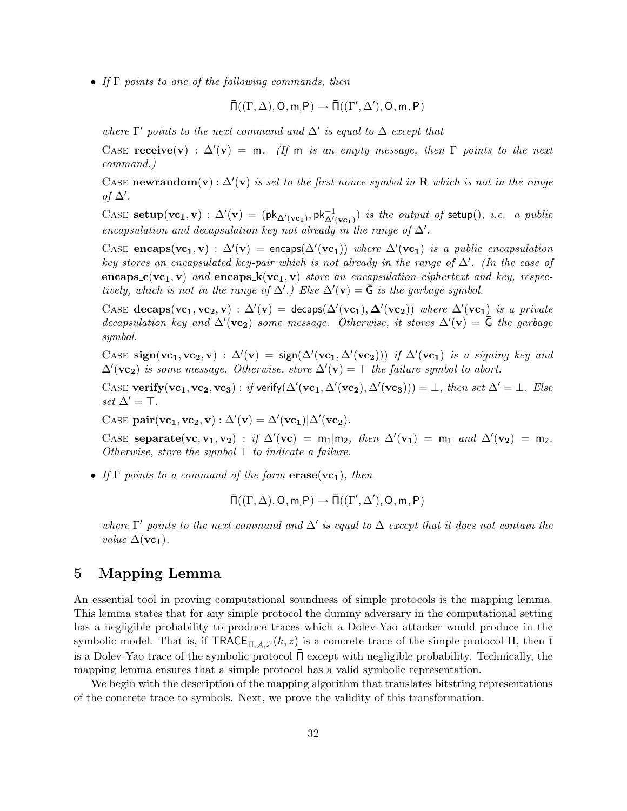• If Γ points to one of the following commands, then

$$
\bar \Pi((\Gamma, \Delta), O, m, P) \to \bar \Pi((\Gamma', \Delta'), O, m, P)
$$

where  $\Gamma'$  points to the next command and  $\Delta'$  is equal to  $\Delta$  except that

CASE receive(v) :  $\Delta'(\mathbf{v}) = \mathbf{m}$ . (If  $\mathbf{m}$  is an empty message, then  $\Gamma$  points to the next command.)

CASE newrandom(v) :  $\Delta'$ (v) is set to the first nonce symbol in R which is not in the range of  $\Delta'$ .

CASE setup( $vc_1, v$ ) :  $\Delta'(v) = (pk_{\Delta'(vc_1)}, pk_{\Delta'(vc_1)}^{-1})$  is the output of setup(), i.e. a public encapsulation and decapsulation key not already in the range of  $\Delta'$ .

CASE encaps( $vc_1, v$ ) :  $\Delta'(v)$  = encaps( $\Delta'(vc_1)$ ) where  $\Delta'(vc_1)$  is a public encapsulation key stores an encapsulated key-pair which is not already in the range of  $\Delta'$ . (In the case of encaps  $c(\mathbf{v}c_1, \mathbf{v})$  and encaps  $\mathbf{k}(\mathbf{v}c_1, \mathbf{v})$  store an encapsulation ciphertext and key, respectively, which is not in the range of  $\Delta'$ .) Else  $\Delta'(\mathbf{v}) = \bar{G}$  is the garbage symbol.

CASE decaps( $vc_1, vc_2, v$ ) :  $\Delta'(v)$  = decaps( $\Delta'(vc_1), \Delta'(vc_2)$ ) where  $\Delta'(vc_1)$  is a private decapsulation key and  $\Delta'$ (**vc**<sub>2</sub>) some message. Otherwise, it stores  $\Delta'$ (**v**) =  $\overline{G}$  the garbage symbol.

CASE sign( $vc_1, vc_2, v$ ) :  $\Delta'(v)$  = sign( $\Delta'(vc_1, \Delta'(vc_2))$ ) if  $\Delta'(vc_1)$  is a signing key and  $\Delta'(\mathbf{v}\mathbf{c}_2)$  is some message. Otherwise, store  $\Delta'(\mathbf{v}) = \top$  the failure symbol to abort.

CASE verify(vc<sub>1</sub>, vc<sub>2</sub>, vc<sub>3</sub>): if verify( $\Delta'$ (vc<sub>1</sub>,  $\Delta'$ (vc<sub>2</sub>),  $\Delta'$ (vc<sub>3</sub>))) = ⊥, then set  $\Delta' = \bot$ . Else set  $\Delta' = \top$ .

CASE  $pair(vc_1, vc_2, v) : \Delta'(v) = \Delta'(vc_1)|\Delta'(vc_2)$ .

CASE separate(vc, v<sub>1</sub>, v<sub>2</sub>) : if  $\Delta'$ (vc) = m<sub>1</sub>|m<sub>2</sub>, then  $\Delta'$ (v<sub>1</sub>) = m<sub>1</sub> and  $\Delta'$ (v<sub>2</sub>) = m<sub>2</sub>. Otherwise, store the symbol  $\top$  to indicate a failure.

• If  $\Gamma$  points to a command of the form  $\mathbf{erase}(\mathbf{vc_1})$ , then

$$
\bar \Pi((\Gamma, \Delta), O, m, P) \to \bar \Pi((\Gamma', \Delta'), O, m, P)
$$

where  $\Gamma'$  points to the next command and  $\Delta'$  is equal to  $\Delta$  except that it does not contain the *value*  $\Delta$ (**vc**<sub>1</sub>).

## <span id="page-33-0"></span>5 Mapping Lemma

An essential tool in proving computational soundness of simple protocols is the mapping lemma. This lemma states that for any simple protocol the dummy adversary in the computational setting has a negligible probability to produce traces which a Dolev-Yao attacker would produce in the symbolic model. That is, if  $\mathsf{TRACE}_{\Pi,\mathcal{A},\mathcal{Z}}(k,z)$  is a concrete trace of the simple protocol  $\Pi$ , then  $\bar{\mathsf{t}}$ is a Dolev-Yao trace of the symbolic protocol  $\bar{\Pi}$  except with negligible probability. Technically, the mapping lemma ensures that a simple protocol has a valid symbolic representation.

<span id="page-33-1"></span>We begin with the description of the mapping algorithm that translates bitstring representations of the concrete trace to symbols. Next, we prove the validity of this transformation.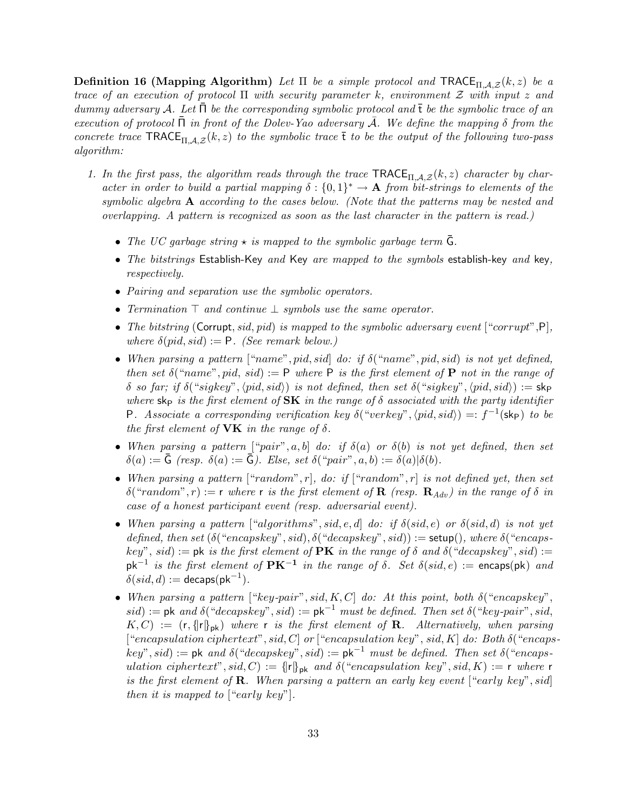**Definition 16 (Mapping Algorithm)** Let  $\Pi$  be a simple protocol and  $\text{TRACE}_{\Pi,A,Z}(k, z)$  be a trace of an execution of protocol  $\Pi$  with security parameter k, environment  $\mathcal Z$  with input z and dummy adversary A. Let  $\Pi$  be the corresponding symbolic protocol and  $\bar{t}$  be the symbolic trace of an execution of protocol  $\Pi$  in front of the Dolev-Yao adversary A. We define the mapping  $\delta$  from the concrete trace  $\text{TRACE}_{\text{TLA},\mathcal{Z}}(k, z)$  to the symbolic trace  $\bar{t}$  to be the output of the following two-pass algorithm:

- 1. In the first pass, the algorithm reads through the trace  $\text{TRACE}_{\text{TL},A,Z}(k, z)$  character by character in order to build a partial mapping  $\delta: \{0,1\}^* \to \mathbf{A}$  from bit-strings to elements of the symbolic algebra  $A$  according to the cases below. (Note that the patterns may be nested and overlapping. A pattern is recognized as soon as the last character in the pattern is read.)
	- The UC garbage string  $\star$  is mapped to the symbolic garbage term  $\bar{G}$ .
	- The bitstrings Establish-Key and Key are mapped to the symbols establish-key and key, respectively.
	- Pairing and separation use the symbolic operators.
	- Termination  $\top$  and continue  $\bot$  symbols use the same operator.
	- The bitstring (Corrupt, sid, pid) is mapped to the symbolic adversary event  $[``corrupt", P]$ , where  $\delta(pid, sid) := P$ . (See remark below.)
	- When parsing a pattern  $["name", pid, sid]$  do: if  $\delta("name", pid, sid)$  is not yet defined, then set  $\delta("name", pid, sid) := \mathsf{P}$  where  $\mathsf{P}$  is the first element of  $\mathsf{P}$  not in the range of δ so far; if  $\delta$  ("sigkey",  $\langle pid, sid \rangle$ ) is not defined, then set  $\delta$  ("sigkey",  $\langle pid, sid \rangle$ ) := skp where  $\mathsf{sk}_P$  is the first element of  $\mathbf{SK}$  in the range of  $\delta$  associated with the party identifier P. Associate a corresponding verification key  $\delta("verkey", \langle pid, sid \rangle) =: f^{-1}(\mathsf{sk}_{\mathsf{P}})$  to be the first element of **VK** in the range of  $\delta$ .
	- When parsing a pattern  $[``pair", a, b]$  do: if  $\delta(a)$  or  $\delta(b)$  is not yet defined, then set  $\delta(a) := \bar{\mathsf{G}}$  (resp.  $\delta(a) := \bar{\mathsf{G}}$ ). Else, set  $\delta("pair", a, b) := \delta(a)|\delta(b)$ .
	- When parsing a pattern ["random", r], do: if ["random", r] is not defined yet, then set δ("random", r) := r where r is the first element of **R** (resp.  $\mathbf{R}_{Adn}$ ) in the range of δ in case of a honest participant event (resp. adversarial event).
	- When parsing a pattern ["algorithms", sid, e, d] do: if  $\delta(sid, e)$  or  $\delta(sid, d)$  is not yet defined, then set  $(\delta("encapskey", sid), \delta("decapskey", sid)) := \mathsf{setup}(), where \delta("encaps$ key", sid) := pk is the first element of **PK** in the range of  $\delta$  and  $\delta$  ("decapskey", sid) :=  $pk^{-1}$  is the first element of  $PK^{-1}$  in the range of  $\delta$ . Set  $\delta(side, e) :=$  encaps(pk) and  $\delta(sid, d) := \mathsf{decaps}(\mathsf{pk}^{-1}).$
	- When parsing a pattern ["key-pair", sid, K, C] do: At this point, both  $\delta$  ("encapskey", sid) := pk and  $\delta("decapskey", sid) := \mathsf{pk}^{-1}$  must be defined. Then set  $\delta("key-pair", sid, def]$  $K, C$  := (r, {|r|\tau}<sub>pk</sub>) where r is the first element of **R**. Alternatively, when parsing ["encapsulation ciphertext", sid, C| or ["encapsulation key", sid, K| do: Both  $\delta$  ("encaps $key^v, sid) := \mathsf{pk} \ and \ \delta("decapskey", sid) := \mathsf{pk}^{-1} \ must \ be \ defined. \ Then \ set \ \delta("encaps$ ulation ciphertext", sid, C) :=  $\{ |r|\}_{pk}$  and  $\delta("encapsulation key", sid, K) := r$  where r is the first element of  $\bf R$ . When parsing a pattern an early key event ["early key", sid] then it is mapped to ["early key"].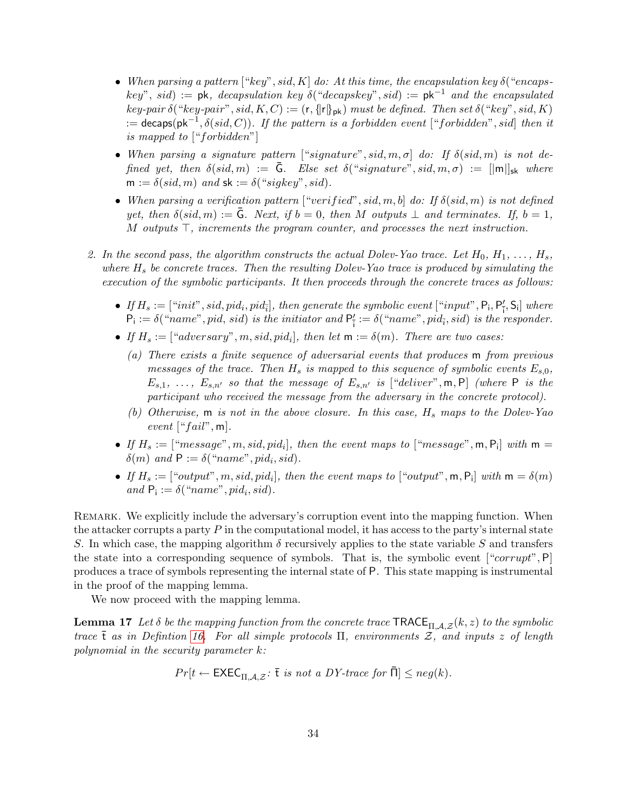- When parsing a pattern  $[``key", sid, K]$  do: At this time, the encapsulation key  $\delta("encaps-)$  $key^{\prime\prime}$ , sid) := pk, decapsulation key  $\delta$ ("decapskey", sid) := pk<sup>-1</sup> and the encapsulated key-pair  $\delta$  ("key-pair", sid, K, C) := (r, {|r|\taurdatalchilded. Then set  $\delta$  ("key", sid, K)  $:=$  decaps(pk<sup>-1</sup>,  $\delta(sid, C)$ ). If the pattern is a forbidden event ["forbidden", sid] then it is mapped to ["forbidden"]
- When parsing a signature pattern  $[$ "signature", sid, m,  $\sigma$  do: If  $\delta(\text{sid}, m)$  is not defined yet, then  $\delta(sid, m) := \bar{G}$ . Else set  $\delta("signature", sid, m, \sigma) := ||m||_{sk}$  where  $m := \delta(\text{sid}, m)$  and  $sk := \delta("sigkey", \text{sid}).$
- When parsing a verification pattern ["verified", sid, m, b] do: If  $\delta(sid, m)$  is not defined yet, then  $\delta(sid, m) := G$ . Next, if  $b = 0$ , then M outputs  $\perp$  and terminates. If,  $b = 1$ , M outputs  $\top$ , increments the program counter, and processes the next instruction.
- 2. In the second pass, the algorithm constructs the actual Dolev-Yao trace. Let  $H_0, H_1, \ldots, H_s$ , where  $H_s$  be concrete traces. Then the resulting Dolev-Yao trace is produced by simulating the execution of the symbolic participants. It then proceeds through the concrete traces as follows:
	- If  $H_s := [``init", sid, pid_i, pid_{\overline{i}}],$  then generate the symbolic event  $[``input", \mathsf{P_i}, \mathsf{P'_{\overline{i}}}, \mathsf{S_i}]$  where  $P_i := \delta("name", pid, sid)$  is the initiator and  $P'_i := \delta("name", pid_i, sid)$  is the responder.
	- If  $H_s := [``adversary", m, sid, pid_i]$ , then let  $m := \delta(m)$ . There are two cases:
		- (a) There exists a finite sequence of adversarial events that produces m from previous messages of the trace. Then  $H_s$  is mapped to this sequence of symbolic events  $E_{s,0}$ ,  $E_{s,1}, \ldots, E_{s,n'}$  so that the message of  $E_{s,n'}$  is ["deliver", m, P] (where P is the participant who received the message from the adversary in the concrete protocol).
		- (b) Otherwise,  $m$  is not in the above closure. In this case,  $H_s$  maps to the Dolev-Yao event  $[$ " $fail"$ , m].
	- If  $H_s := [$ "message", m, sid, pid<sub>i</sub>], then the event maps to ["message", m,  $P_i$ ] with  $m =$  $\delta(m)$  and  $P := \delta("name", pid_i, sid).$
	- If  $H_s := [``output", m, sid, pid_i]$ , then the event maps to  $[``output", m, P_i]$  with  $m = \delta(m)$ and  $P_i := \delta("name", pid_i, sid).$

REMARK. We explicitly include the adversary's corruption event into the mapping function. When the attacker corrupts a party  $P$  in the computational model, it has access to the party's internal state S. In which case, the mapping algorithm  $\delta$  recursively applies to the state variable S and transfers the state into a corresponding sequence of symbols. That is, the symbolic event  $[^{\,\,\alpha}$ corrupt", P produces a trace of symbols representing the internal state of P. This state mapping is instrumental in the proof of the mapping lemma.

We now proceed with the mapping lemma.

**Lemma 17** Let  $\delta$  be the mapping function from the concrete trace TRACE<sub>II,A,Z</sub>(k,z) to the symbolic trace  $\bar{t}$  as in Defintion [16.](#page-33-1) For all simple protocols  $\Pi$ , environments  $\mathcal{Z}$ , and inputs  $z$  of length polynomial in the security parameter k:

<span id="page-35-0"></span>
$$
Pr[t \leftarrow \text{EXEC}_{\Pi, \mathcal{A}, \mathcal{Z}}: \overline{t} \text{ is not a } DY\text{-}trace \text{ for } \overline{\Pi}] \leq neg(k).
$$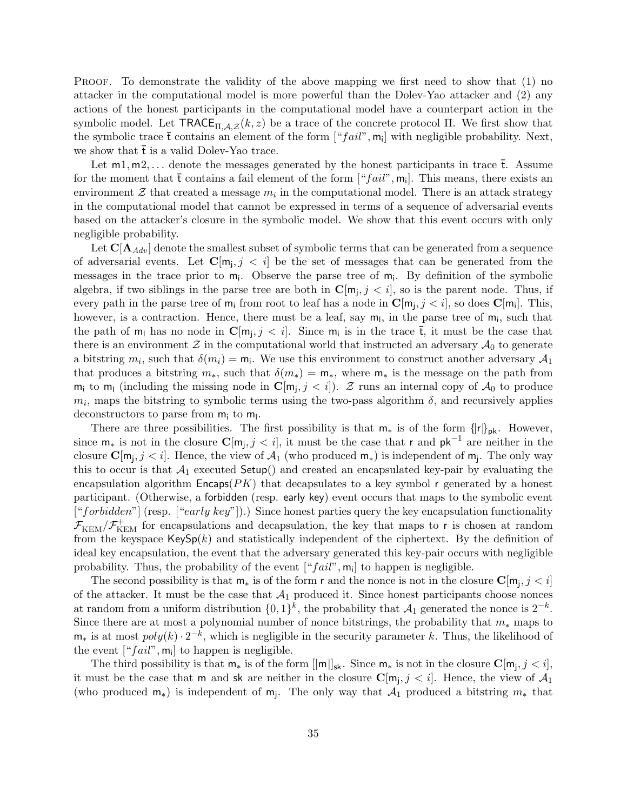PROOF. To demonstrate the validity of the above mapping we first need to show that (1) no attacker in the computational model is more powerful than the Dolev-Yao attacker and (2) any actions of the honest participants in the computational model have a counterpart action in the symbolic model. Let  $\mathsf{TRACE}_{\Pi,\mathcal{A},\mathcal{Z}}(k,z)$  be a trace of the concrete protocol  $\Pi$ . We first show that the symbolic trace  $\bar{t}$  contains an element of the form  $[$ " $fail$ ",  $m_i$ ] with negligible probability. Next, we show that  $\bar{t}$  is a valid Dolev-Yao trace.

Let  $m_1, m_2, \ldots$  denote the messages generated by the honest participants in trace  $\bar{t}$ . Assume for the moment that  $\bar{t}$  contains a fail element of the form  $[$ " $fail$ ",  $m_i$ ]. This means, there exists an environment  $\mathcal Z$  that created a message  $m_i$  in the computational model. There is an attack strategy in the computational model that cannot be expressed in terms of a sequence of adversarial events based on the attacker's closure in the symbolic model. We show that this event occurs with only negligible probability.

Let  $C[A_{Adv}]$  denote the smallest subset of symbolic terms that can be generated from a sequence of adversarial events. Let  $\mathbf{C}[\mathbf{m}_j, j \leq i]$  be the set of messages that can be generated from the messages in the trace prior to  $m_i$ . Observe the parse tree of  $m_i$ . By definition of the symbolic algebra, if two siblings in the parse tree are both in  $\mathbf{C}[\mathsf{m}_{j}, j < i]$ , so is the parent node. Thus, if every path in the parse tree of  $m_i$  from root to leaf has a node in  $\mathbf{C}[m_j, j < i]$ , so does  $\mathbf{C}[m_i]$ . This, however, is a contraction. Hence, there must be a leaf, say  $m<sub>l</sub>$ , in the parse tree of  $m<sub>i</sub>$ , such that the path of  $m_l$  has no node in  $\mathbf{C}[m_j, j < i]$ . Since  $m_i$  is in the trace  $\bar{t}$ , it must be the case that there is an environment  $\mathcal Z$  in the computational world that instructed an adversary  $\mathcal A_0$  to generate a bitstring  $m_i$ , such that  $\delta(m_i) = m_i$ . We use this environment to construct another adversary  $\mathcal{A}_1$ that produces a bitstring  $m_*$ , such that  $\delta(m_*) = m_*$ , where  $m_*$  is the message on the path from  $m_i$  to  $m_l$  (including the missing node in  $\mathbb{C}[m_j, j < i]$ ). Z runs an internal copy of  $\mathcal{A}_0$  to produce  $m_i$ , maps the bitstring to symbolic terms using the two-pass algorithm  $\delta$ , and recursively applies deconstructors to parse from  $m_i$  to  $m_l$ .

There are three possibilities. The first possibility is that  $m_*$  is of the form  $\{ |r|\}_{pk}$ . However, since  $m_*$  is not in the closure  $\mathbf{C}[m_j, j < i]$ , it must be the case that r and  $pk^{-1}$  are neither in the closure  $\mathbf{C}[\mathsf{m}_j, j < i]$ . Hence, the view of  $\mathcal{A}_1$  (who produced  $\mathsf{m}_*$ ) is independent of  $\mathsf{m}_j$ . The only way this to occur is that  $\mathcal{A}_1$  executed Setup() and created an encapsulated key-pair by evaluating the encapsulation algorithm  $\mathsf{Encaps}(PK)$  that decapsulates to a key symbol r generated by a honest participant. (Otherwise, a forbidden (resp. early key) event occurs that maps to the symbolic event ["forbidden"] (resp. ["early key"]).) Since honest parties query the key encapsulation functionality  $\mathcal{F}_{\text{KEM}}/\mathcal{F}_{\text{KEM}}^+$  for encapsulations and decapsulation, the key that maps to r is chosen at random from the keyspace  $\mathsf{KeySp}(k)$  and statistically independent of the ciphertext. By the definition of ideal key encapsulation, the event that the adversary generated this key-pair occurs with negligible probability. Thus, the probability of the event  $[$ " $fail$ ",  $m_i$ ] to happen is negligible.

The second possibility is that  $m_*$  is of the form r and the nonce is not in the closure  $\mathbf{C}[m_j, j < i]$ of the attacker. It must be the case that  $A_1$  produced it. Since honest participants choose nonces at random from a uniform distribution  $\{0,1\}^k$ , the probability that  $\mathcal{A}_1$  generated the nonce is  $2^{-k}$ . Since there are at most a polynomial number of nonce bitstrings, the probability that  $m_*$  maps to  $\mathsf{m}_*$  is at most  $poly(k) \cdot 2^{-k}$ , which is negligible in the security parameter k. Thus, the likelihood of the event  $[``fail", m_i]$  to happen is negligible.

The third possibility is that  $m_*$  is of the form  $[|m|]_{sk}$ . Since  $m_*$  is not in the closure  $\mathbf{C}[m_j, j < i]$ , it must be the case that m and sk are neither in the closure  $\mathbf{C}[\mathsf{m}_j, j < i]$ . Hence, the view of  $\mathcal{A}_1$ (who produced  $m_*$ ) is independent of  $m_j$ . The only way that  $\mathcal{A}_1$  produced a bitstring  $m_*$  that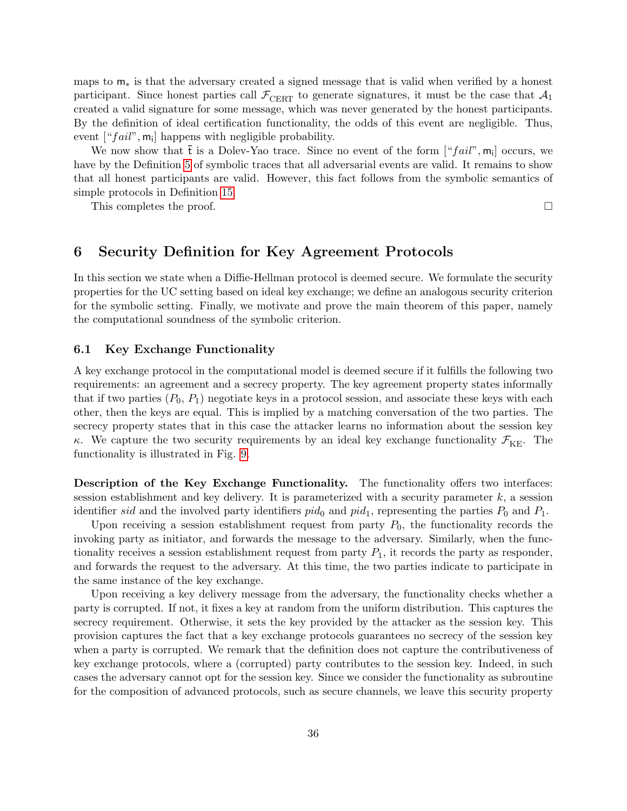maps to  $m<sub>*</sub>$  is that the adversary created a signed message that is valid when verified by a honest participant. Since honest parties call  $\mathcal{F}_{\text{CEPT}}$  to generate signatures, it must be the case that  $\mathcal{A}_1$ created a valid signature for some message, which was never generated by the honest participants. By the definition of ideal certification functionality, the odds of this event are negligible. Thus, event  $[``fail", \mathsf{m}_i]$  happens with negligible probability.

We now show that  $\bar{t}$  is a Dolev-Yao trace. Since no event of the form  $[``fail", m_i]$  occurs, we have by the Definition [5](#page-15-0) of symbolic traces that all adversarial events are valid. It remains to show that all honest participants are valid. However, this fact follows from the symbolic semantics of simple protocols in Definition [15.](#page-32-1)

This completes the proof.  $\Box$ 

## <span id="page-37-0"></span>6 Security Definition for Key Agreement Protocols

In this section we state when a Diffie-Hellman protocol is deemed secure. We formulate the security properties for the UC setting based on ideal key exchange; we define an analogous security criterion for the symbolic setting. Finally, we motivate and prove the main theorem of this paper, namely the computational soundness of the symbolic criterion.

## <span id="page-37-1"></span>6.1 Key Exchange Functionality

A key exchange protocol in the computational model is deemed secure if it fulfills the following two requirements: an agreement and a secrecy property. The key agreement property states informally that if two parties  $(P_0, P_1)$  negotiate keys in a protocol session, and associate these keys with each other, then the keys are equal. This is implied by a matching conversation of the two parties. The secrecy property states that in this case the attacker learns no information about the session key κ. We capture the two security requirements by an ideal key exchange functionality  $\mathcal{F}_{KE}$ . The functionality is illustrated in Fig. [9.](#page-38-1)

Description of the Key Exchange Functionality. The functionality offers two interfaces: session establishment and key delivery. It is parameterized with a security parameter  $k$ , a session identifier sid and the involved party identifiers  $pid_0$  and  $pid_1$ , representing the parties  $P_0$  and  $P_1$ .

Upon receiving a session establishment request from party  $P_0$ , the functionality records the invoking party as initiator, and forwards the message to the adversary. Similarly, when the functionality receives a session establishment request from party  $P_1$ , it records the party as responder. and forwards the request to the adversary. At this time, the two parties indicate to participate in the same instance of the key exchange.

Upon receiving a key delivery message from the adversary, the functionality checks whether a party is corrupted. If not, it fixes a key at random from the uniform distribution. This captures the secrecy requirement. Otherwise, it sets the key provided by the attacker as the session key. This provision captures the fact that a key exchange protocols guarantees no secrecy of the session key when a party is corrupted. We remark that the definition does not capture the contributiveness of key exchange protocols, where a (corrupted) party contributes to the session key. Indeed, in such cases the adversary cannot opt for the session key. Since we consider the functionality as subroutine for the composition of advanced protocols, such as secure channels, we leave this security property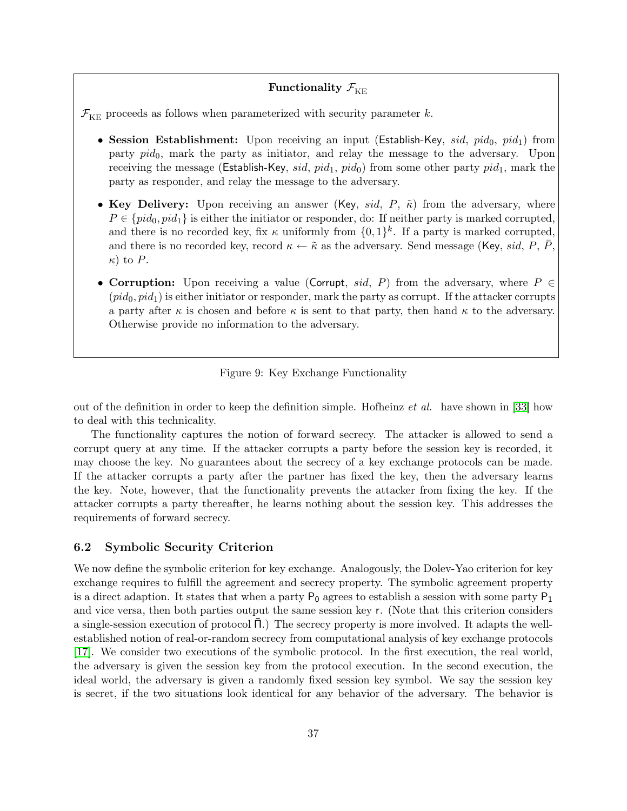## Functionality  $\mathcal{F}_{\text{KE}}$

 $\mathcal{F}_{KE}$  proceeds as follows when parameterized with security parameter k.

- Session Establishment: Upon receiving an input (Establish-Key, sid, pid<sub>0</sub>, pid<sub>1</sub>) from party  $pid_0$ , mark the party as initiator, and relay the message to the adversary. Upon receiving the message (Establish-Key, sid,  $pid_1$ ,  $pid_0$ ) from some other party  $pid_1$ , mark the party as responder, and relay the message to the adversary.
- Key Delivery: Upon receiving an answer (Key, sid, P,  $\tilde{\kappa}$ ) from the adversary, where  $P \in \{pid_0, pid_1\}$  is either the initiator or responder, do: If neither party is marked corrupted, and there is no recorded key, fix  $\kappa$  uniformly from  $\{0,1\}^k$ . If a party is marked corrupted, and there is no recorded key, record  $\kappa \leftarrow \tilde{\kappa}$  as the adversary. Send message (Key, sid, P, P,  $\kappa$ ) to P.
- Corruption: Upon receiving a value (Corrupt, sid, P) from the adversary, where  $P \in$  $(\text{pid}_0, \text{pid}_1)$  is either initiator or responder, mark the party as corrupt. If the attacker corrupts a party after  $\kappa$  is chosen and before  $\kappa$  is sent to that party, then hand  $\kappa$  to the adversary. Otherwise provide no information to the adversary.

<span id="page-38-1"></span>Figure 9: Key Exchange Functionality

out of the definition in order to keep the definition simple. Hofheinz *et al.* have shown in [\[33\]](#page-51-12) how to deal with this technicality.

The functionality captures the notion of forward secrecy. The attacker is allowed to send a corrupt query at any time. If the attacker corrupts a party before the session key is recorded, it may choose the key. No guarantees about the secrecy of a key exchange protocols can be made. If the attacker corrupts a party after the partner has fixed the key, then the adversary learns the key. Note, however, that the functionality prevents the attacker from fixing the key. If the attacker corrupts a party thereafter, he learns nothing about the session key. This addresses the requirements of forward secrecy.

### <span id="page-38-0"></span>6.2 Symbolic Security Criterion

We now define the symbolic criterion for key exchange. Analogously, the Dolev-Yao criterion for key exchange requires to fulfill the agreement and secrecy property. The symbolic agreement property is a direct adaption. It states that when a party  $P_0$  agrees to establish a session with some party  $P_1$ and vice versa, then both parties output the same session key r. (Note that this criterion considers a single-session execution of protocol  $\Pi$ .) The secrecy property is more involved. It adapts the wellestablished notion of real-or-random secrecy from computational analysis of key exchange protocols [\[17\]](#page-50-12). We consider two executions of the symbolic protocol. In the first execution, the real world, the adversary is given the session key from the protocol execution. In the second execution, the ideal world, the adversary is given a randomly fixed session key symbol. We say the session key is secret, if the two situations look identical for any behavior of the adversary. The behavior is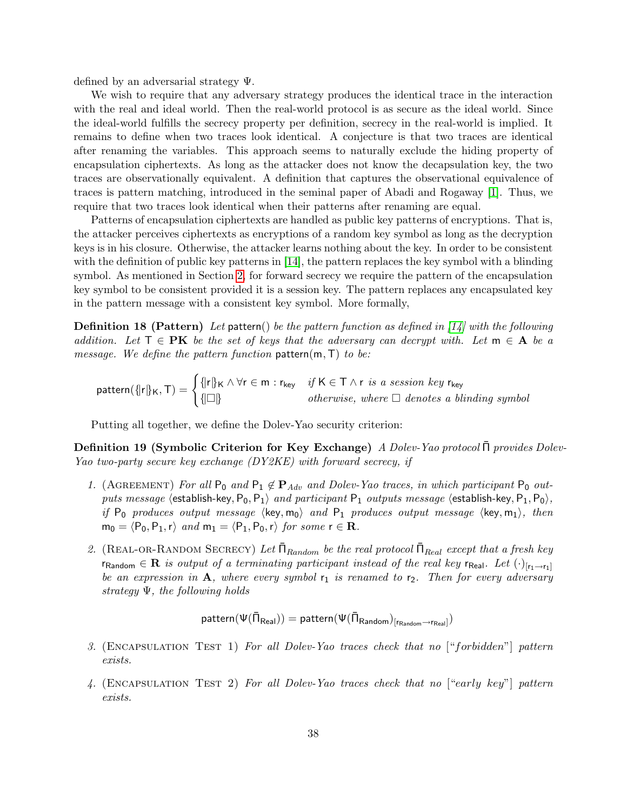defined by an adversarial strategy Ψ.

We wish to require that any adversary strategy produces the identical trace in the interaction with the real and ideal world. Then the real-world protocol is as secure as the ideal world. Since the ideal-world fulfills the secrecy property per definition, secrecy in the real-world is implied. It remains to define when two traces look identical. A conjecture is that two traces are identical after renaming the variables. This approach seems to naturally exclude the hiding property of encapsulation ciphertexts. As long as the attacker does not know the decapsulation key, the two traces are observationally equivalent. A definition that captures the observational equivalence of traces is pattern matching, introduced in the seminal paper of Abadi and Rogaway [\[1\]](#page-48-0). Thus, we require that two traces look identical when their patterns after renaming are equal.

Patterns of encapsulation ciphertexts are handled as public key patterns of encryptions. That is, the attacker perceives ciphertexts as encryptions of a random key symbol as long as the decryption keys is in his closure. Otherwise, the attacker learns nothing about the key. In order to be consistent with the definition of public key patterns in [\[14\]](#page-49-6), the pattern replaces the key symbol with a blinding symbol. As mentioned in Section [2,](#page-6-0) for forward secrecy we require the pattern of the encapsulation key symbol to be consistent provided it is a session key. The pattern replaces any encapsulated key in the pattern message with a consistent key symbol. More formally,

**Definition 18 (Pattern)** Let pattern() be the pattern function as defined in  $\left[14\right]$  with the following addition. Let  $\mathsf{T} \in \mathbf{P}\mathbf{K}$  be the set of keys that the adversary can decrypt with. Let  $\mathsf{m} \in \mathbf{A}$  be a message. We define the pattern function  $pattern(m,T)$  to be:

$$
\text{pattern}(\{|r|\}_{\mathsf{K}},\mathsf{T}) = \begin{cases} {\|r|\}_{\mathsf{K}} \wedge \forall r \in \mathsf{m} : r_{\text{key}} & \text{if } \mathsf{K} \in \mathsf{T} \wedge r \text{ is a session key } r_{\text{key}} \\ {\{\Box\}} & \text{otherwise, where } \Box \text{ denotes a binding symbol } \end{cases}
$$

Putting all together, we define the Dolev-Yao security criterion:

**Definition 19 (Symbolic Criterion for Key Exchange)** A Dolev-Yao protocol Π provides Dolev-Yao two-party secure key exchange (DY2KE) with forward secrecy, if

- 1. (AGREEMENT) For all  $P_0$  and  $P_1 \notin P_{Adv}$  and Dolev-Yao traces, in which participant  $P_0$  outputs message  $\langle$  establish-key, P<sub>0</sub>, P<sub>1</sub> $\rangle$  and participant P<sub>1</sub> outputs message  $\langle$  establish-key, P<sub>1</sub>, P<sub>0</sub> $\rangle$ , if  $P_0$  produces output message  $\langle \text{key}, \text{m}_0 \rangle$  and  $P_1$  produces output message  $\langle \text{key}, \text{m}_1 \rangle$ , then  $m_0 = \langle P_0, P_1, r \rangle$  and  $m_1 = \langle P_1, P_0, r \rangle$  for some  $r \in \mathbb{R}$ .
- 2. (REAL-OR-RANDOM SECRECY) Let  $\bar{\Pi}_{Random}$  be the real protocol  $\bar{\Pi}_{Real}$  except that a fresh key  $r_{\text{Random}} \in \mathbf{R}$  is output of a terminating participant instead of the real key  $r_{\text{Real}}$ . Let  $(\cdot)_{[r_1 \to r_1]}$ be an expression in  $\mathbf{A}$ , where every symbol  $r_1$  is renamed to  $r_2$ . Then for every adversary strategy  $\Psi$ , the following holds

$$
\mathsf{pattern}(\Psi(\bar{\Pi}_{\mathsf{Real}})) = \mathsf{pattern}(\Psi(\bar{\Pi}_{\mathsf{Random}})_{[r_\mathsf{Random} \rightarrow r_\mathsf{Real}]})
$$

- 3. (Encapsulation Test 1) For all Dolev-Yao traces check that no ["forbidden"] pattern exists.
- 4. (Encapsulation Test 2) For all Dolev-Yao traces check that no ["early key"] pattern exists.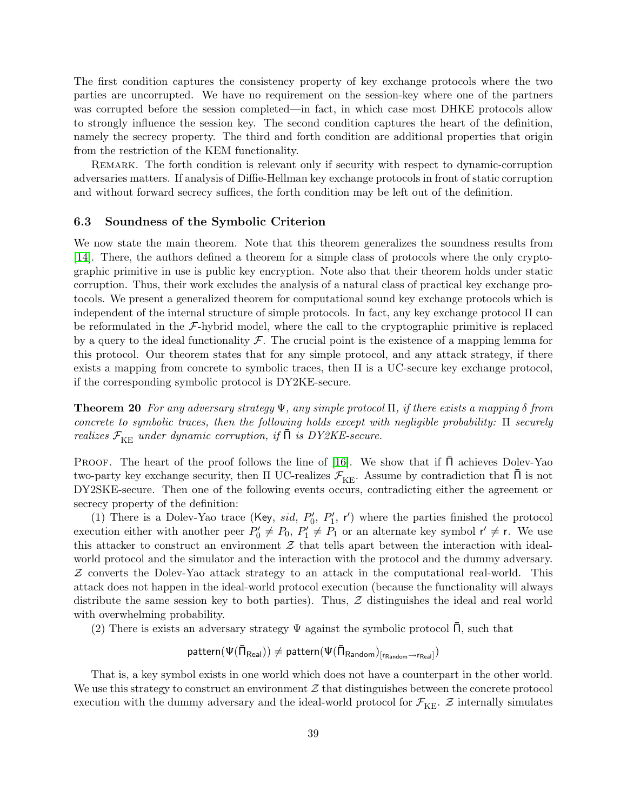The first condition captures the consistency property of key exchange protocols where the two parties are uncorrupted. We have no requirement on the session-key where one of the partners was corrupted before the session completed—in fact, in which case most DHKE protocols allow to strongly influence the session key. The second condition captures the heart of the definition, namely the secrecy property. The third and forth condition are additional properties that origin from the restriction of the KEM functionality.

REMARK. The forth condition is relevant only if security with respect to dynamic-corruption adversaries matters. If analysis of Diffie-Hellman key exchange protocols in front of static corruption and without forward secrecy suffices, the forth condition may be left out of the definition.

## <span id="page-40-0"></span>6.3 Soundness of the Symbolic Criterion

We now state the main theorem. Note that this theorem generalizes the soundness results from [\[14\]](#page-49-6). There, the authors defined a theorem for a simple class of protocols where the only cryptographic primitive in use is public key encryption. Note also that their theorem holds under static corruption. Thus, their work excludes the analysis of a natural class of practical key exchange protocols. We present a generalized theorem for computational sound key exchange protocols which is independent of the internal structure of simple protocols. In fact, any key exchange protocol  $\Pi$  can be reformulated in the  $\mathcal{F}\text{-hybrid model}$ , where the call to the cryptographic primitive is replaced by a query to the ideal functionality  $\mathcal F$ . The crucial point is the existence of a mapping lemma for this protocol. Our theorem states that for any simple protocol, and any attack strategy, if there exists a mapping from concrete to symbolic traces, then  $\Pi$  is a UC-secure key exchange protocol, if the corresponding symbolic protocol is DY2KE-secure.

<span id="page-40-1"></span>**Theorem 20** For any adversary strategy  $\Psi$ , any simple protocol  $\Pi$ , if there exists a mapping  $\delta$  from concrete to symbolic traces, then the following holds except with negligible probability: Π securely realizes  $\mathcal{F}_{\text{KE}}$  under dynamic corruption, if  $\Pi$  is DY2KE-secure.

PROOF. The heart of the proof follows the line of [\[16\]](#page-50-5). We show that if  $\Pi$  achieves Dolev-Yao two-party key exchange security, then  $\Pi$  UC-realizes  $\mathcal{F}_{\text{KE}}$ . Assume by contradiction that  $\bar{\Pi}$  is not DY2SKE-secure. Then one of the following events occurs, contradicting either the agreement or secrecy property of the definition:

(1) There is a Dolev-Yao trace (Key, sid,  $P'_0$ ,  $P'_1$ , r') where the parties finished the protocol execution either with another peer  $P'_0 \neq P_0$ ,  $P'_1 \neq P_1$  or an alternate key symbol  $r' \neq r$ . We use this attacker to construct an environment  $\mathcal Z$  that tells apart between the interaction with idealworld protocol and the simulator and the interaction with the protocol and the dummy adversary.  $Z$  converts the Dolev-Yao attack strategy to an attack in the computational real-world. This attack does not happen in the ideal-world protocol execution (because the functionality will always distribute the same session key to both parties). Thus,  $Z$  distinguishes the ideal and real world with overwhelming probability.

(2) There is exists an adversary strategy  $\Psi$  against the symbolic protocol  $\Pi$ , such that

 $\mathsf{pattern}(\Psi(\bar\Pi_\mathsf{Real})) \neq \mathsf{pattern}(\Psi(\bar\Pi_\mathsf{Random})_{\mathsf{[r_{Random}}\rightarrow \mathsf{r_{Real}}]}})$ 

That is, a key symbol exists in one world which does not have a counterpart in the other world. We use this strategy to construct an environment  $\mathcal Z$  that distinguishes between the concrete protocol execution with the dummy adversary and the ideal-world protocol for  $\mathcal{F}_{KE}$ .  $\mathcal{Z}$  internally simulates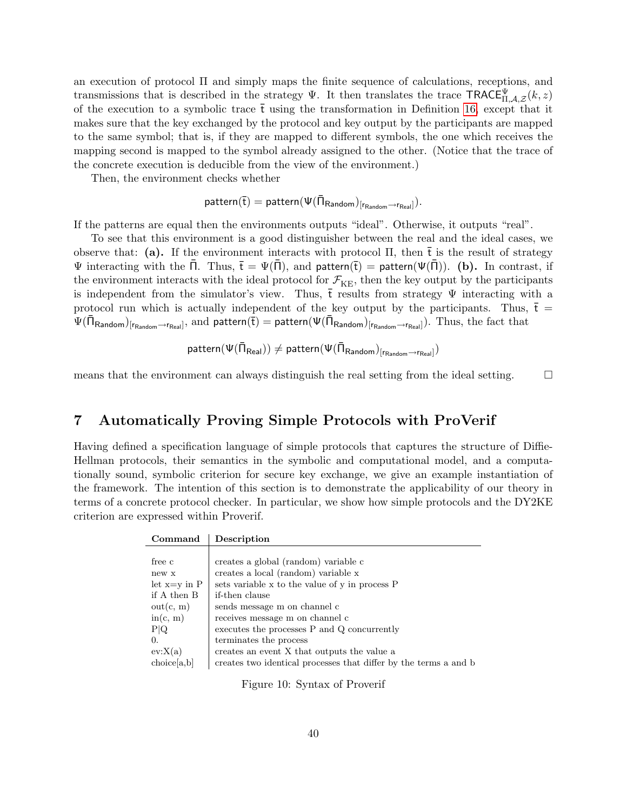an execution of protocol Π and simply maps the finite sequence of calculations, receptions, and transmissions that is described in the strategy  $\Psi$ . It then translates the trace TRACE $\Psi_{\Pi,\mathcal{A},\mathcal{Z}}(k,z)$ of the execution to a symbolic trace  $\bar{t}$  using the transformation in Definition [16,](#page-33-1) except that it makes sure that the key exchanged by the protocol and key output by the participants are mapped to the same symbol; that is, if they are mapped to different symbols, the one which receives the mapping second is mapped to the symbol already assigned to the other. (Notice that the trace of the concrete execution is deducible from the view of the environment.)

Then, the environment checks whether

$$
\mathsf{pattern}(\overline{t}) = \mathsf{pattern}(\Psi(\bar{\Pi}_{\mathsf{Random}})_{[r_\mathsf{Random} \rightarrow r_\mathsf{Real}]}).
$$

If the patterns are equal then the environments outputs "ideal". Otherwise, it outputs "real".

To see that this environment is a good distinguisher between the real and the ideal cases, we observe that: (a). If the environment interacts with protocol  $\Pi$ , then  $\bar{t}$  is the result of strategy Ψ interacting with the  $\overline{\Pi}$ . Thus,  $\overline{t} = \Psi(\overline{\Pi})$ , and pattern( $\overline{t}$ ) = pattern( $\Psi(\overline{\Pi})$ ). (b). In contrast, if the environment interacts with the ideal protocol for  $\mathcal{F}_{KE}$ , then the key output by the participants is independent from the simulator's view. Thus,  $\bar{t}$  results from strategy  $\Psi$  interacting with a protocol run which is actually independent of the key output by the participants. Thus,  $\bar{t}$  =  $\Psi(\bar{\Pi}_{\mathsf{Random}})_{\left[\mathsf{r}_{\mathsf{Random}}\rightarrow\mathsf{r}_{\mathsf{Real}}\right]},$  and  $\mathsf{pattern}(\bar{\mathsf{t}})=\mathsf{pattern}(\Psi(\bar{\Pi}_{\mathsf{Random}})_{\left[\mathsf{r}_{\mathsf{Random}}\rightarrow\mathsf{r}_{\mathsf{Real}}\right]}).$  Thus, the fact that

$$
\mathsf{pattern}(\Psi(\bar{\Pi}_{\mathsf{Real}})) \neq \mathsf{pattern}(\Psi(\bar{\Pi}_{\mathsf{Random}})_{\left[\mathsf{r}_{\mathsf{Random}} \rightarrow \mathsf{r}_{\mathsf{Real}}\right]})
$$

means that the environment can always distinguish the real setting from the ideal setting.  $\square$ 

## <span id="page-41-0"></span>7 Automatically Proving Simple Protocols with ProVerif

Having defined a specification language of simple protocols that captures the structure of Diffie-Hellman protocols, their semantics in the symbolic and computational model, and a computationally sound, symbolic criterion for secure key exchange, we give an example instantiation of the framework. The intention of this section is to demonstrate the applicability of our theory in terms of a concrete protocol checker. In particular, we show how simple protocols and the DY2KE criterion are expressed within Proverif.

| Command          | Description                                                      |  |  |
|------------------|------------------------------------------------------------------|--|--|
|                  |                                                                  |  |  |
| free c           | creates a global (random) variable c                             |  |  |
| new x            | creates a local (random) variable x                              |  |  |
| let $x=y$ in $P$ | sets variable x to the value of y in process P                   |  |  |
| if A then B      | if-then clause                                                   |  |  |
| out(c, m)        | sends message m on channel c                                     |  |  |
| in(c, m)         | receives message m on channel c                                  |  |  |
| P Q              | executes the processes P and Q concurrently                      |  |  |
| 0.               | terminates the process                                           |  |  |
| ev:X(a)          | creates an event X that outputs the value a                      |  |  |
| choice[a,b]      | creates two identical processes that differ by the terms a and b |  |  |

<span id="page-41-1"></span>Figure 10: Syntax of Proverif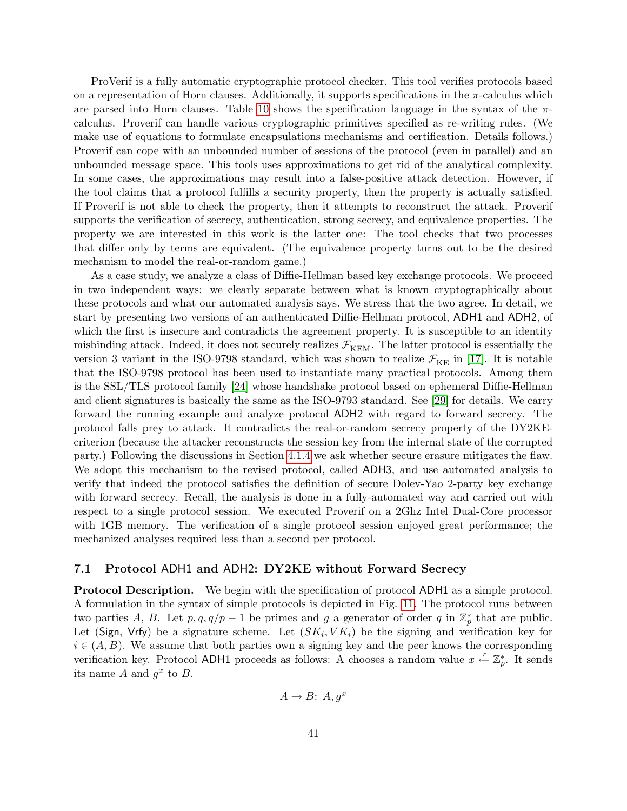ProVerif is a fully automatic cryptographic protocol checker. This tool verifies protocols based on a representation of Horn clauses. Additionally, it supports specifications in the  $\pi$ -calculus which are parsed into Horn clauses. Table [10](#page-41-1) shows the specification language in the syntax of the  $\pi$ calculus. Proverif can handle various cryptographic primitives specified as re-writing rules. (We make use of equations to formulate encapsulations mechanisms and certification. Details follows.) Proverif can cope with an unbounded number of sessions of the protocol (even in parallel) and an unbounded message space. This tools uses approximations to get rid of the analytical complexity. In some cases, the approximations may result into a false-positive attack detection. However, if the tool claims that a protocol fulfills a security property, then the property is actually satisfied. If Proverif is not able to check the property, then it attempts to reconstruct the attack. Proverif supports the verification of secrecy, authentication, strong secrecy, and equivalence properties. The property we are interested in this work is the latter one: The tool checks that two processes that differ only by terms are equivalent. (The equivalence property turns out to be the desired mechanism to model the real-or-random game.)

As a case study, we analyze a class of Diffie-Hellman based key exchange protocols. We proceed in two independent ways: we clearly separate between what is known cryptographically about these protocols and what our automated analysis says. We stress that the two agree. In detail, we start by presenting two versions of an authenticated Diffie-Hellman protocol, ADH1 and ADH2, of which the first is insecure and contradicts the agreement property. It is susceptible to an identity misbinding attack. Indeed, it does not securely realizes  $\mathcal{F}_{\text{KEM}}$ . The latter protocol is essentially the version 3 variant in the ISO-9798 standard, which was shown to realize  $\mathcal{F}_{KE}$  in [\[17\]](#page-50-12). It is notable that the ISO-9798 protocol has been used to instantiate many practical protocols. Among them is the SSL/TLS protocol family [\[24\]](#page-50-13) whose handshake protocol based on ephemeral Diffie-Hellman and client signatures is basically the same as the ISO-9793 standard. See [\[29\]](#page-50-14) for details. We carry forward the running example and analyze protocol ADH2 with regard to forward secrecy. The protocol falls prey to attack. It contradicts the real-or-random secrecy property of the DY2KEcriterion (because the attacker reconstructs the session key from the internal state of the corrupted party.) Following the discussions in Section [4.1.4](#page-25-0) we ask whether secure erasure mitigates the flaw. We adopt this mechanism to the revised protocol, called ADH3, and use automated analysis to verify that indeed the protocol satisfies the definition of secure Dolev-Yao 2-party key exchange with forward secrecy. Recall, the analysis is done in a fully-automated way and carried out with respect to a single protocol session. We executed Proverif on a 2Ghz Intel Dual-Core processor with 1GB memory. The verification of a single protocol session enjoyed great performance; the mechanized analyses required less than a second per protocol.

## <span id="page-42-0"></span>7.1 Protocol ADH1 and ADH2: DY2KE without Forward Secrecy

Protocol Description. We begin with the specification of protocol ADH1 as a simple protocol. A formulation in the syntax of simple protocols is depicted in Fig. [11.](#page-43-0) The protocol runs between two parties A, B. Let  $p, q, q/p-1$  be primes and g a generator of order q in  $\mathbb{Z}_p^*$  that are public. Let (Sign, Vrfy) be a signature scheme. Let  $(SK_i, VK_i)$  be the signing and verification key for  $i \in (A, B)$ . We assume that both parties own a signing key and the peer knows the corresponding verification key. Protocol ADH1 proceeds as follows: A chooses a random value  $x \stackrel{r}{\leftarrow} \mathbb{Z}_p^*$ . It sends its name A and  $g^x$  to B.

$$
A \to B: A, g^x
$$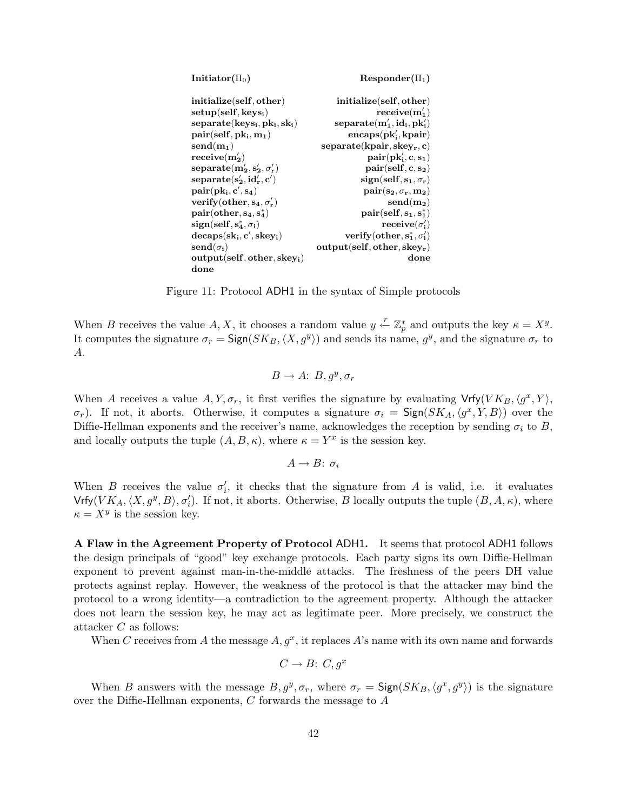| Initiator( $\Pi_0$ )                 | $Responder(\Pi_1)$                 |
|--------------------------------------|------------------------------------|
| initialize(self, other)              | initialize(self, other)            |
| $setup(self, keys_i)$                | $receive(m'_1)$                    |
| $separate(keys_i, pk_i, sk_i)$       | $separate(m'_1, id_i, pk'_i)$      |
| $pair(self, pk_i, m_1)$              | $encaps(pk'_i, kpair)$             |
| $send(m_1)$                          | separate(kpair, skew, c)           |
| $receive(m'_2)$                      | $pair(pk'_i, c, s_1)$              |
| $separate(m'_2, s'_2, \sigma'_r)$    | $pair(self, c, s_2)$               |
| $separate(s'_2, id'_r, c')$          | $sign(self, s_1, \sigma_r)$        |
| $pair(pk_i, c', s_4)$                | $pair(s_2, \sigma_r, m_2)$         |
| verify (other, $s_4$ , $\sigma'_r$ ) | $send(m_2)$                        |
| $pair(other, s_4, s_4^*)$            | $pair(self, s_1, s_1^*)$           |
| $sign(self, s^*, \sigma_i)$          | $\mathbf{receive}(\sigma_i')$      |
| $decaps(sk_i, c', skey_i)$           | verify(other, $s_1^*, \sigma_i'$ ) |
| $\mathbf{send}(\sigma_i)$            | $output(self, other, skew_r)$      |
| $output(self, other, skew_i)$        | done                               |
| done                                 |                                    |

<span id="page-43-0"></span>Figure 11: Protocol ADH1 in the syntax of Simple protocols

When B receives the value A, X, it chooses a random value  $y \stackrel{r}{\leftarrow} \mathbb{Z}_p^*$  and outputs the key  $\kappa = X^y$ . It computes the signature  $\sigma_r = \text{Sign}(SK_B, \langle X, g^y \rangle)$  and sends its name,  $g^y$ , and the signature  $\sigma_r$  to A.

$$
B \to A: B, g^y, \sigma_r
$$

When A receives a value  $A, Y, \sigma_r$ , it first verifies the signature by evaluating  $Vrfy(VK_B, \langle g^x, Y \rangle,$  $\sigma_r$ ). If not, it aborts. Otherwise, it computes a signature  $\sigma_i = \text{Sign}(SK_A,\langle g^x, Y, B \rangle)$  over the Diffie-Hellman exponents and the receiver's name, acknowledges the reception by sending  $\sigma_i$  to B, and locally outputs the tuple  $(A, B, \kappa)$ , where  $\kappa = Y^x$  is the session key.

$$
A \to B: \sigma_i
$$

When B receives the value  $\sigma'_i$ , it checks that the signature from A is valid, i.e. it evaluates  $\mathsf{Vrfy}(VK_A,\langle X,g^y,B\rangle,\sigma'_i)$ . If not, it aborts. Otherwise, B locally outputs the tuple  $(B,A,\kappa)$ , where  $\kappa = X^y$  is the session key.

A Flaw in the Agreement Property of Protocol ADH1. It seems that protocol ADH1 follows the design principals of "good" key exchange protocols. Each party signs its own Diffie-Hellman exponent to prevent against man-in-the-middle attacks. The freshness of the peers DH value protects against replay. However, the weakness of the protocol is that the attacker may bind the protocol to a wrong identity—a contradiction to the agreement property. Although the attacker does not learn the session key, he may act as legitimate peer. More precisely, we construct the attacker C as follows:

When C receives from A the message  $A, g^x$ , it replaces A's name with its own name and forwards

$$
C \to B: C, g^x
$$

When B answers with the message  $B, g^y, \sigma_r$ , where  $\sigma_r = \mathsf{Sign}(SK_B, \langle g^x, g^y \rangle)$  is the signature over the Diffie-Hellman exponents, C forwards the message to A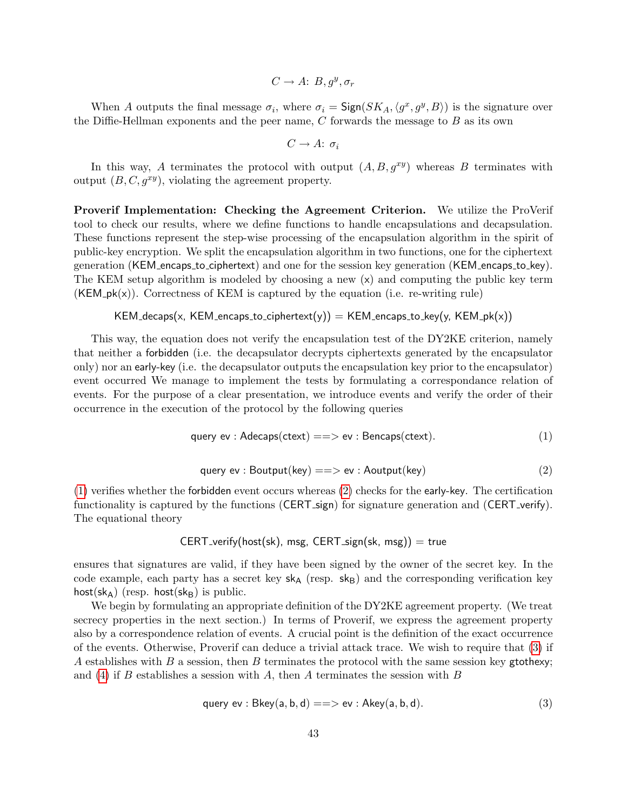$$
C \to A: B, g^y, \sigma_r
$$

When A outputs the final message  $\sigma_i$ , where  $\sigma_i = \text{Sign}(SK_A,\langle g^x, g^y, B \rangle)$  is the signature over the Diffie-Hellman exponents and the peer name,  $C$  forwards the message to  $B$  as its own

$$
C \to A: \sigma_i
$$

In this way, A terminates the protocol with output  $(A, B, g^{xy})$  whereas B terminates with output  $(B, C, g^{xy})$ , violating the agreement property.

Proverif Implementation: Checking the Agreement Criterion. We utilize the ProVerif tool to check our results, where we define functions to handle encapsulations and decapsulation. These functions represent the step-wise processing of the encapsulation algorithm in the spirit of public-key encryption. We split the encapsulation algorithm in two functions, one for the ciphertext generation (KEM encaps to ciphertext) and one for the session key generation (KEM encaps to key). The KEM setup algorithm is modeled by choosing a new (x) and computing the public key term  $(KEM$ <sub>-pk(x)</sub>). Correctness of KEM is captured by the equation (i.e. re-writing rule)

 $KEM\_decaps(x, KEM\_encaps_to\_ciphertext(y)) = KEM\_encaps_to\_key(y, KEM_pk(x))$ 

This way, the equation does not verify the encapsulation test of the DY2KE criterion, namely that neither a forbidden (i.e. the decapsulator decrypts ciphertexts generated by the encapsulator only) nor an early-key (i.e. the decapsulator outputs the encapsulation key prior to the encapsulator) event occurred We manage to implement the tests by formulating a correspondance relation of events. For the purpose of a clear presentation, we introduce events and verify the order of their occurrence in the execution of the protocol by the following queries

$$
query ev : Adecaps(ctext) == > ev : Bencaps(ctext).
$$
\n(1)

$$
query ev : Boutput(key) == > ev : Aoutput(key)
$$
\n(2)

<span id="page-44-1"></span><span id="page-44-0"></span>[\(1\)](#page-44-0) verifies whether the forbidden event occurs whereas [\(2\)](#page-44-1) checks for the early-key. The certification functionality is captured by the functions (CERT\_sign) for signature generation and (CERT\_verify). The equational theory

## $CERT\_verify(host(sk), msg, CERT\_sign(sk, msg)) = true$

ensures that signatures are valid, if they have been signed by the owner of the secret key. In the code example, each party has a secret key  $s_{A}$  (resp.  $s_{B}$ ) and the corresponding verification key host(sk<sub>A</sub>) (resp. host(sk<sub>B</sub>) is public.

<span id="page-44-2"></span>We begin by formulating an appropriate definition of the DY2KE agreement property. (We treat secrecy properties in the next section.) In terms of Proverif, we express the agreement property also by a correspondence relation of events. A crucial point is the definition of the exact occurrence of the events. Otherwise, Proverif can deduce a trivial attack trace. We wish to require that [\(3\)](#page-44-2) if A establishes with B a session, then B terminates the protocol with the same session key gtothexy; and [\(4\)](#page-45-0) if B establishes a session with A, then A terminates the session with B

$$
query ev : Bkey(a, b, d) == > ev : Akey(a, b, d).
$$
\n(3)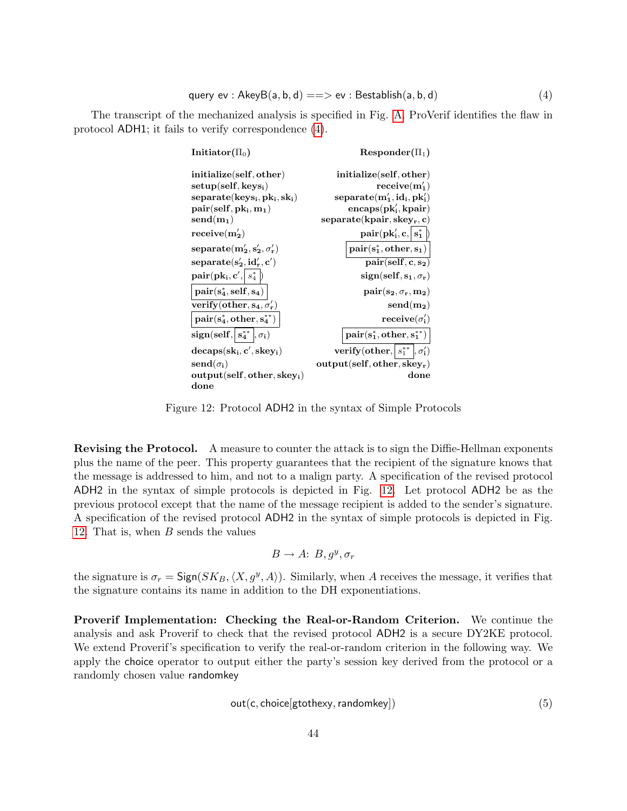<span id="page-45-0"></span>The transcript of the mechanized analysis is specified in Fig. [A.](#page-53-0) ProVerif identifies the flaw in protocol ADH1; it fails to verify correspondence [\(4\)](#page-45-0).

| Initiator( $\Pi_0$ )                                              | $Responder(\Pi_1)$                                                                       |
|-------------------------------------------------------------------|------------------------------------------------------------------------------------------|
| initialize(self, other)                                           | initialize(self, other)                                                                  |
| $setup(self, keys_i)$                                             | $receive(m'_1)$                                                                          |
| $separate(keys_i, pk_i, sk_i)$                                    | $separate(m'_1, id_i, pk'_i)$                                                            |
| $pair(self, pk_i, m_1)$                                           | $encaps(pk'_i, kpair)$                                                                   |
| $\mathbf{send(m_1)}$                                              | $separate(kpair, skew_r, c)$                                                             |
| $\text{receive}(m'_2)$                                            | $\mathbf{pair}(\mathbf{pk}'_i, \mathbf{c}, \left  \right. \mathbf{s}_1^* \left.\right )$ |
| $separate(m'_2, s'_2, \sigma'_r)$                                 | $pair(s_1^*,other,s_1)$                                                                  |
| $separate(s'_{2}, id'_{r}, c')$                                   | $pair(self, c, s_2)$                                                                     |
| ${\bf pair}({\bf pk_i}, {\bf c}', \mid s^*_4 \mid)$               | $sign(self, s_1, \sigma_r)$                                                              |
| $\left \text{pair}(\text{s}^*_4, \text{self}, \text{s}_4)\right $ | $\text{pair}(\mathbf{s_2}, \sigma_{\mathbf{r}}, \mathbf{m_2})$                           |
| verify (other, $s_4, \sigma'_r$ )                                 | $send(m_2)$                                                                              |
| $pair(s_4^*,other,s_4^{**})$                                      | $\mathbf{receive}(\sigma_i')$                                                            |
| $sign(self, s_4^{**}, \sigma_i)$                                  | $\text{pair}(\textbf{s}_1^{*},\text{other},\textbf{s}_1^{**})$                           |
| $decaps(sk_i, c', skey_i)$                                        | verify (other, $s_1^{**}$ , $\sigma'_1$ )                                                |
| $\mathbf{send}(\sigma_i)$                                         | $output(self, other, skew_r)$                                                            |
| $output(self, other, skew_i)$                                     | $\operatorname{done}$                                                                    |
| $_{\rm done}$                                                     |                                                                                          |

<span id="page-45-1"></span>Figure 12: Protocol ADH2 in the syntax of Simple Protocols

Revising the Protocol. A measure to counter the attack is to sign the Diffie-Hellman exponents plus the name of the peer. This property guarantees that the recipient of the signature knows that the message is addressed to him, and not to a malign party. A specification of the revised protocol ADH2 in the syntax of simple protocols is depicted in Fig. [12.](#page-45-1) Let protocol ADH2 be as the previous protocol except that the name of the message recipient is added to the sender's signature. A specification of the revised protocol ADH2 in the syntax of simple protocols is depicted in Fig. [12.](#page-45-1) That is, when B sends the values

$$
B \to A: B, g^y, \sigma_r
$$

the signature is  $\sigma_r = \text{Sign}(SK_B, \langle X, g^y, A \rangle)$ . Similarly, when A receives the message, it verifies that the signature contains its name in addition to the DH exponentiations.

<span id="page-45-2"></span>Proverif Implementation: Checking the Real-or-Random Criterion. We continue the analysis and ask Proverif to check that the revised protocol ADH2 is a secure DY2KE protocol. We extend Proverif's specification to verify the real-or-random criterion in the following way. We apply the choice operator to output either the party's session key derived from the protocol or a randomly chosen value randomkey

$$
out(c, choice[g to the xy, random key])
$$
\n(5)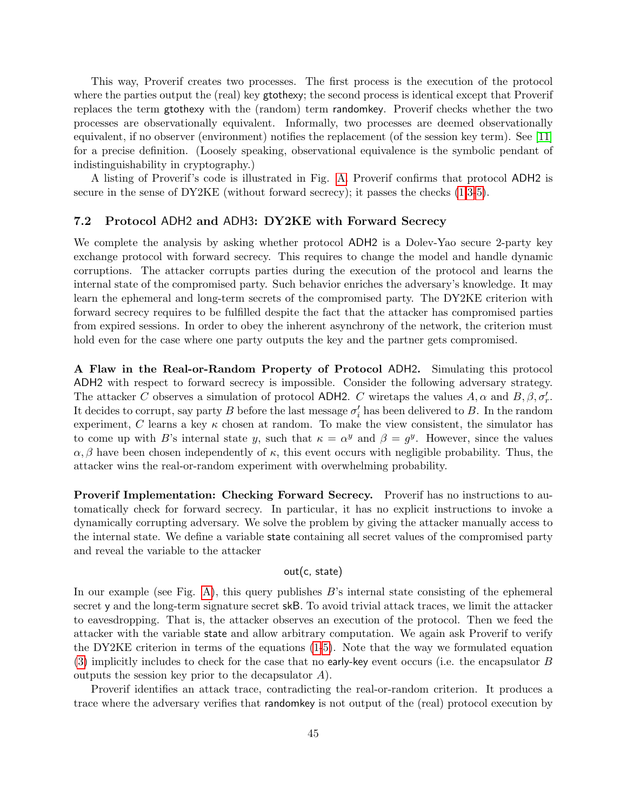This way, Proverif creates two processes. The first process is the execution of the protocol where the parties output the (real) key gtothexy; the second process is identical except that Proverif replaces the term gtothexy with the (random) term randomkey. Proverif checks whether the two processes are observationally equivalent. Informally, two processes are deemed observationally equivalent, if no observer (environment) notifies the replacement (of the session key term). See [\[11\]](#page-49-3) for a precise definition. (Loosely speaking, observational equivalence is the symbolic pendant of indistinguishability in cryptography.)

A listing of Proverif's code is illustrated in Fig. [A.](#page-53-1) Proverif confirms that protocol ADH2 is secure in the sense of  $DY2KE$  (without forward secrecy); it passes the checks  $(1,3-5)$  $(1,3-5)$  $(1,3-5)$ .

### <span id="page-46-0"></span>7.2 Protocol ADH2 and ADH3: DY2KE with Forward Secrecy

We complete the analysis by asking whether protocol ADH2 is a Dolev-Yao secure 2-party key exchange protocol with forward secrecy. This requires to change the model and handle dynamic corruptions. The attacker corrupts parties during the execution of the protocol and learns the internal state of the compromised party. Such behavior enriches the adversary's knowledge. It may learn the ephemeral and long-term secrets of the compromised party. The DY2KE criterion with forward secrecy requires to be fulfilled despite the fact that the attacker has compromised parties from expired sessions. In order to obey the inherent asynchrony of the network, the criterion must hold even for the case where one party outputs the key and the partner gets compromised.

A Flaw in the Real-or-Random Property of Protocol ADH2. Simulating this protocol ADH2 with respect to forward secrecy is impossible. Consider the following adversary strategy. The attacker C observes a simulation of protocol ADH2. C wiretaps the values  $A, \alpha$  and  $B, \beta, \sigma'_r$ . It decides to corrupt, say party B before the last message  $\sigma_i'$  has been delivered to B. In the random experiment, C learns a key  $\kappa$  chosen at random. To make the view consistent, the simulator has to come up with B's internal state y, such that  $\kappa = \alpha^y$  and  $\beta = g^y$ . However, since the values  $\alpha$ , β have been chosen independently of  $\kappa$ , this event occurs with negligible probability. Thus, the attacker wins the real-or-random experiment with overwhelming probability.

Proverif Implementation: Checking Forward Secrecy. Proverif has no instructions to automatically check for forward secrecy. In particular, it has no explicit instructions to invoke a dynamically corrupting adversary. We solve the problem by giving the attacker manually access to the internal state. We define a variable state containing all secret values of the compromised party and reveal the variable to the attacker

## out(c, state)

In our example (see Fig. [A\)](#page-54-0), this query publishes  $B$ 's internal state consisting of the ephemeral secret y and the long-term signature secret skB. To avoid trivial attack traces, we limit the attacker to eavesdropping. That is, the attacker observes an execution of the protocol. Then we feed the attacker with the variable state and allow arbitrary computation. We again ask Proverif to verify the DY2KE criterion in terms of the equations [\(1-](#page-44-0)[5\)](#page-45-2). Note that the way we formulated equation [\(3\)](#page-44-2) implicitly includes to check for the case that no early-key event occurs (i.e. the encapsulator  $B$ outputs the session key prior to the decapsulator A).

Proverif identifies an attack trace, contradicting the real-or-random criterion. It produces a trace where the adversary verifies that randomkey is not output of the (real) protocol execution by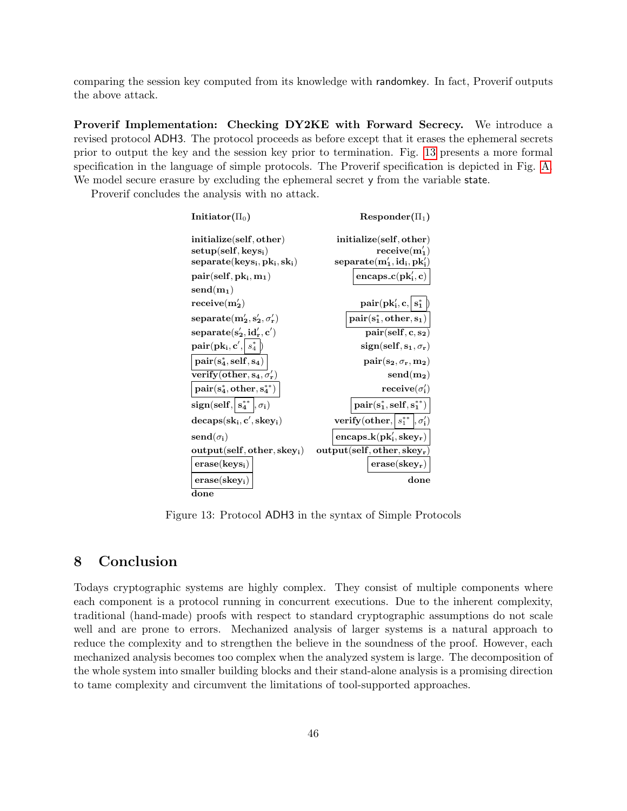comparing the session key computed from its knowledge with randomkey. In fact, Proverif outputs the above attack.

Proverif Implementation: Checking DY2KE with Forward Secrecy. We introduce a revised protocol ADH3. The protocol proceeds as before except that it erases the ephemeral secrets prior to output the key and the session key prior to termination. Fig. [13](#page-47-1) presents a more formal specification in the language of simple protocols. The Proverif specification is depicted in Fig. [A.](#page-55-0) We model secure erasure by excluding the ephemeral secret y from the variable state.

Proverif concludes the analysis with no attack.

| $\mathbf{Initiator}(\Pi_0)$                                                          | $\mathrm{Responder}(\Pi_1)$                                        |
|--------------------------------------------------------------------------------------|--------------------------------------------------------------------|
| initialize(self, other)                                                              | initialize(self, other)                                            |
| $setup(self, keys_i)$                                                                | $\text{receive}(m'_1)$                                             |
| $separate(keys_i, pk_i, sk_i)$                                                       | $separate(m'_1, id_i, pk'_i)$                                      |
| $pair(self, pk_i, m_1)$                                                              | encaps_c(pk' <sub>i</sub> , c)                                     |
| $\mathbf{send(m_1)}$                                                                 |                                                                    |
| $\text{receive}(\textbf{m}'_2)$                                                      | $pair(\mathbf{pk}'_i, \mathbf{c}, \mathbf{s}^*_1)$                 |
| $\mathbf{separate}(\mathbf{m'_2}, \mathbf{s'_2}, \sigma'_\mathbf{r})$                | $pair(s_1^*,other,s_1)$                                            |
| $\mathbf{separate}(\mathbf{s'_2}, \mathbf{id'_r}, \mathbf{c'})$                      | $\overline{\text{pair}}(\text{self}, \text{c}, \text{s}_2)$        |
| $\textbf{pair}(\textbf{pk}_{\textbf{i}}, \textbf{c}', \mid s_4^* \mid)$              | $sign(self, s_1, \sigma_r)$                                        |
| $\vert \operatorname{pair}(\mathbf{s}_4^*, \operatorname{self}, \mathbf{s}_4) \vert$ | $\text{pair}(\mathbf{s_2}, \sigma_{\mathbf{r}}, \mathbf{m_2})$     |
| verify (other, $s_4, \sigma'_r$ )                                                    | $send(m_2)$                                                        |
| $pair(s_4^*,other,s_4^{**})$                                                         | $\mathbf{receive}(\sigma_i')$                                      |
| $sign(self, s_4^{**}, \sigma_i)$                                                     | $\text{pair}(\mathbf{s}_1^*, \text{self}, \mathbf{s}_1^{**})\big)$ |
| $decaps(sk_i, c', skey_i)$                                                           | verify (other, $s_1^{**}$ , $\sigma'_1$ )                          |
| $\mathbf{send}(\sigma_i)$                                                            | $encaps_k(pk'_i, \text{skey}_r)$                                   |
| $output(self, other, skew_i)$                                                        | $output(self, other, skew_r)$                                      |
| $\mathbf{erase}(\mathbf{keys}_i)$                                                    | $\mathbf{erase}(\mathbf{skey}_{\mathbf{r}})$                       |
| $\mathbf{erase}(\mathbf{skey}_{i})$                                                  | done                                                               |
| done                                                                                 |                                                                    |

<span id="page-47-1"></span>Figure 13: Protocol ADH3 in the syntax of Simple Protocols

## <span id="page-47-0"></span>8 Conclusion

Todays cryptographic systems are highly complex. They consist of multiple components where each component is a protocol running in concurrent executions. Due to the inherent complexity, traditional (hand-made) proofs with respect to standard cryptographic assumptions do not scale well and are prone to errors. Mechanized analysis of larger systems is a natural approach to reduce the complexity and to strengthen the believe in the soundness of the proof. However, each mechanized analysis becomes too complex when the analyzed system is large. The decomposition of the whole system into smaller building blocks and their stand-alone analysis is a promising direction to tame complexity and circumvent the limitations of tool-supported approaches.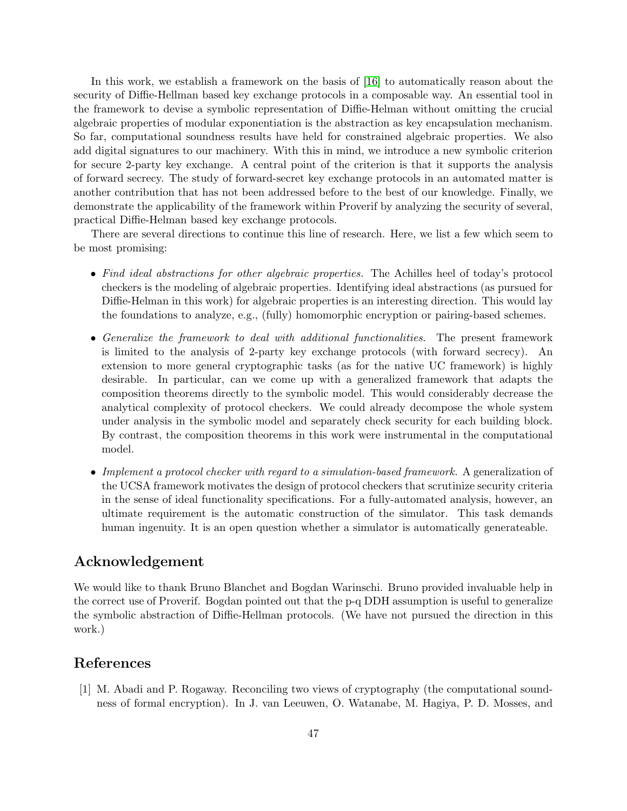In this work, we establish a framework on the basis of [\[16\]](#page-50-5) to automatically reason about the security of Diffie-Hellman based key exchange protocols in a composable way. An essential tool in the framework to devise a symbolic representation of Diffie-Helman without omitting the crucial algebraic properties of modular exponentiation is the abstraction as key encapsulation mechanism. So far, computational soundness results have held for constrained algebraic properties. We also add digital signatures to our machinery. With this in mind, we introduce a new symbolic criterion for secure 2-party key exchange. A central point of the criterion is that it supports the analysis of forward secrecy. The study of forward-secret key exchange protocols in an automated matter is another contribution that has not been addressed before to the best of our knowledge. Finally, we demonstrate the applicability of the framework within Proverif by analyzing the security of several, practical Diffie-Helman based key exchange protocols.

There are several directions to continue this line of research. Here, we list a few which seem to be most promising:

- Find ideal abstractions for other algebraic properties. The Achilles heel of today's protocol checkers is the modeling of algebraic properties. Identifying ideal abstractions (as pursued for Diffie-Helman in this work) for algebraic properties is an interesting direction. This would lay the foundations to analyze, e.g., (fully) homomorphic encryption or pairing-based schemes.
- Generalize the framework to deal with additional functionalities. The present framework is limited to the analysis of 2-party key exchange protocols (with forward secrecy). An extension to more general cryptographic tasks (as for the native UC framework) is highly desirable. In particular, can we come up with a generalized framework that adapts the composition theorems directly to the symbolic model. This would considerably decrease the analytical complexity of protocol checkers. We could already decompose the whole system under analysis in the symbolic model and separately check security for each building block. By contrast, the composition theorems in this work were instrumental in the computational model.
- Implement a protocol checker with regard to a simulation-based framework. A generalization of the UCSA framework motivates the design of protocol checkers that scrutinize security criteria in the sense of ideal functionality specifications. For a fully-automated analysis, however, an ultimate requirement is the automatic construction of the simulator. This task demands human ingenuity. It is an open question whether a simulator is automatically generateable.

## Acknowledgement

We would like to thank Bruno Blanchet and Bogdan Warinschi. Bruno provided invaluable help in the correct use of Proverif. Bogdan pointed out that the p-q DDH assumption is useful to generalize the symbolic abstraction of Diffie-Hellman protocols. (We have not pursued the direction in this work.)

## References

<span id="page-48-0"></span>[1] M. Abadi and P. Rogaway. Reconciling two views of cryptography (the computational soundness of formal encryption). In J. van Leeuwen, O. Watanabe, M. Hagiya, P. D. Mosses, and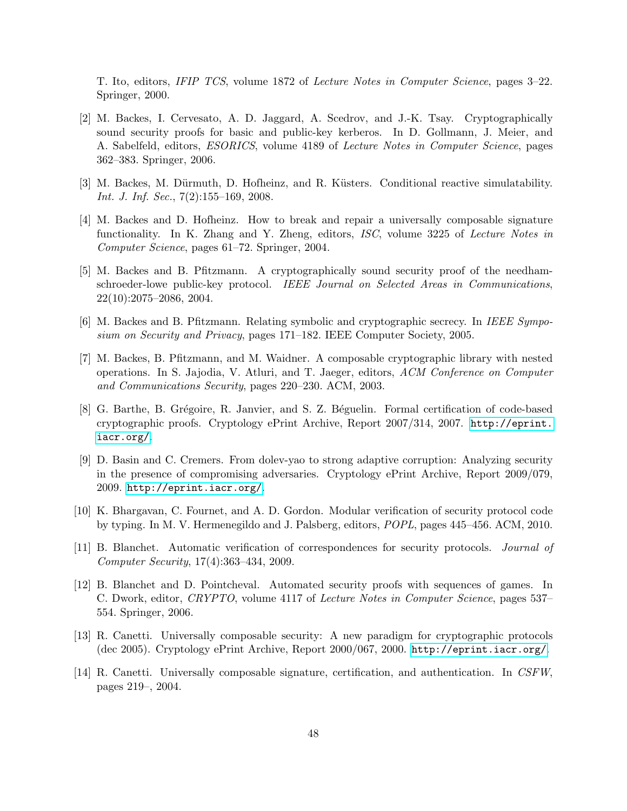T. Ito, editors, IFIP TCS, volume 1872 of Lecture Notes in Computer Science, pages 3–22. Springer, 2000.

- <span id="page-49-8"></span>[2] M. Backes, I. Cervesato, A. D. Jaggard, A. Scedrov, and J.-K. Tsay. Cryptographically sound security proofs for basic and public-key kerberos. In D. Gollmann, J. Meier, and A. Sabelfeld, editors, ESORICS, volume 4189 of Lecture Notes in Computer Science, pages 362–383. Springer, 2006.
- <span id="page-49-4"></span>[3] M. Backes, M. Dürmuth, D. Hofheinz, and R. Küsters. Conditional reactive simulatability. Int. J. Inf. Sec., 7(2):155–169, 2008.
- <span id="page-49-12"></span>[4] M. Backes and D. Hofheinz. How to break and repair a universally composable signature functionality. In K. Zhang and Y. Zheng, editors, ISC, volume 3225 of Lecture Notes in Computer Science, pages 61–72. Springer, 2004.
- <span id="page-49-7"></span>[5] M. Backes and B. Pfitzmann. A cryptographically sound security proof of the needhamschroeder-lowe public-key protocol. IEEE Journal on Selected Areas in Communications, 22(10):2075–2086, 2004.
- <span id="page-49-9"></span>[6] M. Backes and B. Pfitzmann. Relating symbolic and cryptographic secrecy. In IEEE Symposium on Security and Privacy, pages 171–182. IEEE Computer Society, 2005.
- <span id="page-49-2"></span>[7] M. Backes, B. Pfitzmann, and M. Waidner. A composable cryptographic library with nested operations. In S. Jajodia, V. Atluri, and T. Jaeger, editors, ACM Conference on Computer and Communications Security, pages 220–230. ACM, 2003.
- <span id="page-49-1"></span>[8] G. Barthe, B. Grégoire, R. Janvier, and S. Z. Béguelin. Formal certification of code-based cryptographic proofs. Cryptology ePrint Archive, Report 2007/314, 2007. [http://eprint.](http://eprint.iacr.org/) [iacr.org/](http://eprint.iacr.org/).
- <span id="page-49-10"></span>[9] D. Basin and C. Cremers. From dolev-yao to strong adaptive corruption: Analyzing security in the presence of compromising adversaries. Cryptology ePrint Archive, Report 2009/079, 2009. <http://eprint.iacr.org/>.
- <span id="page-49-11"></span>[10] K. Bhargavan, C. Fournet, and A. D. Gordon. Modular verification of security protocol code by typing. In M. V. Hermenegildo and J. Palsberg, editors, POPL, pages 445–456. ACM, 2010.
- <span id="page-49-3"></span>[11] B. Blanchet. Automatic verification of correspondences for security protocols. Journal of Computer Security, 17(4):363–434, 2009.
- <span id="page-49-0"></span>[12] B. Blanchet and D. Pointcheval. Automated security proofs with sequences of games. In C. Dwork, editor, CRYPTO, volume 4117 of Lecture Notes in Computer Science, pages 537– 554. Springer, 2006.
- <span id="page-49-5"></span>[13] R. Canetti. Universally composable security: A new paradigm for cryptographic protocols (dec 2005). Cryptology ePrint Archive, Report 2000/067, 2000. <http://eprint.iacr.org/>.
- <span id="page-49-6"></span>[14] R. Canetti. Universally composable signature, certification, and authentication. In CSFW, pages 219–, 2004.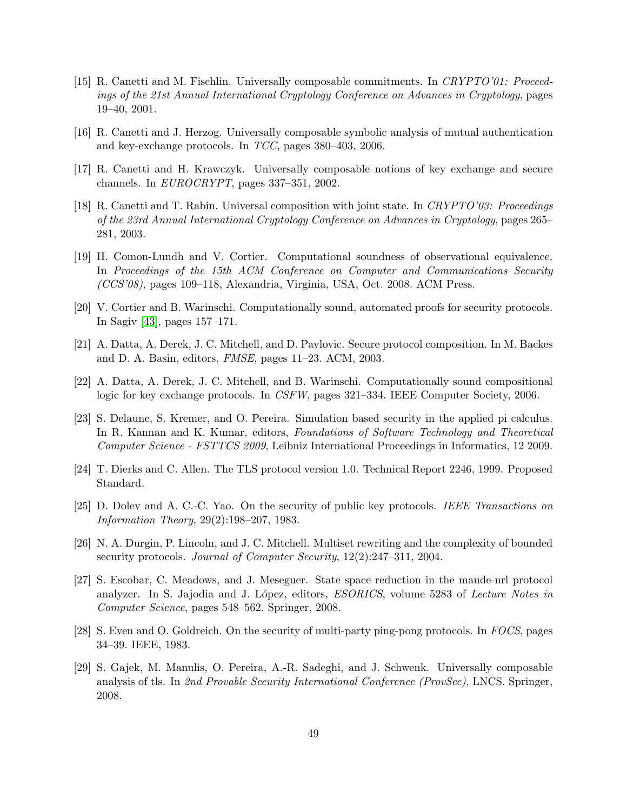- <span id="page-50-11"></span>[15] R. Canetti and M. Fischlin. Universally composable commitments. In CRYPTO'01: Proceedings of the 21st Annual International Cryptology Conference on Advances in Cryptology, pages 19–40, 2001.
- <span id="page-50-5"></span>[16] R. Canetti and J. Herzog. Universally composable symbolic analysis of mutual authentication and key-exchange protocols. In TCC, pages 380–403, 2006.
- <span id="page-50-12"></span>[17] R. Canetti and H. Krawczyk. Universally composable notions of key exchange and secure channels. In EUROCRYPT, pages 337–351, 2002.
- <span id="page-50-6"></span>[18] R. Canetti and T. Rabin. Universal composition with joint state. In CRYPTO'03: Proceedings of the 23rd Annual International Cryptology Conference on Advances in Cryptology, pages 265– 281, 2003.
- <span id="page-50-9"></span>[19] H. Comon-Lundh and V. Cortier. Computational soundness of observational equivalence. In Proceedings of the 15th ACM Conference on Computer and Communications Security (CCS'08), pages 109–118, Alexandria, Virginia, USA, Oct. 2008. ACM Press.
- <span id="page-50-1"></span>[20] V. Cortier and B. Warinschi. Computationally sound, automated proofs for security protocols. In Sagiv [\[43\]](#page-51-13), pages 157–171.
- <span id="page-50-7"></span>[21] A. Datta, A. Derek, J. C. Mitchell, and D. Pavlovic. Secure protocol composition. In M. Backes and D. A. Basin, editors, FMSE, pages 11–23. ACM, 2003.
- <span id="page-50-2"></span>[22] A. Datta, A. Derek, J. C. Mitchell, and B. Warinschi. Computationally sound compositional logic for key exchange protocols. In CSFW, pages 321–334. IEEE Computer Society, 2006.
- <span id="page-50-10"></span>[23] S. Delaune, S. Kremer, and O. Pereira. Simulation based security in the applied pi calculus. In R. Kannan and K. Kumar, editors, Foundations of Software Technology and Theoretical Computer Science - FSTTCS 2009, Leibniz International Proceedings in Informatics, 12 2009.
- <span id="page-50-13"></span>[24] T. Dierks and C. Allen. The TLS protocol version 1.0. Technical Report 2246, 1999. Proposed Standard.
- <span id="page-50-0"></span>[25] D. Dolev and A. C.-C. Yao. On the security of public key protocols. IEEE Transactions on Information Theory, 29(2):198–207, 1983.
- <span id="page-50-4"></span>[26] N. A. Durgin, P. Lincoln, and J. C. Mitchell. Multiset rewriting and the complexity of bounded security protocols. Journal of Computer Security, 12(2):247-311, 2004.
- <span id="page-50-8"></span>[27] S. Escobar, C. Meadows, and J. Meseguer. State space reduction in the maude-nrl protocol analyzer. In S. Jajodia and J. López, editors, *ESORICS*, volume 5283 of *Lecture Notes in* Computer Science, pages 548–562. Springer, 2008.
- <span id="page-50-3"></span>[28] S. Even and O. Goldreich. On the security of multi-party ping-pong protocols. In FOCS, pages 34–39. IEEE, 1983.
- <span id="page-50-14"></span>[29] S. Gajek, M. Manulis, O. Pereira, A.-R. Sadeghi, and J. Schwenk. Universally composable analysis of tls. In 2nd Provable Security International Conference (ProvSec), LNCS. Springer, 2008.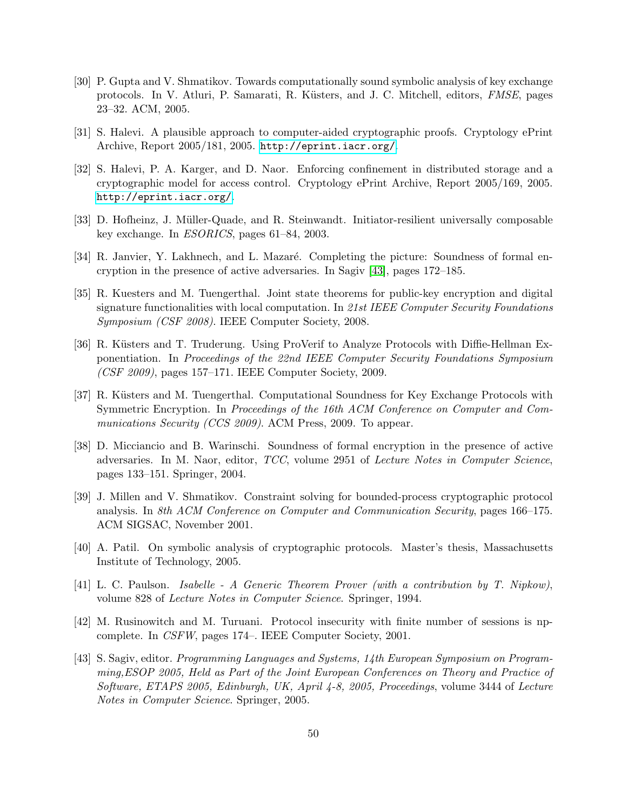- <span id="page-51-9"></span>[30] P. Gupta and V. Shmatikov. Towards computationally sound symbolic analysis of key exchange protocols. In V. Atluri, P. Samarati, R. Küsters, and J. C. Mitchell, editors, FMSE, pages 23–32. ACM, 2005.
- <span id="page-51-1"></span>[31] S. Halevi. A plausible approach to computer-aided cryptographic proofs. Cryptology ePrint Archive, Report 2005/181, 2005. <http://eprint.iacr.org/>.
- <span id="page-51-0"></span>[32] S. Halevi, P. A. Karger, and D. Naor. Enforcing confinement in distributed storage and a cryptographic model for access control. Cryptology ePrint Archive, Report 2005/169, 2005. <http://eprint.iacr.org/>.
- <span id="page-51-12"></span>[33] D. Hofheinz, J. Müller-Quade, and R. Steinwandt. Initiator-resilient universally composable key exchange. In ESORICS, pages 61–84, 2003.
- <span id="page-51-3"></span>[34] R. Janvier, Y. Lakhnech, and L. Mazaré. Completing the picture: Soundness of formal encryption in the presence of active adversaries. In Sagiv [\[43\]](#page-51-13), pages 172–185.
- <span id="page-51-11"></span>[35] R. Kuesters and M. Tuengerthal. Joint state theorems for public-key encryption and digital signature functionalities with local computation. In 21st IEEE Computer Security Foundations Symposium (CSF 2008). IEEE Computer Society, 2008.
- <span id="page-51-8"></span>[36] R. Küsters and T. Truderung. Using ProVerif to Analyze Protocols with Diffie-Hellman Exponentiation. In Proceedings of the 22nd IEEE Computer Security Foundations Symposium (CSF 2009), pages 157–171. IEEE Computer Society, 2009.
- <span id="page-51-4"></span>[37] R. Küsters and M. Tuengerthal. Computational Soundness for Key Exchange Protocols with Symmetric Encryption. In Proceedings of the 16th ACM Conference on Computer and Communications Security (CCS 2009). ACM Press, 2009. To appear.
- <span id="page-51-2"></span>[38] D. Micciancio and B. Warinschi. Soundness of formal encryption in the presence of active adversaries. In M. Naor, editor, TCC, volume 2951 of Lecture Notes in Computer Science, pages 133–151. Springer, 2004.
- <span id="page-51-6"></span>[39] J. Millen and V. Shmatikov. Constraint solving for bounded-process cryptographic protocol analysis. In 8th ACM Conference on Computer and Communication Security, pages 166–175. ACM SIGSAC, November 2001.
- <span id="page-51-10"></span>[40] A. Patil. On symbolic analysis of cryptographic protocols. Master's thesis, Massachusetts Institute of Technology, 2005.
- <span id="page-51-5"></span>[41] L. C. Paulson. Isabelle - A Generic Theorem Prover (with a contribution by T. Nipkow), volume 828 of Lecture Notes in Computer Science. Springer, 1994.
- <span id="page-51-7"></span>[42] M. Rusinowitch and M. Turuani. Protocol insecurity with finite number of sessions is npcomplete. In CSFW, pages 174–. IEEE Computer Society, 2001.
- <span id="page-51-13"></span>[43] S. Sagiv, editor. Programming Languages and Systems, 14th European Symposium on Programming,ESOP 2005, Held as Part of the Joint European Conferences on Theory and Practice of Software, ETAPS 2005, Edinburgh, UK, April 4-8, 2005, Proceedings, volume 3444 of Lecture Notes in Computer Science. Springer, 2005.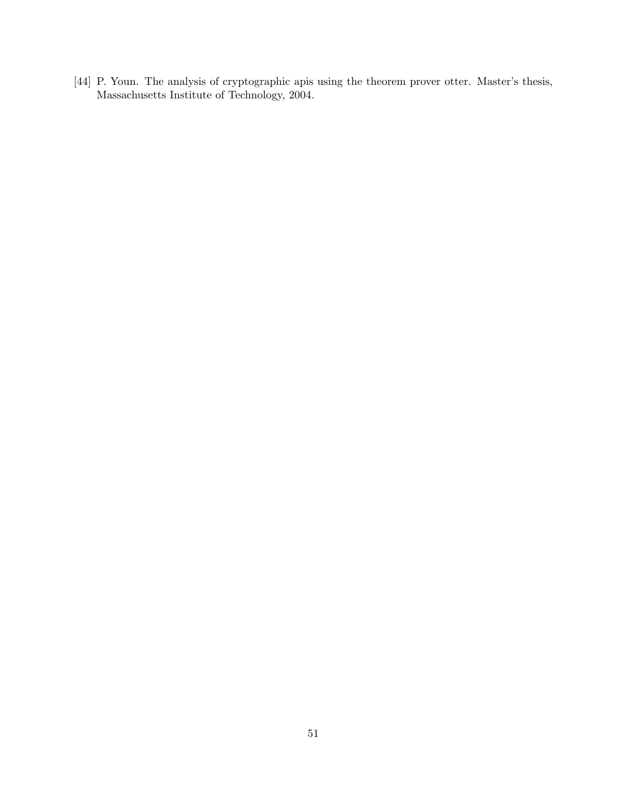<span id="page-52-0"></span>[44] P. Youn. The analysis of cryptographic apis using the theorem prover otter. Master's thesis, Massachusetts Institute of Technology, 2004.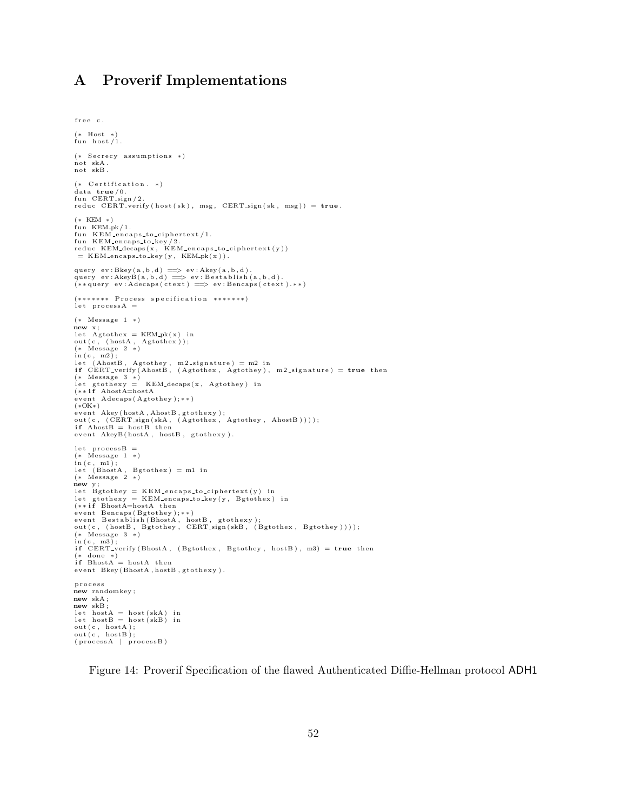## <span id="page-53-0"></span>A Proverif Implementations

```
free c.
 (* Host *)<br>fun host/1.
(* Secrecy assumptions *)not skA .
not skB .
(* \text{ Certification. } *)data true/0.<br>fun CERT_sign/2.
reduc CERT\_verify(host(sk), msg, CERT\_sign(sk, msg)) = true.(* KEM * )fun KEM<sub>-pk</sub> / 1.
 fun KEM_encaps_to_ciphertext/1.<br>fun KEM_encaps_to_key/2.<br>reduc KEM_decaps(x, KEM_encaps_to_ciphertext(y))
  = KEM_encaps_to_key(y, KEM_pk(x)).
query ev : Bkey(a, b, d) \implies ev : Akey(a, b, d).
 query ev:AkeyB(a,b,d) =⇒ ev:Bestablish(a,b,d).<br>(**query ev:Adecaps(ctext) =⇒ ev:Bencaps(ctext).**)
(******* Process specification *******)
let process A =(∗ Message 1 ∗)
new x;<br>let Agtothex = KEM_pk(x) in<br>out(c, (hostA, Agtothex));<br>(* Message 2 *)
 in(c, m2);<br>let (AhostB, Agtothey, m2_signature) = m2 in<br>if CERT_verify(AhostB, (Agtothex, Agtothey), m2_signature) = true then
 (* Message 3 *)<br>let gtothexy = KEM_decaps(x, Agtothey) in<br>(**if AhostA=hostA<br>event Adecaps(Agtothey);**)
(∗OK∗)
 event Akey(hostA,AhostB,gtothexy);<br>out(c, (CERT_sign(skA, (Agtothex, Agtothey, AhostB))));<br>if AhostB = hostB then<br>event AkeyB(hostA, hostB, gtothexy).
let processB :
 (* Message 1 *)<br>in(c, m1);<br>let (BhostA, Bgtothex) = m1 in<br>(* Message 2 *)
\overrightarrow{\text{new}} y;
 let Bgtothey = KEM_encaps_to_ciphertext(y) in<br>let gtothexy = KEM_encaps_to_key(y, Bgtothex) in<br>(**if BhostA=hostA then
event Bencaps (Bgtothey);*
 event Bestablish(BhostA, hostB, gtothexy);<br>out(c, (hostB, Bgtothey, CERT_sign(skB, (Bgtothex, Bgtothey))));<br>(* Message 3 *)
 in(c, m3);<br>if CERT_verify(BhostA, (Bgtothex, Bgtothey, hostB), m3) = true then
 (* done *)<br>if BhostA = hostA then<br>event Bkey(BhostA,hostB,gtothexy).
p r o c e s s
new randomkey ;
new skA ;
new skB ;
 let hostA = host(skA) in<br>let hostB = host(skB) in
out(c, hostA);out (c, \text{hostB})(\text{processA} | \text{processB})
```
<span id="page-53-1"></span>Figure 14: Proverif Specification of the flawed Authenticated Diffie-Hellman protocol ADH1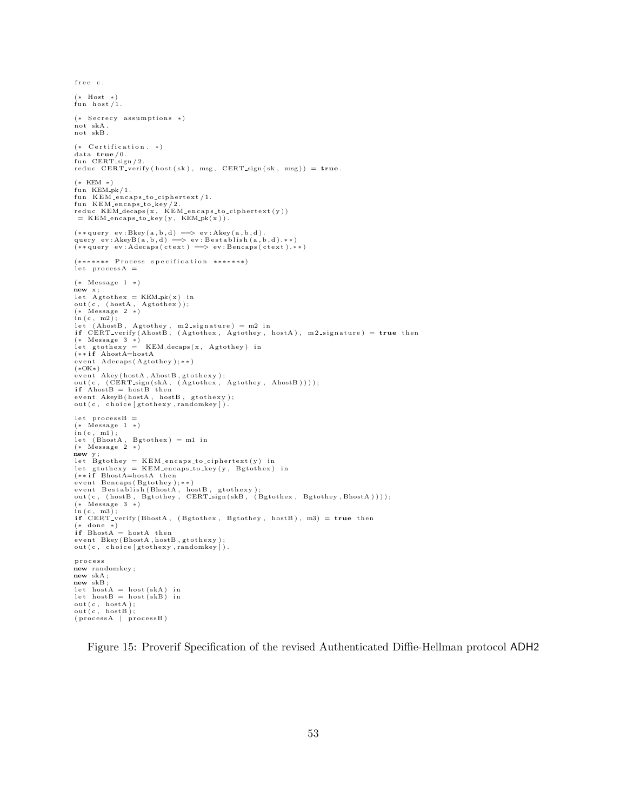(\* Host \*)<br>fun host/1.  $(*$  Secrecy assumptions  $*)$ not skA . not skB .  $(* \text{ Certification. } *)$  $data$  true  $/0$ . fun  $CERT$ -sign / 2 reduc CERT\_verify ( $host(sk)$ , msg, CERT\_sign ( $sk$ , msg)) =  $true$ . (∗ KEM ∗) fun  $KEM-pk/1$ .  $fun$  KEM-encaps-to-ciphertext/1. fun KEM\_encaps\_to\_key/2.<br>reduc KEM\_decaps(x, KEM\_encaps\_to\_ciphertext(y))  $=$  KEM\_encaps\_to\_key(y, KEM\_pk(x)).  $\left(\ast\ast\mathop{\rm query}\nolimits\ \;{\rm ev}\hbox{:}\, {\rm Bkey}\hbox{({\bf a},{\bf b},{\bf d})}\implies {\rm ev}\hbox{:}\, {\rm Akey}\hbox{({\bf a},{\bf b},{\bf d})}\,.$ query ev:AkeyB(a,b,d) ==> ev:Bestablish(a,b,d).\*\*)<br>(\*\*query ev:Adecaps(ctext) ==> ev:Bencaps(ctext).\*\*) (\*\*\*\*\*\*\* Process specification \*\*\*\*\*\*\*)<br>let processA = (∗ Message 1 ∗) new  $x$ ;<br>let  $A$ gtothe $x = \text{KEM}_p k(x)$  in out ( c , ( hostA , Agtothex ) ) ; (∗ Message 2 ∗) in(c, m2);<br>let (AhostB, Agtothey, m2\_signature) = m2 in<br>if CERT\_verify(AhostB, (Agtothex, Agtothey, hostA), m2\_signature) = **true** then (∗ Message 3 ∗) let gtothexy = KEM\_decaps(x, Agtothey) in<br>(\*\*if AhostA=hostA<br>event Adecaps(Agtothey);\*\*)<br>(\*OK\*) event Akey(hostA,AhostB,gtothexy);<br>out(c, (CERT.sign(skA, (Agtothex, Agtothey, AhostB))));<br>if AhostB = hostB then event AkeyB(hostA, hostB, gtothexy);<br>out(c, choice[gtothexy,randomkey]).  $let$   $processB =$ (\* Message 1 \*)<br>in(c, m1);<br>let (BhostA, Bgtothex) = m1 in<br>(\* Message 2 \*)  $\boldsymbol{\mathrm{new}}$  y let  $B$ gtothey = KEM\_encaps\_to\_ciphertext(y) in let gtothexy = KEM\_encaps\_to\_key(y, Bgtothex) in<br>(\*\***if** BhostA=hostA then event Bencaps(Bgtothey);\*\*)<br>event Bestablish(BhostA, hostB, gtothexy);<br>out(c, (hostB, Bgtothey, CERT\_sign(skB, (Bgtothex, Bgtothey,BhostA))));<br>(\* Message 3 \*)<br>in(c, m3);  $if CERT\_verify (BhostA, (Bgothex, Bgothey, hostB), m3) = true then$ (\* done \*)<br>**if** BhostA = hostA then  ${\tt event\_Bkey}\left( {\tt BhostA}\,,{\tt hostB}\,,{\tt gtothexy}\,\right)$ out  $(c, -choice [Stothexy , randomkey])$  . p r o c e s s new randomkey ; new skA ; new skB ;  $let \; hostA = host(skA) \; in$  $let \; hostB = host (skB) \; in$ out(c, hostA);<br>out(c, hostB);  $(processA | processB)$ 

 $free$   $c$ .

<span id="page-54-0"></span>Figure 15: Proverif Specification of the revised Authenticated Diffie-Hellman protocol ADH2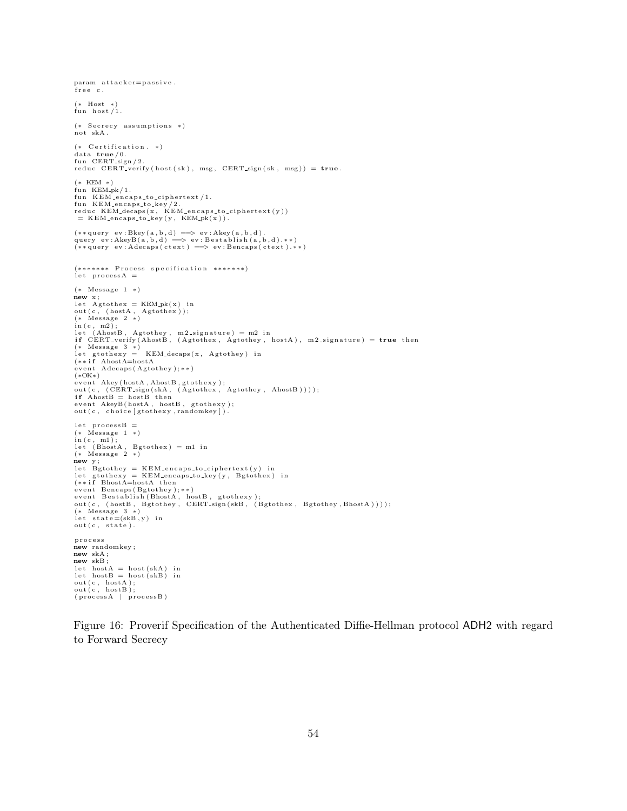```
param attacker = passive.
free c.
(∗ Host ∗)
fun host /1.
(* Secrecy assumptions *)
not skA .
(* \text{ Certification. } *)data true /0.
fun CERT-sign / 2
reduc CERT_verify (host(sk), msg, CERT_sign (sk, msg)) = true.
(∗ KEM ∗)
fun KEM<sub>-pk</sub> / 1.
fun KEM_encaps_to_ciphertext/1.
 fun KEM_encaps_to_key/2.<br>reduc KEM_decaps(x, KEM_encaps_to_ciphertext(y))<br>= KEM_encaps_to_key(y, KEM_pk(x)).
\left(\ast\ast\mathop{\rm query}\nolimits\ \;{\rm ev}\hbox{:}\, {\rm Bkey}\hbox{({\bf a},{\bf b},{\bf d})}\implies {\rm ev}\hbox{:}\, {\rm Akey}\hbox{({\bf a},{\bf b},{\bf d})}\,.query ev:AkeyB(a,b,d) ==> ev:Bestablish(a,b,d).**)<br>(**query ev:Adecaps(ctext) ==> ev:Bencaps(ctext).**)
(******* Process specification *******)
let processA =(∗ Message 1 ∗)
\overset{\sim}{\bf new} x;
 let Agtothex = KEM_pk(x) in<br>out(c, (hostA, Agtothex));<br>(* Message 2 *)
\text{in (c, m2)};<br>let (AhostB,
 let (AhostB, Agtothey, m2_signature) = m2 in<br>if CERT_verify(AhostB, (Agtothex, Agtothey, hostA), m2_signature) = true then
 (* Message 3 *)<br>let gtothexy = KEM_decaps(x, Agtothey) in<br>(**if AhostA=hostA<br>event Adecaps(Agtothey);**)
(∗OK∗)
 event Akey(hostA,AhostB,gtothexy);<br>out(c, (CERT_sign(skA, (Agtothex, Agtothey, AhostB))));<br>if AhostB = hostB then<br>event AkeyB(hostA, hostB, gtothexy);<br>out(c, choice[gtothexy,randomkey]).
 let processB =<br>(* Message 1 *)
 in (c, m1);<br>let (BhostA, Bgtothex) = m1 in<br>(* Message 2 *)
new y ;
 let Bgtothey = KEM_encaps_to_ciphertext(y) in<br>let gtothexy = KEM_encaps_to_key(y, Bgtothex) in<br>(**if BhostA=hostA then<br>event Bencaps(Bgtothey);**)
 event Bestablish(BhostA , hostB , gtothexy);<br>out(c, (hostB , Bgtothey , CERT_sign(skB , (Bgtothex , Bgtothey ,BhostA))));<br>(* Message 3 *)
 let state=(skB,y) in<br>out(c, state).
p r o c e s s
new randomkey ;
new skA ;
new skB ;
let \; hostA = host(skA) \; inlet \; hostB = host (skB) \; inout(c, hostA);<br>out(c, hostB);
(processA | processB)
```
<span id="page-55-0"></span>Figure 16: Proverif Specification of the Authenticated Diffie-Hellman protocol ADH2 with regard to Forward Secrecy